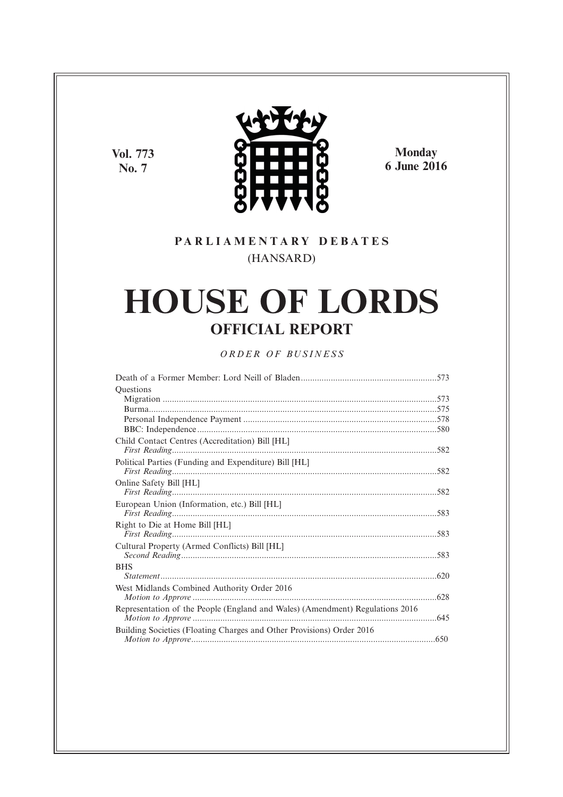**Vol. 773 No. 7**



**Monday 6 June 2016**

# **P A R L I A M E N T A R Y D E B A T E S** (HANSARD)

# **HOUSE OF LORDS OFFICIAL REPORT**

*O R D E R O F BU S I N E S S*

| Questions                                                                     |  |
|-------------------------------------------------------------------------------|--|
|                                                                               |  |
|                                                                               |  |
|                                                                               |  |
|                                                                               |  |
| Child Contact Centres (Accreditation) Bill [HL]                               |  |
|                                                                               |  |
| Political Parties (Funding and Expenditure) Bill [HL]                         |  |
|                                                                               |  |
| Online Safety Bill [HL]                                                       |  |
|                                                                               |  |
| European Union (Information, etc.) Bill [HL]                                  |  |
|                                                                               |  |
| Right to Die at Home Bill [HL]                                                |  |
|                                                                               |  |
| Cultural Property (Armed Conflicts) Bill [HL]                                 |  |
|                                                                               |  |
| <b>BHS</b>                                                                    |  |
|                                                                               |  |
| West Midlands Combined Authority Order 2016                                   |  |
|                                                                               |  |
| Representation of the People (England and Wales) (Amendment) Regulations 2016 |  |
|                                                                               |  |
| Building Societies (Floating Charges and Other Provisions) Order 2016         |  |
|                                                                               |  |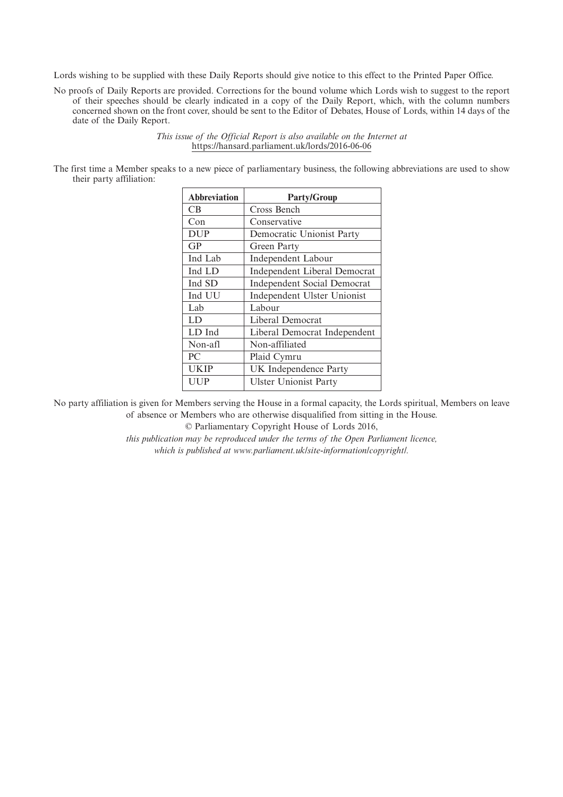Lords wishing to be supplied with these Daily Reports should give notice to this effect to the Printed Paper Office.

No proofs of Daily Reports are provided. Corrections for the bound volume which Lords wish to suggest to the report of their speeches should be clearly indicated in a copy of the Daily Report, which, with the column numbers concerned shown on the front cover, should be sent to the Editor of Debates, House of Lords, within 14 days of the date of the Daily Report.

> *This issue of the Official Report is also available on the Internet at* https://hansard.parliament.uk/lords/2016-06-06

The first time a Member speaks to a new piece of parliamentary business, the following abbreviations are used to show their party affiliation:

| <b>Abbreviation</b> | <b>Party/Group</b>                 |
|---------------------|------------------------------------|
| CВ                  | Cross Bench                        |
| Con                 | Conservative                       |
| <b>DUP</b>          | Democratic Unionist Party          |
| GP                  | Green Party                        |
| Ind Lab             | Independent Labour                 |
| Ind LD              | Independent Liberal Democrat       |
| Ind SD              | <b>Independent Social Democrat</b> |
| Ind UU              | Independent Ulster Unionist        |
| Lab                 | Labour                             |
| LD                  | Liberal Democrat                   |
| LD Ind              | Liberal Democrat Independent       |
| Non-afl             | Non-affiliated                     |
| PC                  | Plaid Cymru                        |
| <b>UKIP</b>         | UK Independence Party              |
| UUP                 | <b>Ulster Unionist Party</b>       |
|                     |                                    |

No party affiliation is given for Members serving the House in a formal capacity, the Lords spiritual, Members on leave of absence or Members who are otherwise disqualified from sitting in the House.

© Parliamentary Copyright House of Lords 2016,

*this publication may be reproduced under the terms of the Open Parliament licence, which is published at www.parliament.uk/site-information/copyright/.*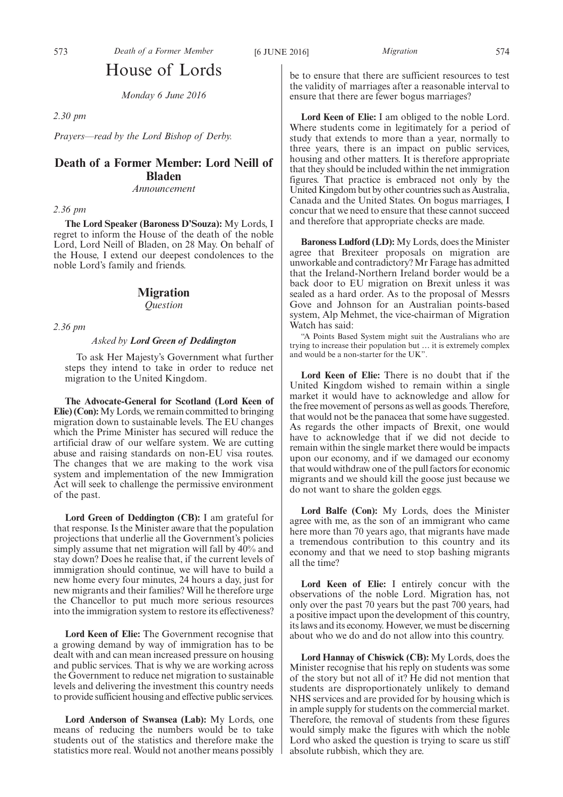*Monday 6 June 2016*

*2.30 pm*

*Prayers—read by the Lord Bishop of Derby.*

# **Death of a Former Member: Lord Neill of Bladen**

*Announcement*

#### *2.36 pm*

**The Lord Speaker (Baroness D'Souza):** My Lords, I regret to inform the House of the death of the noble Lord, Lord Neill of Bladen, on 28 May. On behalf of the House, I extend our deepest condolences to the noble Lord's family and friends.

#### **Migration**

*Question*

*2.36 pm*

#### *Asked by Lord Green of Deddington*

To ask Her Majesty's Government what further steps they intend to take in order to reduce net migration to the United Kingdom.

**The Advocate-General for Scotland (Lord Keen of Elie) (Con):** My Lords, we remain committed to bringing migration down to sustainable levels. The EU changes which the Prime Minister has secured will reduce the artificial draw of our welfare system. We are cutting abuse and raising standards on non-EU visa routes. The changes that we are making to the work visa system and implementation of the new Immigration Act will seek to challenge the permissive environment of the past.

**Lord Green of Deddington (CB):** I am grateful for that response. Is the Minister aware that the population projections that underlie all the Government's policies simply assume that net migration will fall by 40% and stay down? Does he realise that, if the current levels of immigration should continue, we will have to build a new home every four minutes, 24 hours a day, just for new migrants and their families? Will he therefore urge the Chancellor to put much more serious resources into the immigration system to restore its effectiveness?

**Lord Keen of Elie:** The Government recognise that a growing demand by way of immigration has to be dealt with and can mean increased pressure on housing and public services. That is why we are working across the Government to reduce net migration to sustainable levels and delivering the investment this country needs to provide sufficient housing and effective public services.

**Lord Anderson of Swansea (Lab):** My Lords, one means of reducing the numbers would be to take students out of the statistics and therefore make the statistics more real. Would not another means possibly be to ensure that there are sufficient resources to test the validity of marriages after a reasonable interval to ensure that there are fewer bogus marriages?

**Lord Keen of Elie:** I am obliged to the noble Lord. Where students come in legitimately for a period of study that extends to more than a year, normally to three years, there is an impact on public services, housing and other matters. It is therefore appropriate that they should be included within the net immigration figures. That practice is embraced not only by the United Kingdom but by other countries such as Australia, Canada and the United States. On bogus marriages, I concur that we need to ensure that these cannot succeed and therefore that appropriate checks are made.

**Baroness Ludford (LD):** My Lords, does the Minister agree that Brexiteer proposals on migration are unworkable and contradictory? Mr Farage has admitted that the Ireland-Northern Ireland border would be a back door to EU migration on Brexit unless it was sealed as a hard order. As to the proposal of Messrs Gove and Johnson for an Australian points-based system, Alp Mehmet, the vice-chairman of Migration Watch has said:

"A Points Based System might suit the Australians who are trying to increase their population but … it is extremely complex and would be a non-starter for the UK".

**Lord Keen of Elie:** There is no doubt that if the United Kingdom wished to remain within a single market it would have to acknowledge and allow for the free movement of persons as well as goods. Therefore, that would not be the panacea that some have suggested. As regards the other impacts of Brexit, one would have to acknowledge that if we did not decide to remain within the single market there would be impacts upon our economy, and if we damaged our economy that would withdraw one of the pull factors for economic migrants and we should kill the goose just because we do not want to share the golden eggs.

**Lord Balfe (Con):** My Lords, does the Minister agree with me, as the son of an immigrant who came here more than 70 years ago, that migrants have made a tremendous contribution to this country and its economy and that we need to stop bashing migrants all the time?

**Lord Keen of Elie:** I entirely concur with the observations of the noble Lord. Migration has, not only over the past 70 years but the past 700 years, had a positive impact upon the development of this country, its laws and its economy. However, we must be discerning about who we do and do not allow into this country.

**Lord Hannay of Chiswick (CB):** My Lords, does the Minister recognise that his reply on students was some of the story but not all of it? He did not mention that students are disproportionately unlikely to demand NHS services and are provided for by housing which is in ample supply for students on the commercial market. Therefore, the removal of students from these figures would simply make the figures with which the noble Lord who asked the question is trying to scare us stiff absolute rubbish, which they are.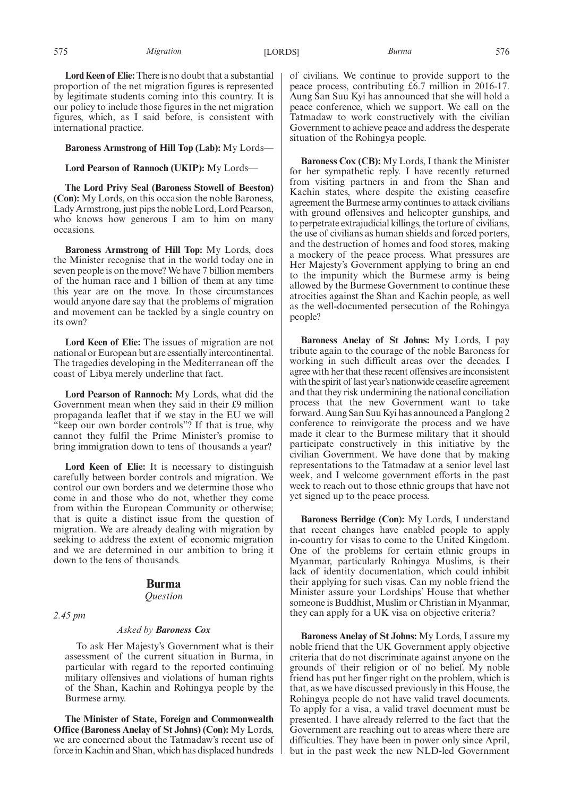**Lord Keen of Elie:**There is no doubt that a substantial proportion of the net migration figures is represented by legitimate students coming into this country. It is our policy to include those figures in the net migration figures, which, as I said before, is consistent with international practice.

#### **Baroness Armstrong of Hill Top (Lab):** My Lords—

#### **Lord Pearson of Rannoch (UKIP):** My Lords—

**The Lord Privy Seal (Baroness Stowell of Beeston) (Con):** My Lords, on this occasion the noble Baroness, Lady Armstrong, just pips the noble Lord, Lord Pearson, who knows how generous I am to him on many occasions.

**Baroness Armstrong of Hill Top:** My Lords, does the Minister recognise that in the world today one in seven people is on the move? We have 7 billion members of the human race and 1 billion of them at any time this year are on the move. In those circumstances would anyone dare say that the problems of migration and movement can be tackled by a single country on its own?

**Lord Keen of Elie:** The issues of migration are not national or European but are essentially intercontinental. The tragedies developing in the Mediterranean off the coast of Libya merely underline that fact.

**Lord Pearson of Rannoch:** My Lords, what did the Government mean when they said in their £9 million propaganda leaflet that if we stay in the EU we will "keep our own border controls"? If that is true, why cannot they fulfil the Prime Minister's promise to bring immigration down to tens of thousands a year?

**Lord Keen of Elie:** It is necessary to distinguish carefully between border controls and migration. We control our own borders and we determine those who come in and those who do not, whether they come from within the European Community or otherwise; that is quite a distinct issue from the question of migration. We are already dealing with migration by seeking to address the extent of economic migration and we are determined in our ambition to bring it down to the tens of thousands.

#### **Burma**

#### *Question*

*2.45 pm*

#### *Asked by Baroness Cox*

To ask Her Majesty's Government what is their assessment of the current situation in Burma, in particular with regard to the reported continuing military offensives and violations of human rights of the Shan, Kachin and Rohingya people by the Burmese army.

**The Minister of State, Foreign and Commonwealth Office (Baroness Anelay of St Johns) (Con):** My Lords, we are concerned about the Tatmadaw's recent use of force in Kachin and Shan, which has displaced hundreds of civilians. We continue to provide support to the peace process, contributing £6.7 million in 2016-17. Aung San Suu Kyi has announced that she will hold a peace conference, which we support. We call on the Tatmadaw to work constructively with the civilian Government to achieve peace and address the desperate situation of the Rohingya people.

**Baroness Cox (CB):** My Lords, I thank the Minister for her sympathetic reply. I have recently returned from visiting partners in and from the Shan and Kachin states, where despite the existing ceasefire agreement the Burmese army continues to attack civilians with ground offensives and helicopter gunships, and to perpetrate extrajudicial killings, the torture of civilians, the use of civilians as human shields and forced porters, and the destruction of homes and food stores, making a mockery of the peace process. What pressures are Her Majesty's Government applying to bring an end to the impunity which the Burmese army is being allowed by the Burmese Government to continue these atrocities against the Shan and Kachin people, as well as the well-documented persecution of the Rohingya people?

**Baroness Anelay of St Johns:** My Lords, I pay tribute again to the courage of the noble Baroness for working in such difficult areas over the decades. I agree with her that these recent offensives are inconsistent with the spirit of last year's nationwide ceasefire agreement and that they risk undermining the national conciliation process that the new Government want to take forward. Aung San Suu Kyi has announced a Panglong 2 conference to reinvigorate the process and we have made it clear to the Burmese military that it should participate constructively in this initiative by the civilian Government. We have done that by making representations to the Tatmadaw at a senior level last week, and I welcome government efforts in the past week to reach out to those ethnic groups that have not yet signed up to the peace process.

**Baroness Berridge (Con):** My Lords, I understand that recent changes have enabled people to apply in-country for visas to come to the United Kingdom. One of the problems for certain ethnic groups in Myanmar, particularly Rohingya Muslims, is their lack of identity documentation, which could inhibit their applying for such visas. Can my noble friend the Minister assure your Lordships' House that whether someone is Buddhist, Muslim or Christian in Myanmar, they can apply for a UK visa on objective criteria?

**Baroness Anelay of St Johns:** My Lords, I assure my noble friend that the UK Government apply objective criteria that do not discriminate against anyone on the grounds of their religion or of no belief. My noble friend has put her finger right on the problem, which is that, as we have discussed previously in this House, the Rohingya people do not have valid travel documents. To apply for a visa, a valid travel document must be presented. I have already referred to the fact that the Government are reaching out to areas where there are difficulties. They have been in power only since April, but in the past week the new NLD-led Government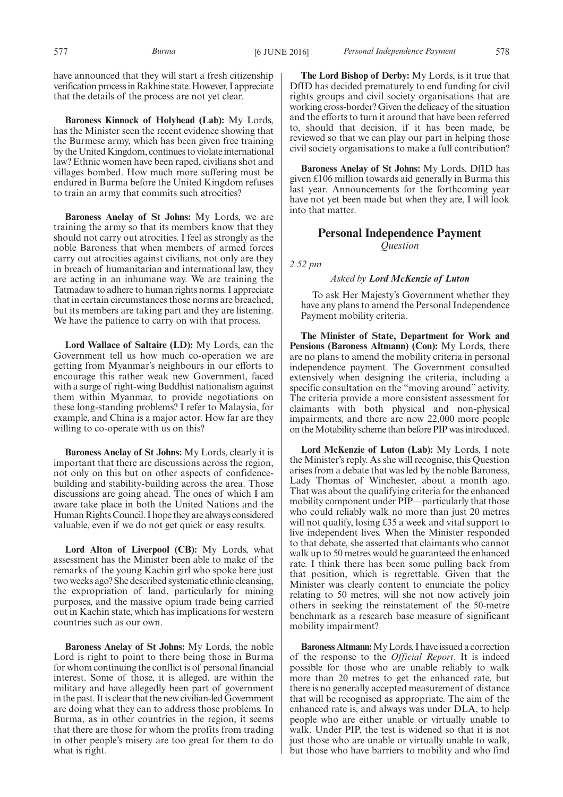have announced that they will start a fresh citizenship verification process in Rakhine state. However, I appreciate that the details of the process are not yet clear.

**Baroness Kinnock of Holyhead (Lab):** My Lords, has the Minister seen the recent evidence showing that the Burmese army, which has been given free training by the United Kingdom, continues to violate international law? Ethnic women have been raped, civilians shot and villages bombed. How much more suffering must be endured in Burma before the United Kingdom refuses to train an army that commits such atrocities?

**Baroness Anelay of St Johns:** My Lords, we are training the army so that its members know that they should not carry out atrocities. I feel as strongly as the noble Baroness that when members of armed forces carry out atrocities against civilians, not only are they in breach of humanitarian and international law, they are acting in an inhumane way. We are training the Tatmadaw to adhere to human rights norms. I appreciate that in certain circumstances those norms are breached, but its members are taking part and they are listening. We have the patience to carry on with that process.

**Lord Wallace of Saltaire (LD):** My Lords, can the Government tell us how much co-operation we are getting from Myanmar's neighbours in our efforts to encourage this rather weak new Government, faced with a surge of right-wing Buddhist nationalism against them within Myanmar, to provide negotiations on these long-standing problems? I refer to Malaysia, for example, and China is a major actor. How far are they willing to co-operate with us on this?

**Baroness Anelay of St Johns:** My Lords, clearly it is important that there are discussions across the region, not only on this but on other aspects of confidencebuilding and stability-building across the area. Those discussions are going ahead. The ones of which I am aware take place in both the United Nations and the Human Rights Council. I hope they are always considered valuable, even if we do not get quick or easy results.

**Lord Alton of Liverpool (CB):** My Lords, what assessment has the Minister been able to make of the remarks of the young Kachin girl who spoke here just two weeks ago? She described systematic ethnic cleansing, the expropriation of land, particularly for mining purposes, and the massive opium trade being carried out in Kachin state, which has implications for western countries such as our own.

**Baroness Anelay of St Johns:** My Lords, the noble Lord is right to point to there being those in Burma for whom continuing the conflict is of personal financial interest. Some of those, it is alleged, are within the military and have allegedly been part of government in the past. It is clear that the new civilian-led Government are doing what they can to address those problems. In Burma, as in other countries in the region, it seems that there are those for whom the profits from trading in other people's misery are too great for them to do what is right.

**The Lord Bishop of Derby:** My Lords, is it true that DfID has decided prematurely to end funding for civil rights groups and civil society organisations that are working cross-border? Given the delicacy of the situation and the efforts to turn it around that have been referred to, should that decision, if it has been made, be reviewed so that we can play our part in helping those civil society organisations to make a full contribution?

**Baroness Anelay of St Johns:** My Lords, DfID has given £106 million towards aid generally in Burma this last year. Announcements for the forthcoming year have not yet been made but when they are, I will look into that matter.

#### **Personal Independence Payment**

*Question*

*2.52 pm*

#### *Asked by Lord McKenzie of Luton*

To ask Her Majesty's Government whether they have any plans to amend the Personal Independence Payment mobility criteria.

**The Minister of State, Department for Work and Pensions (Baroness Altmann) (Con):** My Lords, there are no plans to amend the mobility criteria in personal independence payment. The Government consulted extensively when designing the criteria, including a specific consultation on the "moving around" activity. The criteria provide a more consistent assessment for claimants with both physical and non-physical impairments, and there are now 22,000 more people on the Motability scheme than before PIP was introduced.

**Lord McKenzie of Luton (Lab):** My Lords, I note the Minister's reply. As she will recognise, this Question arises from a debate that was led by the noble Baroness, Lady Thomas of Winchester, about a month ago. That was about the qualifying criteria for the enhanced mobility component under PIP—particularly that those who could reliably walk no more than just 20 metres will not qualify, losing £35 a week and vital support to live independent lives. When the Minister responded to that debate, she asserted that claimants who cannot walk up to 50 metres would be guaranteed the enhanced rate. I think there has been some pulling back from that position, which is regrettable. Given that the Minister was clearly content to enunciate the policy relating to 50 metres, will she not now actively join others in seeking the reinstatement of the 50-metre benchmark as a research base measure of significant mobility impairment?

**Baroness Altmann:**My Lords, I have issued a correction of the response to the *Official Report*. It is indeed possible for those who are unable reliably to walk more than 20 metres to get the enhanced rate, but there is no generally accepted measurement of distance that will be recognised as appropriate. The aim of the enhanced rate is, and always was under DLA, to help people who are either unable or virtually unable to walk. Under PIP, the test is widened so that it is not just those who are unable or virtually unable to walk, but those who have barriers to mobility and who find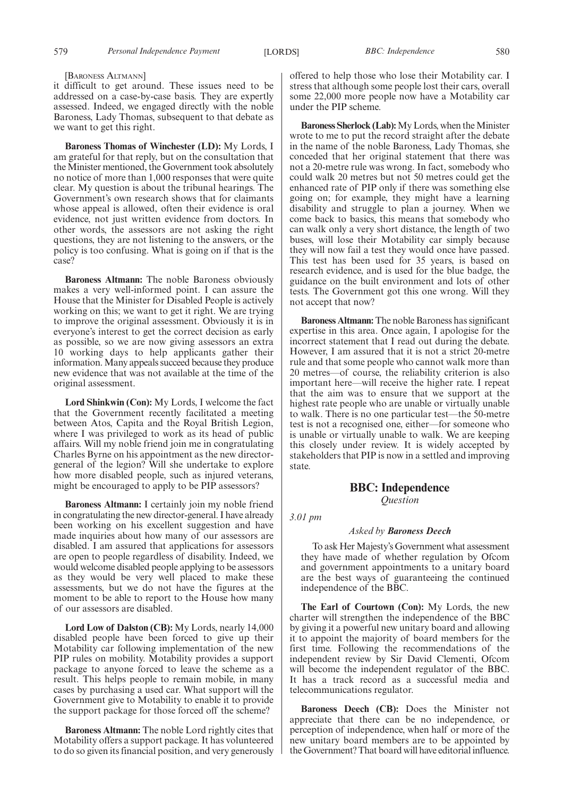#### [BARONESS ALTMANN]

it difficult to get around. These issues need to be addressed on a case-by-case basis. They are expertly assessed. Indeed, we engaged directly with the noble Baroness, Lady Thomas, subsequent to that debate as we want to get this right.

**Baroness Thomas of Winchester (LD):** My Lords, I am grateful for that reply, but on the consultation that the Minister mentioned, the Government took absolutely no notice of more than 1,000 responses that were quite clear. My question is about the tribunal hearings. The Government's own research shows that for claimants whose appeal is allowed, often their evidence is oral evidence, not just written evidence from doctors. In other words, the assessors are not asking the right questions, they are not listening to the answers, or the policy is too confusing. What is going on if that is the case?

**Baroness Altmann:** The noble Baroness obviously makes a very well-informed point. I can assure the House that the Minister for Disabled People is actively working on this; we want to get it right. We are trying to improve the original assessment. Obviously it is in everyone's interest to get the correct decision as early as possible, so we are now giving assessors an extra 10 working days to help applicants gather their information. Many appeals succeed because they produce new evidence that was not available at the time of the original assessment.

**Lord Shinkwin (Con):** My Lords, I welcome the fact that the Government recently facilitated a meeting between Atos, Capita and the Royal British Legion, where I was privileged to work as its head of public affairs. Will my noble friend join me in congratulating Charles Byrne on his appointment as the new directorgeneral of the legion? Will she undertake to explore how more disabled people, such as injured veterans, might be encouraged to apply to be PIP assessors?

**Baroness Altmann:** I certainly join my noble friend in congratulating the new director-general. I have already been working on his excellent suggestion and have made inquiries about how many of our assessors are disabled. I am assured that applications for assessors are open to people regardless of disability. Indeed, we would welcome disabled people applying to be assessors as they would be very well placed to make these assessments, but we do not have the figures at the moment to be able to report to the House how many of our assessors are disabled.

**Lord Low of Dalston (CB):** My Lords, nearly 14,000 disabled people have been forced to give up their Motability car following implementation of the new PIP rules on mobility. Motability provides a support package to anyone forced to leave the scheme as a result. This helps people to remain mobile, in many cases by purchasing a used car. What support will the Government give to Motability to enable it to provide the support package for those forced off the scheme?

**Baroness Altmann:** The noble Lord rightly cites that Motability offers a support package. It has volunteered to do so given its financial position, and very generously offered to help those who lose their Motability car. I stress that although some people lost their cars, overall some 22,000 more people now have a Motability car under the PIP scheme.

**Baroness Sherlock (Lab):**My Lords, when the Minister wrote to me to put the record straight after the debate in the name of the noble Baroness, Lady Thomas, she conceded that her original statement that there was not a 20-metre rule was wrong. In fact, somebody who could walk 20 metres but not 50 metres could get the enhanced rate of PIP only if there was something else going on; for example, they might have a learning disability and struggle to plan a journey. When we come back to basics, this means that somebody who can walk only a very short distance, the length of two buses, will lose their Motability car simply because they will now fail a test they would once have passed. This test has been used for 35 years, is based on research evidence, and is used for the blue badge, the guidance on the built environment and lots of other tests. The Government got this one wrong. Will they not accept that now?

**Baroness Altmann:**The noble Baroness has significant expertise in this area. Once again, I apologise for the incorrect statement that I read out during the debate. However, I am assured that it is not a strict 20-metre rule and that some people who cannot walk more than 20 metres—of course, the reliability criterion is also important here—will receive the higher rate. I repeat that the aim was to ensure that we support at the highest rate people who are unable or virtually unable to walk. There is no one particular test—the 50-metre test is not a recognised one, either—for someone who is unable or virtually unable to walk. We are keeping this closely under review. It is widely accepted by stakeholders that PIP is now in a settled and improving state.

#### **BBC: Independence** *Question*

*3.01 pm*

#### *Asked by Baroness Deech*

To ask Her Majesty's Government what assessment they have made of whether regulation by Ofcom and government appointments to a unitary board are the best ways of guaranteeing the continued independence of the BBC.

**The Earl of Courtown (Con):** My Lords, the new charter will strengthen the independence of the BBC by giving it a powerful new unitary board and allowing it to appoint the majority of board members for the first time. Following the recommendations of the independent review by Sir David Clementi, Ofcom will become the independent regulator of the BBC. It has a track record as a successful media and telecommunications regulator.

**Baroness Deech (CB):** Does the Minister not appreciate that there can be no independence, or perception of independence, when half or more of the new unitary board members are to be appointed by the Government? That board will have editorial influence.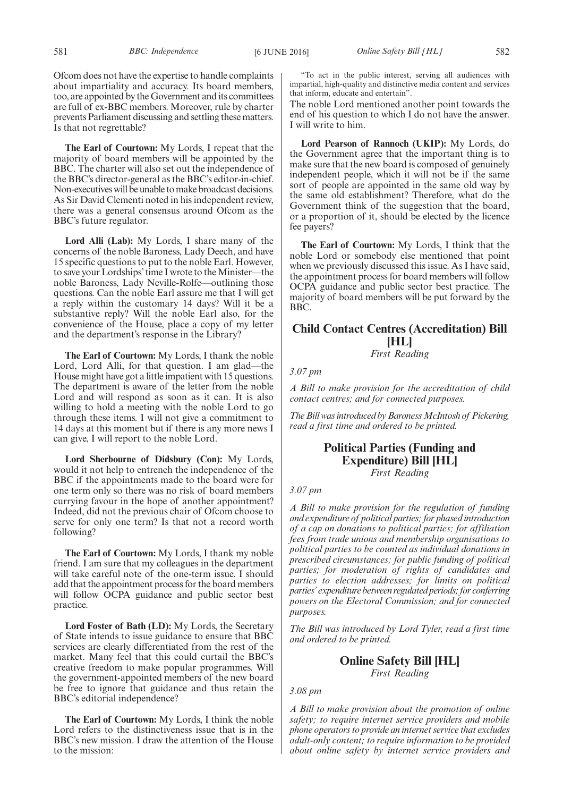Ofcom does not have the expertise to handle complaints about impartiality and accuracy. Its board members, too, are appointed by the Government and its committees are full of ex-BBC members. Moreover, rule by charter prevents Parliament discussing and settling these matters. Is that not regrettable?

**The Earl of Courtown:** My Lords, I repeat that the majority of board members will be appointed by the BBC. The charter will also set out the independence of the BBC's director-general as the BBC's editor-in-chief. Non-executives will be unable to make broadcast decisions. As Sir David Clementi noted in his independent review, there was a general consensus around Ofcom as the BBC's future regulator.

**Lord Alli (Lab):** My Lords, I share many of the concerns of the noble Baroness, Lady Deech, and have 15 specific questions to put to the noble Earl. However, to save your Lordships'time I wrote to the Minister—the noble Baroness, Lady Neville-Rolfe—outlining those questions. Can the noble Earl assure me that I will get a reply within the customary 14 days? Will it be a substantive reply? Will the noble Earl also, for the convenience of the House, place a copy of my letter and the department's response in the Library?

**The Earl of Courtown:** My Lords, I thank the noble Lord, Lord Alli, for that question. I am glad—the House might have got a little impatient with 15 questions. The department is aware of the letter from the noble Lord and will respond as soon as it can. It is also willing to hold a meeting with the noble Lord to go through these items. I will not give a commitment to 14 days at this moment but if there is any more news I can give, I will report to the noble Lord.

**Lord Sherbourne of Didsbury (Con):** My Lords, would it not help to entrench the independence of the BBC if the appointments made to the board were for one term only so there was no risk of board members currying favour in the hope of another appointment? Indeed, did not the previous chair of Ofcom choose to serve for only one term? Is that not a record worth following?

**The Earl of Courtown:** My Lords, I thank my noble friend. I am sure that my colleagues in the department will take careful note of the one-term issue. I should add that the appointment process for the board members will follow OCPA guidance and public sector best practice.

**Lord Foster of Bath (LD):** My Lords, the Secretary of State intends to issue guidance to ensure that BBC services are clearly differentiated from the rest of the market. Many feel that this could curtail the BBC's creative freedom to make popular programmes. Will the government-appointed members of the new board be free to ignore that guidance and thus retain the BBC's editorial independence?

**The Earl of Courtown:** My Lords, I think the noble Lord refers to the distinctiveness issue that is in the BBC's new mission. I draw the attention of the House to the mission:

"To act in the public interest, serving all audiences with impartial, high-quality and distinctive media content and services that inform, educate and entertain".

The noble Lord mentioned another point towards the end of his question to which I do not have the answer. I will write to him.

**Lord Pearson of Rannoch (UKIP):** My Lords, do the Government agree that the important thing is to make sure that the new board is composed of genuinely independent people, which it will not be if the same sort of people are appointed in the same old way by the same old establishment? Therefore, what do the Government think of the suggestion that the board, or a proportion of it, should be elected by the licence fee payers?

**The Earl of Courtown:** My Lords, I think that the noble Lord or somebody else mentioned that point when we previously discussed this issue. As I have said, the appointment process for board members will follow OCPA guidance and public sector best practice. The majority of board members will be put forward by the BBC.

#### **Child Contact Centres (Accreditation) Bill [HL]** *First Reading*

*3.07 pm*

*A Bill to make provision for the accreditation of child contact centres; and for connected purposes.*

*The Bill was introduced by Baroness McIntosh of Pickering, read a first time and ordered to be printed.*

#### **Political Parties (Funding and Expenditure) Bill [HL]** *First Reading*

#### *3.07 pm*

*A Bill to make provision for the regulation of funding and expenditure of political parties; for phased introduction of a cap on donations to political parties; for affiliation fees from trade unions and membership organisations to political parties to be counted as individual donations in prescribed circumstances; for public funding of political parties; for moderation of rights of candidates and parties to election addresses; for limits on political parties' expenditure between regulated periods; for conferring powers on the Electoral Commission; and for connected purposes.*

*The Bill was introduced by Lord Tyler, read a first time and ordered to be printed.*

## **Online Safety Bill [HL]** *First Reading*

#### *3.08 pm*

*A Bill to make provision about the promotion of online safety; to require internet service providers and mobile phone operators to provide an internet service that excludes adult-only content; to require information to be provided about online safety by internet service providers and*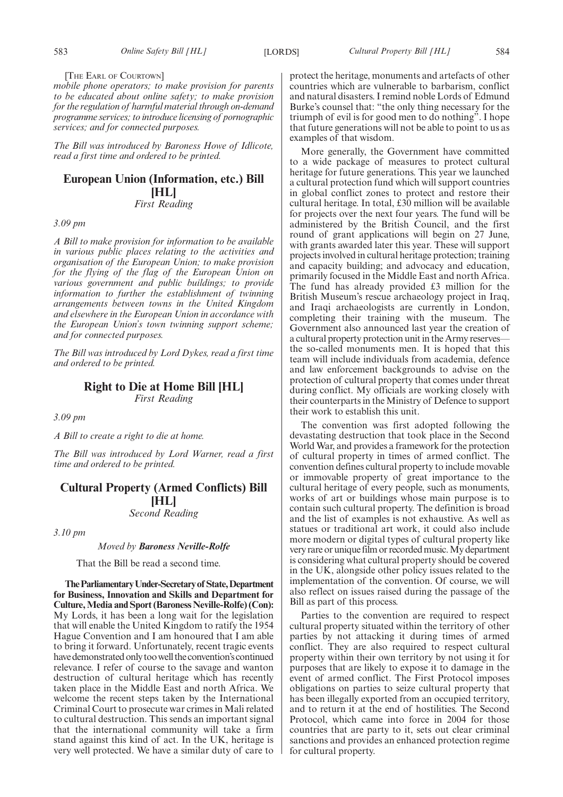#### [THE EARL OF COURTOWN]

*mobile phone operators; to make provision for parents to be educated about online safety; to make provision for the regulation of harmful material through on-demand programme services; to introduce licensing of pornographic services; and for connected purposes.*

*The Bill was introduced by Baroness Howe of Idlicote, read a first time and ordered to be printed.*

# **European Union (Information, etc.) Bill [HL]**

#### *First Reading*

*3.09 pm*

*A Bill to make provision for information to be available in various public places relating to the activities and organisation of the European Union; to make provision for the flying of the flag of the European Union on various government and public buildings; to provide information to further the establishment of twinning arrangements between towns in the United Kingdom and elsewhere in the European Union in accordance with the European Union's town twinning support scheme; and for connected purposes.*

*The Bill was introduced by Lord Dykes, read a first time and ordered to be printed.*

#### **Right to Die at Home Bill [HL]** *First Reading*

*3.09 pm*

*A Bill to create a right to die at home.*

*The Bill was introduced by Lord Warner, read a first time and ordered to be printed.*

# **Cultural Property (Armed Conflicts) Bill [HL]**

*Second Reading*

*3.10 pm*

#### *Moved by Baroness Neville-Rolfe*

That the Bill be read a second time.

**TheParliamentaryUnder-Secretaryof State,Department for Business, Innovation and Skills and Department for Culture, Media and Sport (Baroness Neville-Rolfe) (Con):** My Lords, it has been a long wait for the legislation that will enable the United Kingdom to ratify the 1954 Hague Convention and I am honoured that I am able to bring it forward. Unfortunately, recent tragic events have demonstrated only too well the convention's continued relevance. I refer of course to the savage and wanton destruction of cultural heritage which has recently taken place in the Middle East and north Africa. We welcome the recent steps taken by the International Criminal Court to prosecute war crimes in Mali related to cultural destruction. This sends an important signal that the international community will take a firm stand against this kind of act. In the UK, heritage is very well protected. We have a similar duty of care to protect the heritage, monuments and artefacts of other countries which are vulnerable to barbarism, conflict and natural disasters. I remind noble Lords of Edmund Burke's counsel that: "the only thing necessary for the triumph of evil is for good men to do nothing". I hope that future generations will not be able to point to us as examples of that wisdom.

More generally, the Government have committed to a wide package of measures to protect cultural heritage for future generations. This year we launched a cultural protection fund which will support countries in global conflict zones to protect and restore their cultural heritage. In total, £30 million will be available for projects over the next four years. The fund will be administered by the British Council, and the first round of grant applications will begin on 27 June, with grants awarded later this year. These will support projects involved in cultural heritage protection; training and capacity building; and advocacy and education, primarily focused in the Middle East and north Africa. The fund has already provided £3 million for the British Museum's rescue archaeology project in Iraq, and Iraqi archaeologists are currently in London, completing their training with the museum. The Government also announced last year the creation of a cultural property protection unit in the Army reserves the so-called monuments men. It is hoped that this team will include individuals from academia, defence and law enforcement backgrounds to advise on the protection of cultural property that comes under threat during conflict. My officials are working closely with their counterparts in the Ministry of Defence to support their work to establish this unit.

The convention was first adopted following the devastating destruction that took place in the Second World War, and provides a framework for the protection of cultural property in times of armed conflict. The convention defines cultural property to include movable or immovable property of great importance to the cultural heritage of every people, such as monuments, works of art or buildings whose main purpose is to contain such cultural property. The definition is broad and the list of examples is not exhaustive. As well as statues or traditional art work, it could also include more modern or digital types of cultural property like very rare or unique film or recorded music. My department is considering what cultural property should be covered in the UK, alongside other policy issues related to the implementation of the convention. Of course, we will also reflect on issues raised during the passage of the Bill as part of this process.

Parties to the convention are required to respect cultural property situated within the territory of other parties by not attacking it during times of armed conflict. They are also required to respect cultural property within their own territory by not using it for purposes that are likely to expose it to damage in the event of armed conflict. The First Protocol imposes obligations on parties to seize cultural property that has been illegally exported from an occupied territory, and to return it at the end of hostilities. The Second Protocol, which came into force in 2004 for those countries that are party to it, sets out clear criminal sanctions and provides an enhanced protection regime for cultural property.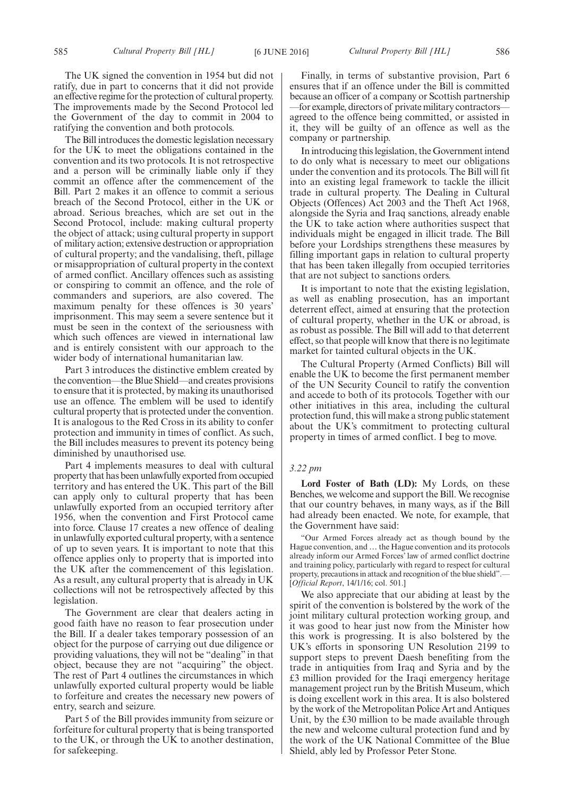The UK signed the convention in 1954 but did not ratify, due in part to concerns that it did not provide an effective regime for the protection of cultural property. The improvements made by the Second Protocol led the Government of the day to commit in 2004 to ratifying the convention and both protocols.

The Bill introduces the domestic legislation necessary for the UK to meet the obligations contained in the convention and its two protocols. It is not retrospective and a person will be criminally liable only if they commit an offence after the commencement of the Bill. Part 2 makes it an offence to commit a serious breach of the Second Protocol, either in the UK or abroad. Serious breaches, which are set out in the Second Protocol, include: making cultural property the object of attack; using cultural property in support of military action; extensive destruction or appropriation of cultural property; and the vandalising, theft, pillage or misappropriation of cultural property in the context of armed conflict. Ancillary offences such as assisting or conspiring to commit an offence, and the role of commanders and superiors, are also covered. The maximum penalty for these offences is 30 years' imprisonment. This may seem a severe sentence but it must be seen in the context of the seriousness with which such offences are viewed in international law and is entirely consistent with our approach to the wider body of international humanitarian law.

Part 3 introduces the distinctive emblem created by the convention—the Blue Shield—and creates provisions to ensure that it is protected, by making its unauthorised use an offence. The emblem will be used to identify cultural property that is protected under the convention. It is analogous to the Red Cross in its ability to confer protection and immunity in times of conflict. As such, the Bill includes measures to prevent its potency being diminished by unauthorised use.

Part 4 implements measures to deal with cultural property that has been unlawfully exported from occupied territory and has entered the UK. This part of the Bill can apply only to cultural property that has been unlawfully exported from an occupied territory after 1956, when the convention and First Protocol came into force. Clause 17 creates a new offence of dealing in unlawfully exported cultural property, with a sentence of up to seven years. It is important to note that this offence applies only to property that is imported into the UK after the commencement of this legislation. As a result, any cultural property that is already in UK collections will not be retrospectively affected by this legislation.

The Government are clear that dealers acting in good faith have no reason to fear prosecution under the Bill. If a dealer takes temporary possession of an object for the purpose of carrying out due diligence or providing valuations, they will not be "dealing" in that object, because they are not "acquiring" the object. The rest of Part 4 outlines the circumstances in which unlawfully exported cultural property would be liable to forfeiture and creates the necessary new powers of entry, search and seizure.

Part 5 of the Bill provides immunity from seizure or forfeiture for cultural property that is being transported to the UK, or through the UK to another destination, for safekeeping.

Finally, in terms of substantive provision, Part 6 ensures that if an offence under the Bill is committed because an officer of a company or Scottish partnership —for example, directors of private military contractors agreed to the offence being committed, or assisted in it, they will be guilty of an offence as well as the company or partnership.

In introducing this legislation, the Government intend to do only what is necessary to meet our obligations under the convention and its protocols. The Bill will fit into an existing legal framework to tackle the illicit trade in cultural property. The Dealing in Cultural Objects (Offences) Act 2003 and the Theft Act 1968, alongside the Syria and Iraq sanctions, already enable the UK to take action where authorities suspect that individuals might be engaged in illicit trade. The Bill before your Lordships strengthens these measures by filling important gaps in relation to cultural property that has been taken illegally from occupied territories that are not subject to sanctions orders.

It is important to note that the existing legislation, as well as enabling prosecution, has an important deterrent effect, aimed at ensuring that the protection of cultural property, whether in the UK or abroad, is as robust as possible. The Bill will add to that deterrent effect, so that people will know that there is no legitimate market for tainted cultural objects in the UK.

The Cultural Property (Armed Conflicts) Bill will enable the UK to become the first permanent member of the UN Security Council to ratify the convention and accede to both of its protocols. Together with our other initiatives in this area, including the cultural protection fund, this will make a strong public statement about the UK's commitment to protecting cultural property in times of armed conflict. I beg to move.

#### *3.22 pm*

**Lord Foster of Bath (LD):** My Lords, on these Benches, we welcome and support the Bill. We recognise that our country behaves, in many ways, as if the Bill had already been enacted. We note, for example, that the Government have said:

"Our Armed Forces already act as though bound by the Hague convention, and … the Hague convention and its protocols already inform our Armed Forces' law of armed conflict doctrine and training policy, particularly with regard to respect for cultural property, precautions in attack and recognition of the blue shield".— [*Official Report*, 14/1/16; col. 501.]

We also appreciate that our abiding at least by the spirit of the convention is bolstered by the work of the joint military cultural protection working group, and it was good to hear just now from the Minister how this work is progressing. It is also bolstered by the UK's efforts in sponsoring UN Resolution 2199 to support steps to prevent Daesh benefiting from the trade in antiquities from Iraq and Syria and by the £3 million provided for the Iraqi emergency heritage management project run by the British Museum, which is doing excellent work in this area. It is also bolstered by the work of the Metropolitan Police Art and Antiques Unit, by the £30 million to be made available through the new and welcome cultural protection fund and by the work of the UK National Committee of the Blue Shield, ably led by Professor Peter Stone.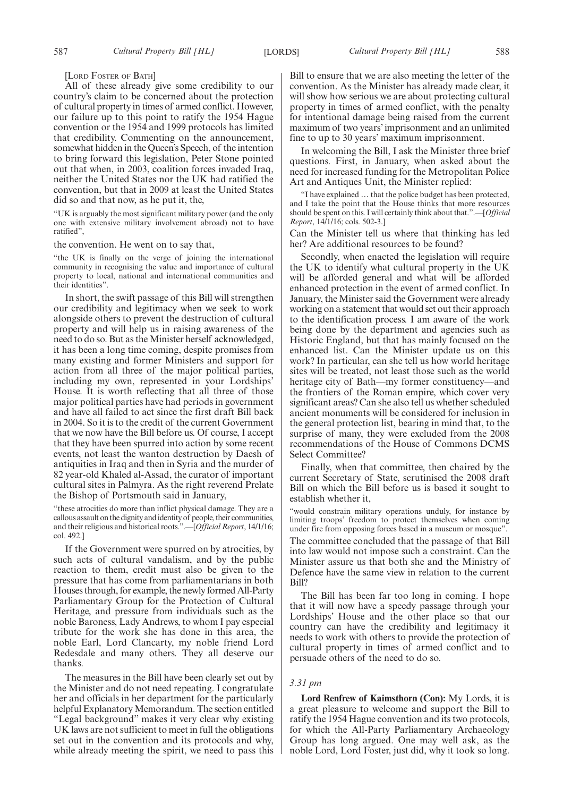[LORD FOSTER OF BATH]

All of these already give some credibility to our country's claim to be concerned about the protection of cultural property in times of armed conflict. However, our failure up to this point to ratify the 1954 Hague convention or the 1954 and 1999 protocols has limited that credibility. Commenting on the announcement, somewhat hidden in the Queen's Speech, of the intention to bring forward this legislation, Peter Stone pointed out that when, in 2003, coalition forces invaded Iraq, neither the United States nor the UK had ratified the convention, but that in 2009 at least the United States did so and that now, as he put it, the,

"UK is arguably the most significant military power (and the only one with extensive military involvement abroad) not to have ratified",

the convention. He went on to say that,

"the UK is finally on the verge of joining the international community in recognising the value and importance of cultural property to local, national and international communities and their identities".

In short, the swift passage of this Bill will strengthen our credibility and legitimacy when we seek to work alongside others to prevent the destruction of cultural property and will help us in raising awareness of the need to do so. But as the Minister herself acknowledged, it has been a long time coming, despite promises from many existing and former Ministers and support for action from all three of the major political parties, including my own, represented in your Lordships' House. It is worth reflecting that all three of those major political parties have had periods in government and have all failed to act since the first draft Bill back in 2004. So it is to the credit of the current Government that we now have the Bill before us. Of course, I accept that they have been spurred into action by some recent events, not least the wanton destruction by Daesh of antiquities in Iraq and then in Syria and the murder of 82 year-old Khaled al-Assad, the curator of important cultural sites in Palmyra. As the right reverend Prelate the Bishop of Portsmouth said in January,

"these atrocities do more than inflict physical damage. They are a callous assault on the dignity and identity of people, their communities, and their religious and historical roots.".—[*Official Report*, 14/1/16; col. 492.]

If the Government were spurred on by atrocities, by such acts of cultural vandalism, and by the public reaction to them, credit must also be given to the pressure that has come from parliamentarians in both Houses through, for example, the newly formed All-Party Parliamentary Group for the Protection of Cultural Heritage, and pressure from individuals such as the noble Baroness, Lady Andrews, to whom I pay especial tribute for the work she has done in this area, the noble Earl, Lord Clancarty, my noble friend Lord Redesdale and many others. They all deserve our thanks.

The measures in the Bill have been clearly set out by the Minister and do not need repeating. I congratulate her and officials in her department for the particularly helpful Explanatory Memorandum. The section entitled "Legal background" makes it very clear why existing UK laws are not sufficient to meet in full the obligations set out in the convention and its protocols and why, while already meeting the spirit, we need to pass this Bill to ensure that we are also meeting the letter of the convention. As the Minister has already made clear, it will show how serious we are about protecting cultural property in times of armed conflict, with the penalty for intentional damage being raised from the current maximum of two years' imprisonment and an unlimited fine to up to 30 years' maximum imprisonment.

In welcoming the Bill, I ask the Minister three brief questions. First, in January, when asked about the need for increased funding for the Metropolitan Police Art and Antiques Unit, the Minister replied:

"I have explained … that the police budget has been protected, and I take the point that the House thinks that more resources should be spent on this. I will certainly think about that.".—[*Official Report*, 14/1/16; cols. 502-3.]

Can the Minister tell us where that thinking has led her? Are additional resources to be found?

Secondly, when enacted the legislation will require the UK to identify what cultural property in the UK will be afforded general and what will be afforded enhanced protection in the event of armed conflict. In January, the Minister said the Government were already working on a statement that would set out their approach to the identification process. I am aware of the work being done by the department and agencies such as Historic England, but that has mainly focused on the enhanced list. Can the Minister update us on this work? In particular, can she tell us how world heritage sites will be treated, not least those such as the world heritage city of Bath—my former constituency—and the frontiers of the Roman empire, which cover very significant areas? Can she also tell us whether scheduled ancient monuments will be considered for inclusion in the general protection list, bearing in mind that, to the surprise of many, they were excluded from the 2008 recommendations of the House of Commons DCMS Select Committee?

Finally, when that committee, then chaired by the current Secretary of State, scrutinised the 2008 draft Bill on which the Bill before us is based it sought to establish whether it,

'would constrain military operations unduly, for instance by limiting troops' freedom to protect themselves when coming under fire from opposing forces based in a museum or mosque".

The committee concluded that the passage of that Bill into law would not impose such a constraint. Can the Minister assure us that both she and the Ministry of Defence have the same view in relation to the current Bill?

The Bill has been far too long in coming. I hope that it will now have a speedy passage through your Lordships' House and the other place so that our country can have the credibility and legitimacy it needs to work with others to provide the protection of cultural property in times of armed conflict and to persuade others of the need to do so.

#### *3.31 pm*

**Lord Renfrew of Kaimsthorn (Con):** My Lords, it is a great pleasure to welcome and support the Bill to ratify the 1954 Hague convention and its two protocols, for which the All-Party Parliamentary Archaeology Group has long argued. One may well ask, as the noble Lord, Lord Foster, just did, why it took so long.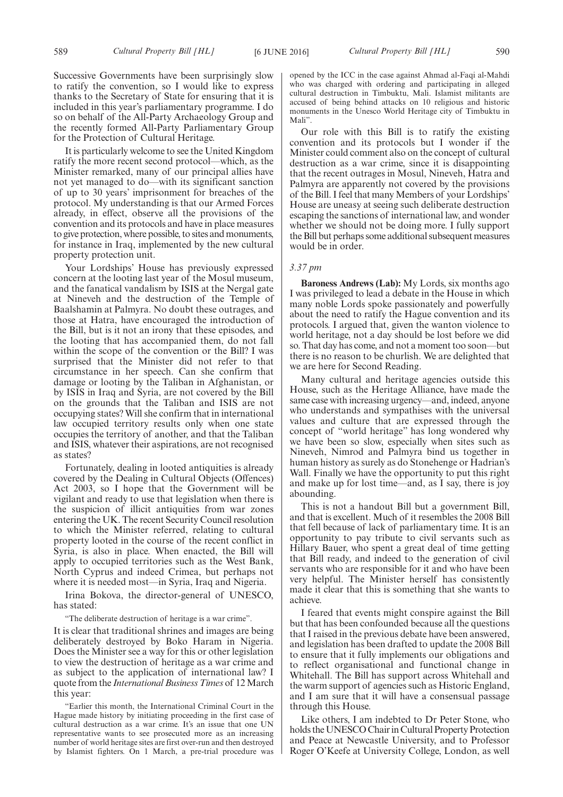Successive Governments have been surprisingly slow to ratify the convention, so I would like to express thanks to the Secretary of State for ensuring that it is included in this year's parliamentary programme. I do so on behalf of the All-Party Archaeology Group and the recently formed All-Party Parliamentary Group for the Protection of Cultural Heritage.

It is particularly welcome to see the United Kingdom ratify the more recent second protocol—which, as the Minister remarked, many of our principal allies have not yet managed to do—with its significant sanction of up to 30 years' imprisonment for breaches of the protocol. My understanding is that our Armed Forces already, in effect, observe all the provisions of the convention and its protocols and have in place measures to give protection, where possible, to sites and monuments, for instance in Iraq, implemented by the new cultural property protection unit.

Your Lordships' House has previously expressed concern at the looting last year of the Mosul museum, and the fanatical vandalism by ISIS at the Nergal gate at Nineveh and the destruction of the Temple of Baalshamin at Palmyra. No doubt these outrages, and those at Hatra, have encouraged the introduction of the Bill, but is it not an irony that these episodes, and the looting that has accompanied them, do not fall within the scope of the convention or the Bill? I was surprised that the Minister did not refer to that circumstance in her speech. Can she confirm that damage or looting by the Taliban in Afghanistan, or by ISIS in Iraq and Syria, are not covered by the Bill on the grounds that the Taliban and ISIS are not occupying states? Will she confirm that in international law occupied territory results only when one state occupies the territory of another, and that the Taliban and ISIS, whatever their aspirations, are not recognised as states?

Fortunately, dealing in looted antiquities is already covered by the Dealing in Cultural Objects (Offences) Act 2003, so I hope that the Government will be vigilant and ready to use that legislation when there is the suspicion of illicit antiquities from war zones entering the UK. The recent Security Council resolution to which the Minister referred, relating to cultural property looted in the course of the recent conflict in Syria, is also in place. When enacted, the Bill will apply to occupied territories such as the West Bank, North Cyprus and indeed Crimea, but perhaps not where it is needed most—in Syria, Iraq and Nigeria.

Irina Bokova, the director-general of UNESCO, has stated:

"The deliberate destruction of heritage is a war crime".

It is clear that traditional shrines and images are being deliberately destroyed by Boko Haram in Nigeria. Does the Minister see a way for this or other legislation to view the destruction of heritage as a war crime and as subject to the application of international law? I quote from the *International Business Times* of 12 March this year:

"Earlier this month, the International Criminal Court in the Hague made history by initiating proceeding in the first case of cultural destruction as a war crime. It's an issue that one UN representative wants to see prosecuted more as an increasing number of world heritage sites are first over-run and then destroyed by Islamist fighters. On 1 March, a pre-trial procedure was opened by the ICC in the case against Ahmad al-Faqi al-Mahdi who was charged with ordering and participating in alleged cultural destruction in Timbuktu, Mali. Islamist militants are accused of being behind attacks on 10 religious and historic monuments in the Unesco World Heritage city of Timbuktu in Mali".

Our role with this Bill is to ratify the existing convention and its protocols but I wonder if the Minister could comment also on the concept of cultural destruction as a war crime, since it is disappointing that the recent outrages in Mosul, Nineveh, Hatra and Palmyra are apparently not covered by the provisions of the Bill. I feel that many Members of your Lordships' House are uneasy at seeing such deliberate destruction escaping the sanctions of international law, and wonder whether we should not be doing more. I fully support the Bill but perhaps some additional subsequent measures would be in order.

#### *3.37 pm*

**Baroness Andrews (Lab):** My Lords, six months ago I was privileged to lead a debate in the House in which many noble Lords spoke passionately and powerfully about the need to ratify the Hague convention and its protocols. I argued that, given the wanton violence to world heritage, not a day should be lost before we did so. That day has come, and not a moment too soon—but there is no reason to be churlish. We are delighted that we are here for Second Reading.

Many cultural and heritage agencies outside this House, such as the Heritage Alliance, have made the same case with increasing urgency—and, indeed, anyone who understands and sympathises with the universal values and culture that are expressed through the concept of "world heritage" has long wondered why we have been so slow, especially when sites such as Nineveh, Nimrod and Palmyra bind us together in human history as surely as do Stonehenge or Hadrian's Wall. Finally we have the opportunity to put this right and make up for lost time—and, as I say, there is joy abounding.

This is not a handout Bill but a government Bill, and that is excellent. Much of it resembles the 2008 Bill that fell because of lack of parliamentary time. It is an opportunity to pay tribute to civil servants such as Hillary Bauer, who spent a great deal of time getting that Bill ready, and indeed to the generation of civil servants who are responsible for it and who have been very helpful. The Minister herself has consistently made it clear that this is something that she wants to achieve.

I feared that events might conspire against the Bill but that has been confounded because all the questions that I raised in the previous debate have been answered, and legislation has been drafted to update the 2008 Bill to ensure that it fully implements our obligations and to reflect organisational and functional change in Whitehall. The Bill has support across Whitehall and the warm support of agencies such as Historic England, and I am sure that it will have a consensual passage through this House.

Like others, I am indebted to Dr Peter Stone, who holds the UNESCO Chair in Cultural Property Protection and Peace at Newcastle University, and to Professor Roger O'Keefe at University College, London, as well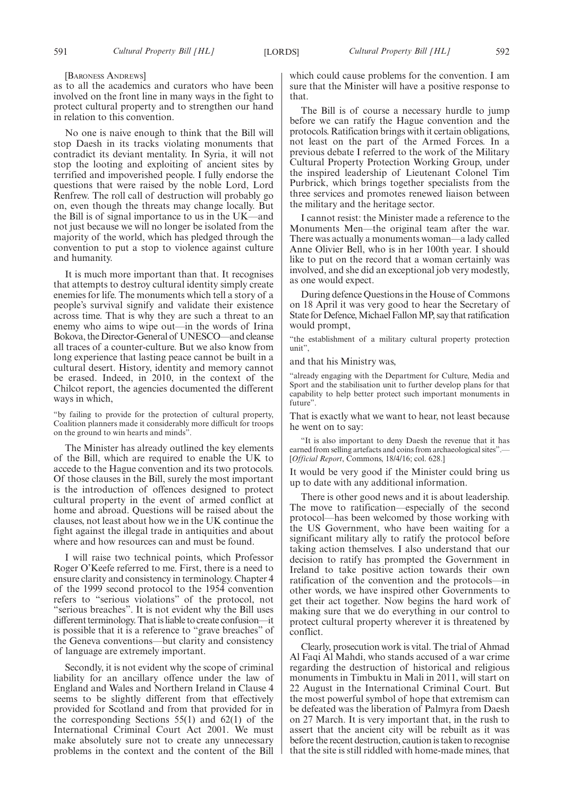[BARONESS ANDREWS]

as to all the academics and curators who have been involved on the front line in many ways in the fight to protect cultural property and to strengthen our hand in relation to this convention.

No one is naive enough to think that the Bill will stop Daesh in its tracks violating monuments that contradict its deviant mentality. In Syria, it will not stop the looting and exploiting of ancient sites by terrified and impoverished people. I fully endorse the questions that were raised by the noble Lord, Lord Renfrew. The roll call of destruction will probably go on, even though the threats may change locally. But the Bill is of signal importance to us in the UK—and not just because we will no longer be isolated from the majority of the world, which has pledged through the convention to put a stop to violence against culture and humanity.

It is much more important than that. It recognises that attempts to destroy cultural identity simply create enemies for life. The monuments which tell a story of a people's survival signify and validate their existence across time. That is why they are such a threat to an enemy who aims to wipe out—in the words of Irina Bokova, the Director-General of UNESCO—and cleanse all traces of a counter-culture. But we also know from long experience that lasting peace cannot be built in a cultural desert. History, identity and memory cannot be erased. Indeed, in 2010, in the context of the Chilcot report, the agencies documented the different ways in which,

"by failing to provide for the protection of cultural property, Coalition planners made it considerably more difficult for troops on the ground to win hearts and minds".

The Minister has already outlined the key elements of the Bill, which are required to enable the UK to accede to the Hague convention and its two protocols. Of those clauses in the Bill, surely the most important is the introduction of offences designed to protect cultural property in the event of armed conflict at home and abroad. Questions will be raised about the clauses, not least about how we in the UK continue the fight against the illegal trade in antiquities and about where and how resources can and must be found.

I will raise two technical points, which Professor Roger O'Keefe referred to me. First, there is a need to ensure clarity and consistency in terminology. Chapter 4 of the 1999 second protocol to the 1954 convention refers to "serious violations" of the protocol, not "serious breaches". It is not evident why the Bill uses different terminology. That is liable to create confusion—it is possible that it is a reference to "grave breaches" of the Geneva conventions—but clarity and consistency of language are extremely important.

Secondly, it is not evident why the scope of criminal liability for an ancillary offence under the law of England and Wales and Northern Ireland in Clause 4 seems to be slightly different from that effectively provided for Scotland and from that provided for in the corresponding Sections  $55(1)$  and  $62(1)$  of the International Criminal Court Act 2001. We must make absolutely sure not to create any unnecessary problems in the context and the content of the Bill which could cause problems for the convention. I am sure that the Minister will have a positive response to that.

The Bill is of course a necessary hurdle to jump before we can ratify the Hague convention and the protocols. Ratification brings with it certain obligations, not least on the part of the Armed Forces. In a previous debate I referred to the work of the Military Cultural Property Protection Working Group, under the inspired leadership of Lieutenant Colonel Tim Purbrick, which brings together specialists from the three services and promotes renewed liaison between the military and the heritage sector.

I cannot resist: the Minister made a reference to the Monuments Men—the original team after the war. There was actually a monuments woman—a lady called Anne Olivier Bell, who is in her 100th year. I should like to put on the record that a woman certainly was involved, and she did an exceptional job very modestly, as one would expect.

During defence Questions in the House of Commons on 18 April it was very good to hear the Secretary of State for Defence, Michael Fallon MP, say that ratification would prompt,

"the establishment of a military cultural property protection unit",

and that his Ministry was,

"already engaging with the Department for Culture, Media and Sport and the stabilisation unit to further develop plans for that capability to help better protect such important monuments in future"

That is exactly what we want to hear, not least because he went on to say:

"It is also important to deny Daesh the revenue that it has earned from selling artefacts and coins from archaeological sites".-[*Official Report*, Commons, 18/4/16; col. 628.]

It would be very good if the Minister could bring us up to date with any additional information.

There is other good news and it is about leadership. The move to ratification—especially of the second protocol—has been welcomed by those working with the US Government, who have been waiting for a significant military ally to ratify the protocol before taking action themselves. I also understand that our decision to ratify has prompted the Government in Ireland to take positive action towards their own ratification of the convention and the protocols—in other words, we have inspired other Governments to get their act together. Now begins the hard work of making sure that we do everything in our control to protect cultural property wherever it is threatened by conflict.

Clearly, prosecution work is vital. The trial of Ahmad Al Faqi Al Mahdi, who stands accused of a war crime regarding the destruction of historical and religious monuments in Timbuktu in Mali in 2011, will start on 22 August in the International Criminal Court. But the most powerful symbol of hope that extremism can be defeated was the liberation of Palmyra from Daesh on 27 March. It is very important that, in the rush to assert that the ancient city will be rebuilt as it was before the recent destruction, caution is taken to recognise that the site is still riddled with home-made mines, that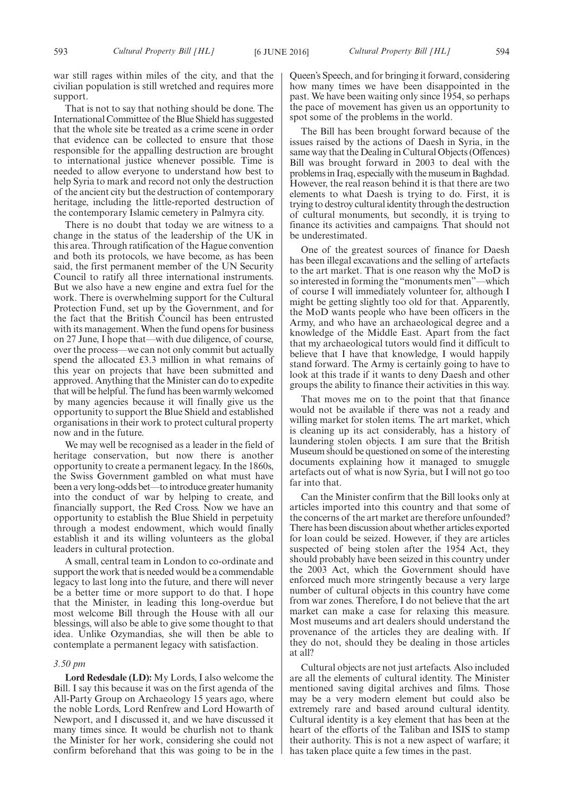war still rages within miles of the city, and that the civilian population is still wretched and requires more support.

That is not to say that nothing should be done. The International Committee of the Blue Shield has suggested that the whole site be treated as a crime scene in order that evidence can be collected to ensure that those responsible for the appalling destruction are brought to international justice whenever possible. Time is needed to allow everyone to understand how best to help Syria to mark and record not only the destruction of the ancient city but the destruction of contemporary heritage, including the little-reported destruction of the contemporary Islamic cemetery in Palmyra city.

There is no doubt that today we are witness to a change in the status of the leadership of the UK in this area. Through ratification of the Hague convention and both its protocols, we have become, as has been said, the first permanent member of the UN Security Council to ratify all three international instruments. But we also have a new engine and extra fuel for the work. There is overwhelming support for the Cultural Protection Fund, set up by the Government, and for the fact that the British Council has been entrusted with its management. When the fund opens for business on 27 June, I hope that—with due diligence, of course, over the process—we can not only commit but actually spend the allocated £3.3 million in what remains of this year on projects that have been submitted and approved. Anything that the Minister can do to expedite that will be helpful. The fund has been warmly welcomed by many agencies because it will finally give us the opportunity to support the Blue Shield and established organisations in their work to protect cultural property now and in the future.

We may well be recognised as a leader in the field of heritage conservation, but now there is another opportunity to create a permanent legacy. In the 1860s, the Swiss Government gambled on what must have been a very long-odds bet—to introduce greater humanity into the conduct of war by helping to create, and financially support, the Red Cross. Now we have an opportunity to establish the Blue Shield in perpetuity through a modest endowment, which would finally establish it and its willing volunteers as the global leaders in cultural protection.

A small, central team in London to co-ordinate and support the work that is needed would be a commendable legacy to last long into the future, and there will never be a better time or more support to do that. I hope that the Minister, in leading this long-overdue but most welcome Bill through the House with all our blessings, will also be able to give some thought to that idea. Unlike Ozymandias, she will then be able to contemplate a permanent legacy with satisfaction.

#### *3.50 pm*

**Lord Redesdale (LD):** My Lords, I also welcome the Bill. I say this because it was on the first agenda of the All-Party Group on Archaeology 15 years ago, where the noble Lords, Lord Renfrew and Lord Howarth of Newport, and I discussed it, and we have discussed it many times since. It would be churlish not to thank the Minister for her work, considering she could not confirm beforehand that this was going to be in the

Queen's Speech, and for bringing it forward, considering how many times we have been disappointed in the past. We have been waiting only since 1954, so perhaps the pace of movement has given us an opportunity to spot some of the problems in the world.

The Bill has been brought forward because of the issues raised by the actions of Daesh in Syria, in the same way that the Dealing in Cultural Objects (Offences) Bill was brought forward in 2003 to deal with the problems in Iraq, especially with the museum in Baghdad. However, the real reason behind it is that there are two elements to what Daesh is trying to do. First, it is trying to destroy cultural identity through the destruction of cultural monuments, but secondly, it is trying to finance its activities and campaigns. That should not be underestimated.

One of the greatest sources of finance for Daesh has been illegal excavations and the selling of artefacts to the art market. That is one reason why the MoD is so interested in forming the "monuments men"—which of course I will immediately volunteer for, although I might be getting slightly too old for that. Apparently, the MoD wants people who have been officers in the Army, and who have an archaeological degree and a knowledge of the Middle East. Apart from the fact that my archaeological tutors would find it difficult to believe that I have that knowledge, I would happily stand forward. The Army is certainly going to have to look at this trade if it wants to deny Daesh and other groups the ability to finance their activities in this way.

That moves me on to the point that that finance would not be available if there was not a ready and willing market for stolen items. The art market, which is cleaning up its act considerably, has a history of laundering stolen objects. I am sure that the British Museum should be questioned on some of the interesting documents explaining how it managed to smuggle artefacts out of what is now Syria, but I will not go too far into that.

Can the Minister confirm that the Bill looks only at articles imported into this country and that some of the concerns of the art market are therefore unfounded? There has been discussion about whether articles exported for loan could be seized. However, if they are articles suspected of being stolen after the 1954 Act, they should probably have been seized in this country under the 2003 Act, which the Government should have enforced much more stringently because a very large number of cultural objects in this country have come from war zones. Therefore, I do not believe that the art market can make a case for relaxing this measure. Most museums and art dealers should understand the provenance of the articles they are dealing with. If they do not, should they be dealing in those articles at all?

Cultural objects are not just artefacts. Also included are all the elements of cultural identity. The Minister mentioned saving digital archives and films. Those may be a very modern element but could also be extremely rare and based around cultural identity. Cultural identity is a key element that has been at the heart of the efforts of the Taliban and ISIS to stamp their authority. This is not a new aspect of warfare; it has taken place quite a few times in the past.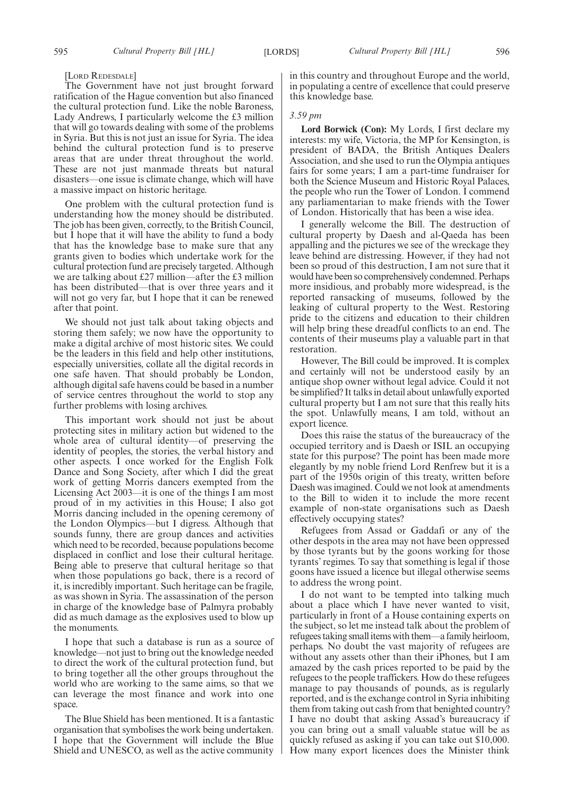#### [LORD REDESDALE]

The Government have not just brought forward ratification of the Hague convention but also financed the cultural protection fund. Like the noble Baroness, Lady Andrews, I particularly welcome the £3 million that will go towards dealing with some of the problems in Syria. But this is not just an issue for Syria. The idea behind the cultural protection fund is to preserve areas that are under threat throughout the world. These are not just manmade threats but natural disasters—one issue is climate change, which will have a massive impact on historic heritage.

One problem with the cultural protection fund is understanding how the money should be distributed. The job has been given, correctly, to the British Council, but I hope that it will have the ability to fund a body that has the knowledge base to make sure that any grants given to bodies which undertake work for the cultural protection fund are precisely targeted. Although we are talking about £27 million—after the £3 million has been distributed—that is over three years and it will not go very far, but I hope that it can be renewed after that point.

We should not just talk about taking objects and storing them safely; we now have the opportunity to make a digital archive of most historic sites. We could be the leaders in this field and help other institutions, especially universities, collate all the digital records in one safe haven. That should probably be London, although digital safe havens could be based in a number of service centres throughout the world to stop any further problems with losing archives.

This important work should not just be about protecting sites in military action but widened to the whole area of cultural identity—of preserving the identity of peoples, the stories, the verbal history and other aspects. I once worked for the English Folk Dance and Song Society, after which I did the great work of getting Morris dancers exempted from the Licensing Act 2003—it is one of the things I am most proud of in my activities in this House; I also got Morris dancing included in the opening ceremony of the London Olympics—but I digress. Although that sounds funny, there are group dances and activities which need to be recorded, because populations become displaced in conflict and lose their cultural heritage. Being able to preserve that cultural heritage so that when those populations go back, there is a record of it, is incredibly important. Such heritage can be fragile, as was shown in Syria. The assassination of the person in charge of the knowledge base of Palmyra probably did as much damage as the explosives used to blow up the monuments.

I hope that such a database is run as a source of knowledge—not just to bring out the knowledge needed to direct the work of the cultural protection fund, but to bring together all the other groups throughout the world who are working to the same aims, so that we can leverage the most finance and work into one space.

The Blue Shield has been mentioned. It is a fantastic organisation that symbolises the work being undertaken. I hope that the Government will include the Blue Shield and UNESCO, as well as the active community in this country and throughout Europe and the world, in populating a centre of excellence that could preserve this knowledge base.

#### *3.59 pm*

**Lord Borwick (Con):** My Lords, I first declare my interests: my wife, Victoria, the MP for Kensington, is president of BADA, the British Antiques Dealers Association, and she used to run the Olympia antiques fairs for some years; I am a part-time fundraiser for both the Science Museum and Historic Royal Palaces, the people who run the Tower of London. I commend any parliamentarian to make friends with the Tower of London. Historically that has been a wise idea.

I generally welcome the Bill. The destruction of cultural property by Daesh and al-Qaeda has been appalling and the pictures we see of the wreckage they leave behind are distressing. However, if they had not been so proud of this destruction, I am not sure that it would have been so comprehensively condemned. Perhaps more insidious, and probably more widespread, is the reported ransacking of museums, followed by the leaking of cultural property to the West. Restoring pride to the citizens and education to their children will help bring these dreadful conflicts to an end. The contents of their museums play a valuable part in that restoration.

However, The Bill could be improved. It is complex and certainly will not be understood easily by an antique shop owner without legal advice. Could it not be simplified? It talks in detail about unlawfully exported cultural property but I am not sure that this really hits the spot. Unlawfully means, I am told, without an export licence.

Does this raise the status of the bureaucracy of the occupied territory and is Daesh or ISIL an occupying state for this purpose? The point has been made more elegantly by my noble friend Lord Renfrew but it is a part of the 1950s origin of this treaty, written before Daesh was imagined. Could we not look at amendments to the Bill to widen it to include the more recent example of non-state organisations such as Daesh effectively occupying states?

Refugees from Assad or Gaddafi or any of the other despots in the area may not have been oppressed by those tyrants but by the goons working for those tyrants' regimes. To say that something is legal if those goons have issued a licence but illegal otherwise seems to address the wrong point.

I do not want to be tempted into talking much about a place which I have never wanted to visit, particularly in front of a House containing experts on the subject, so let me instead talk about the problem of refugees taking small items with them—a family heirloom, perhaps. No doubt the vast majority of refugees are without any assets other than their iPhones, but I am amazed by the cash prices reported to be paid by the refugees to the people traffickers. How do these refugees manage to pay thousands of pounds, as is regularly reported, and is the exchange control in Syria inhibiting them from taking out cash from that benighted country? I have no doubt that asking Assad's bureaucracy if you can bring out a small valuable statue will be as quickly refused as asking if you can take out \$10,000. How many export licences does the Minister think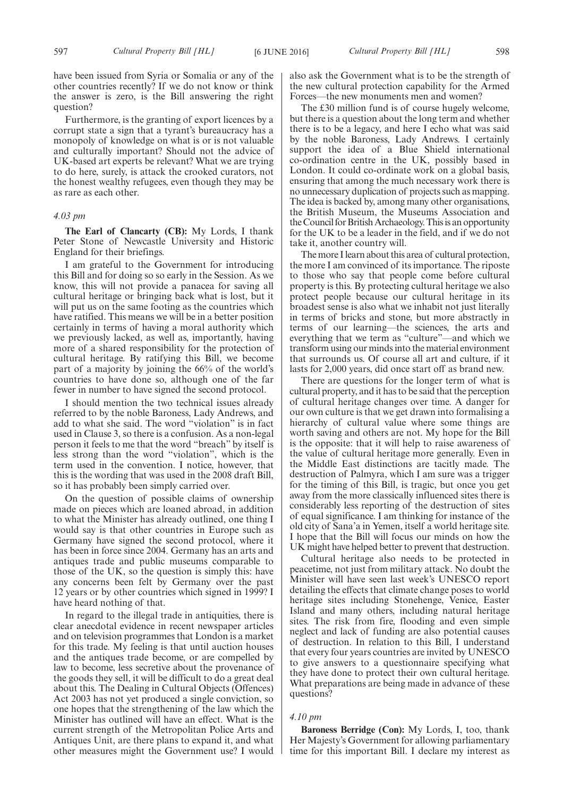have been issued from Syria or Somalia or any of the other countries recently? If we do not know or think the answer is zero, is the Bill answering the right question?

Furthermore, is the granting of export licences by a corrupt state a sign that a tyrant's bureaucracy has a monopoly of knowledge on what is or is not valuable and culturally important? Should not the advice of UK-based art experts be relevant? What we are trying to do here, surely, is attack the crooked curators, not the honest wealthy refugees, even though they may be as rare as each other.

#### *4.03 pm*

**The Earl of Clancarty (CB):** My Lords, I thank Peter Stone of Newcastle University and Historic England for their briefings.

I am grateful to the Government for introducing this Bill and for doing so so early in the Session. As we know, this will not provide a panacea for saving all cultural heritage or bringing back what is lost, but it will put us on the same footing as the countries which have ratified. This means we will be in a better position certainly in terms of having a moral authority which we previously lacked, as well as, importantly, having more of a shared responsibility for the protection of cultural heritage. By ratifying this Bill, we become part of a majority by joining the 66% of the world's countries to have done so, although one of the far fewer in number to have signed the second protocol.

I should mention the two technical issues already referred to by the noble Baroness, Lady Andrews, and add to what she said. The word "violation" is in fact used in Clause 3, so there is a confusion. As a non-legal person it feels to me that the word "breach" by itself is less strong than the word "violation", which is the term used in the convention. I notice, however, that this is the wording that was used in the 2008 draft Bill, so it has probably been simply carried over.

On the question of possible claims of ownership made on pieces which are loaned abroad, in addition to what the Minister has already outlined, one thing I would say is that other countries in Europe such as Germany have signed the second protocol, where it has been in force since 2004. Germany has an arts and antiques trade and public museums comparable to those of the UK, so the question is simply this: have any concerns been felt by Germany over the past 12 years or by other countries which signed in 1999? I have heard nothing of that.

In regard to the illegal trade in antiquities, there is clear anecdotal evidence in recent newspaper articles and on television programmes that London is a market for this trade. My feeling is that until auction houses and the antiques trade become, or are compelled by law to become, less secretive about the provenance of the goods they sell, it will be difficult to do a great deal about this. The Dealing in Cultural Objects (Offences) Act 2003 has not yet produced a single conviction, so one hopes that the strengthening of the law which the Minister has outlined will have an effect. What is the current strength of the Metropolitan Police Arts and Antiques Unit, are there plans to expand it, and what other measures might the Government use? I would also ask the Government what is to be the strength of the new cultural protection capability for the Armed Forces—the new monuments men and women?

The £30 million fund is of course hugely welcome, but there is a question about the long term and whether there is to be a legacy, and here I echo what was said by the noble Baroness, Lady Andrews. I certainly support the idea of a Blue Shield international co-ordination centre in the UK, possibly based in London. It could co-ordinate work on a global basis, ensuring that among the much necessary work there is no unnecessary duplication of projects such as mapping. The idea is backed by, among many other organisations, the British Museum, the Museums Association and the Council for British Archaeology. This is an opportunity for the UK to be a leader in the field, and if we do not take it, another country will.

The more I learn about this area of cultural protection, the more I am convinced of its importance. The riposte to those who say that people come before cultural property is this. By protecting cultural heritage we also protect people because our cultural heritage in its broadest sense is also what we inhabit not just literally in terms of bricks and stone, but more abstractly in terms of our learning—the sciences, the arts and everything that we term as "culture"—and which we transform using our minds into the material environment that surrounds us. Of course all art and culture, if it lasts for 2,000 years, did once start off as brand new.

There are questions for the longer term of what is cultural property, and it has to be said that the perception of cultural heritage changes over time. A danger for our own culture is that we get drawn into formalising a hierarchy of cultural value where some things are worth saving and others are not. My hope for the Bill is the opposite: that it will help to raise awareness of the value of cultural heritage more generally. Even in the Middle East distinctions are tacitly made. The destruction of Palmyra, which I am sure was a trigger for the timing of this Bill, is tragic, but once you get away from the more classically influenced sites there is considerably less reporting of the destruction of sites of equal significance. I am thinking for instance of the old city of Sana'a in Yemen, itself a world heritage site. I hope that the Bill will focus our minds on how the UK might have helped better to prevent that destruction.

Cultural heritage also needs to be protected in peacetime, not just from military attack. No doubt the Minister will have seen last week's UNESCO report detailing the effects that climate change poses to world heritage sites including Stonehenge, Venice, Easter Island and many others, including natural heritage sites. The risk from fire, flooding and even simple neglect and lack of funding are also potential causes of destruction. In relation to this Bill, I understand that every four years countries are invited by UNESCO to give answers to a questionnaire specifying what they have done to protect their own cultural heritage. What preparations are being made in advance of these questions?

#### *4.10 pm*

**Baroness Berridge (Con):** My Lords, I, too, thank Her Majesty's Government for allowing parliamentary time for this important Bill. I declare my interest as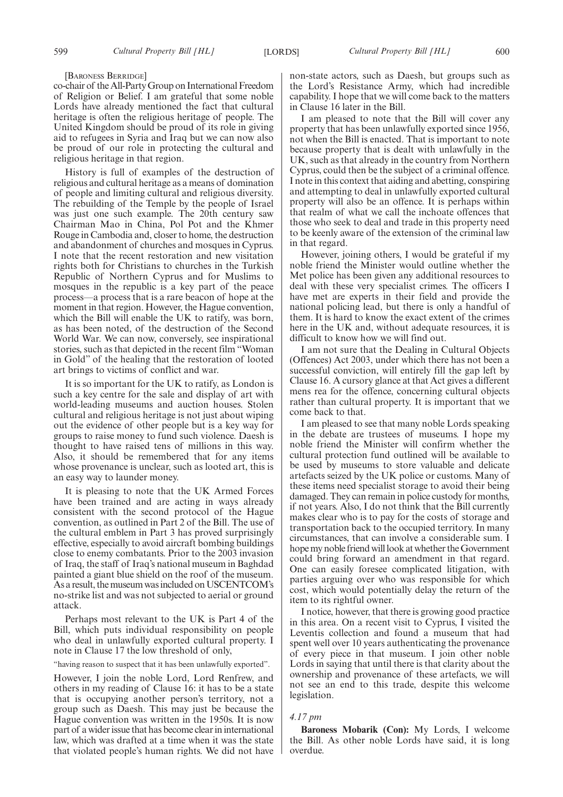#### [BARONESS BERRIDGE]

co-chair of the All-Party Group on International Freedom of Religion or Belief. I am grateful that some noble Lords have already mentioned the fact that cultural heritage is often the religious heritage of people. The United Kingdom should be proud of its role in giving aid to refugees in Syria and Iraq but we can now also be proud of our role in protecting the cultural and religious heritage in that region.

History is full of examples of the destruction of religious and cultural heritage as a means of domination of people and limiting cultural and religious diversity. The rebuilding of the Temple by the people of Israel was just one such example. The 20th century saw Chairman Mao in China, Pol Pot and the Khmer Rouge in Cambodia and, closer to home, the destruction and abandonment of churches and mosques in Cyprus. I note that the recent restoration and new visitation rights both for Christians to churches in the Turkish Republic of Northern Cyprus and for Muslims to mosques in the republic is a key part of the peace process—a process that is a rare beacon of hope at the moment in that region. However, the Hague convention, which the Bill will enable the UK to ratify, was born, as has been noted, of the destruction of the Second World War. We can now, conversely, see inspirational stories, such as that depicted in the recent film "Woman in Gold" of the healing that the restoration of looted art brings to victims of conflict and war.

It is so important for the UK to ratify, as London is such a key centre for the sale and display of art with world-leading museums and auction houses. Stolen cultural and religious heritage is not just about wiping out the evidence of other people but is a key way for groups to raise money to fund such violence. Daesh is thought to have raised tens of millions in this way. Also, it should be remembered that for any items whose provenance is unclear, such as looted art, this is an easy way to launder money.

It is pleasing to note that the UK Armed Forces have been trained and are acting in ways already consistent with the second protocol of the Hague convention, as outlined in Part 2 of the Bill. The use of the cultural emblem in Part 3 has proved surprisingly effective, especially to avoid aircraft bombing buildings close to enemy combatants. Prior to the 2003 invasion of Iraq, the staff of Iraq's national museum in Baghdad painted a giant blue shield on the roof of the museum. As a result, the museum was included on USCENTCOM's no-strike list and was not subjected to aerial or ground attack.

Perhaps most relevant to the UK is Part 4 of the Bill, which puts individual responsibility on people who deal in unlawfully exported cultural property. I note in Clause 17 the low threshold of only,

"having reason to suspect that it has been unlawfully exported".

However, I join the noble Lord, Lord Renfrew, and others in my reading of Clause 16: it has to be a state that is occupying another person's territory, not a group such as Daesh. This may just be because the Hague convention was written in the 1950s. It is now part of a wider issue that has become clear in international law, which was drafted at a time when it was the state that violated people's human rights. We did not have non-state actors, such as Daesh, but groups such as the Lord's Resistance Army, which had incredible capability. I hope that we will come back to the matters in Clause 16 later in the Bill.

I am pleased to note that the Bill will cover any property that has been unlawfully exported since 1956, not when the Bill is enacted. That is important to note because property that is dealt with unlawfully in the UK, such as that already in the country from Northern Cyprus, could then be the subject of a criminal offence. I note in this context that aiding and abetting, conspiring and attempting to deal in unlawfully exported cultural property will also be an offence. It is perhaps within that realm of what we call the inchoate offences that those who seek to deal and trade in this property need to be keenly aware of the extension of the criminal law in that regard.

However, joining others, I would be grateful if my noble friend the Minister would outline whether the Met police has been given any additional resources to deal with these very specialist crimes. The officers I have met are experts in their field and provide the national policing lead, but there is only a handful of them. It is hard to know the exact extent of the crimes here in the UK and, without adequate resources, it is difficult to know how we will find out.

I am not sure that the Dealing in Cultural Objects (Offences) Act 2003, under which there has not been a successful conviction, will entirely fill the gap left by Clause 16. A cursory glance at that Act gives a different mens rea for the offence, concerning cultural objects rather than cultural property. It is important that we come back to that.

I am pleased to see that many noble Lords speaking in the debate are trustees of museums. I hope my noble friend the Minister will confirm whether the cultural protection fund outlined will be available to be used by museums to store valuable and delicate artefacts seized by the UK police or customs. Many of these items need specialist storage to avoid their being damaged. They can remain in police custody for months, if not years. Also, I do not think that the Bill currently makes clear who is to pay for the costs of storage and transportation back to the occupied territory. In many circumstances, that can involve a considerable sum. I hope my noble friend will look at whether the Government could bring forward an amendment in that regard. One can easily foresee complicated litigation, with parties arguing over who was responsible for which cost, which would potentially delay the return of the item to its rightful owner.

I notice, however, that there is growing good practice in this area. On a recent visit to Cyprus, I visited the Leventis collection and found a museum that had spent well over 10 years authenticating the provenance of every piece in that museum. I join other noble Lords in saying that until there is that clarity about the ownership and provenance of these artefacts, we will not see an end to this trade, despite this welcome legislation.

#### *4.17 pm*

**Baroness Mobarik (Con):** My Lords, I welcome the Bill. As other noble Lords have said, it is long overdue.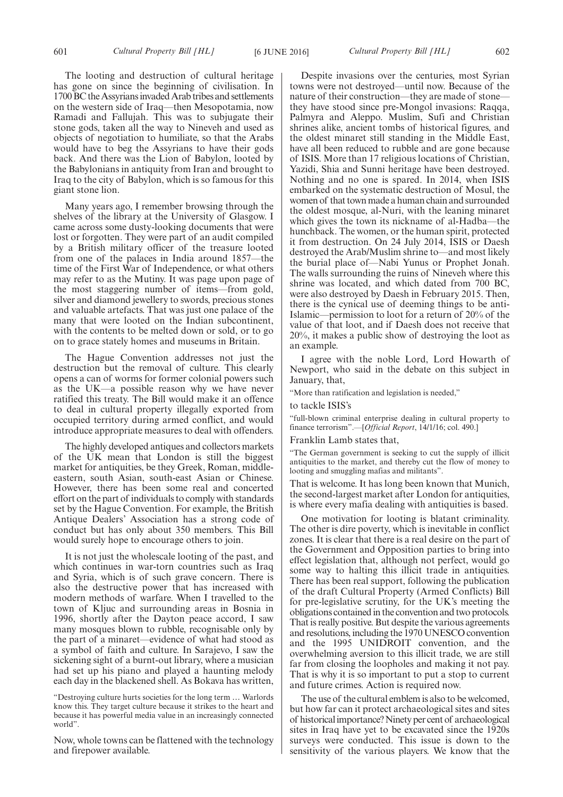The looting and destruction of cultural heritage has gone on since the beginning of civilisation. In 1700 BC the Assyrians invaded Arab tribes and settlements on the western side of Iraq—then Mesopotamia, now Ramadi and Fallujah. This was to subjugate their stone gods, taken all the way to Nineveh and used as objects of negotiation to humiliate, so that the Arabs would have to beg the Assyrians to have their gods back. And there was the Lion of Babylon, looted by the Babylonians in antiquity from Iran and brought to Iraq to the city of Babylon, which is so famous for this giant stone lion.

Many years ago, I remember browsing through the shelves of the library at the University of Glasgow. I came across some dusty-looking documents that were lost or forgotten. They were part of an audit compiled by a British military officer of the treasure looted from one of the palaces in India around 1857—the time of the First War of Independence, or what others may refer to as the Mutiny. It was page upon page of the most staggering number of items—from gold, silver and diamond jewellery to swords, precious stones and valuable artefacts. That was just one palace of the many that were looted on the Indian subcontinent, with the contents to be melted down or sold, or to go on to grace stately homes and museums in Britain.

The Hague Convention addresses not just the destruction but the removal of culture. This clearly opens a can of worms for former colonial powers such as the UK—a possible reason why we have never ratified this treaty. The Bill would make it an offence to deal in cultural property illegally exported from occupied territory during armed conflict, and would introduce appropriate measures to deal with offenders.

The highly developed antiques and collectors markets of the UK mean that London is still the biggest market for antiquities, be they Greek, Roman, middleeastern, south Asian, south-east Asian or Chinese. However, there has been some real and concerted effort on the part of individuals to comply with standards set by the Hague Convention. For example, the British Antique Dealers' Association has a strong code of conduct but has only about 350 members. This Bill would surely hope to encourage others to join.

It is not just the wholescale looting of the past, and which continues in war-torn countries such as Iraq and Syria, which is of such grave concern. There is also the destructive power that has increased with modern methods of warfare. When I travelled to the town of Kljuc and surrounding areas in Bosnia in 1996, shortly after the Dayton peace accord, I saw many mosques blown to rubble, recognisable only by the part of a minaret—evidence of what had stood as a symbol of faith and culture. In Sarajevo, I saw the sickening sight of a burnt-out library, where a musician had set up his piano and played a haunting melody each day in the blackened shell. As Bokava has written,

Now, whole towns can be flattened with the technology and firepower available.

Despite invasions over the centuries, most Syrian towns were not destroyed—until now. Because of the nature of their construction—they are made of stone they have stood since pre-Mongol invasions: Raqqa, Palmyra and Aleppo. Muslim, Sufi and Christian shrines alike, ancient tombs of historical figures, and the oldest minaret still standing in the Middle East, have all been reduced to rubble and are gone because of ISIS. More than 17 religious locations of Christian, Yazidi, Shia and Sunni heritage have been destroyed. Nothing and no one is spared. In 2014, when ISIS embarked on the systematic destruction of Mosul, the women of that town made a human chain and surrounded the oldest mosque, al-Nuri, with the leaning minaret which gives the town its nickname of al-Hadba—the hunchback. The women, or the human spirit, protected it from destruction. On 24 July 2014, ISIS or Daesh destroyed the Arab/Muslim shrine to—and most likely the burial place of—Nabi Yunus or Prophet Jonah. The walls surrounding the ruins of Nineveh where this shrine was located, and which dated from 700 BC, were also destroyed by Daesh in February 2015. Then, there is the cynical use of deeming things to be anti-Islamic—permission to loot for a return of 20% of the value of that loot, and if Daesh does not receive that 20%, it makes a public show of destroying the loot as an example.

I agree with the noble Lord, Lord Howarth of Newport, who said in the debate on this subject in January, that,

"More than ratification and legislation is needed,"

#### to tackle ISIS's

"full-blown criminal enterprise dealing in cultural property to finance terrorism".—[*Official Report*, 14/1/16; col. 490.]

#### Franklin Lamb states that,

"The German government is seeking to cut the supply of illicit antiquities to the market, and thereby cut the flow of money to looting and smuggling mafias and militants".

That is welcome. It has long been known that Munich, the second-largest market after London for antiquities, is where every mafia dealing with antiquities is based.

One motivation for looting is blatant criminality. The other is dire poverty, which is inevitable in conflict zones. It is clear that there is a real desire on the part of the Government and Opposition parties to bring into effect legislation that, although not perfect, would go some way to halting this illicit trade in antiquities. There has been real support, following the publication of the draft Cultural Property (Armed Conflicts) Bill for pre-legislative scrutiny, for the UK's meeting the obligations contained in the convention and two protocols. That is really positive. But despite the various agreements and resolutions, including the 1970 UNESCO convention and the 1995 UNIDROIT convention, and the overwhelming aversion to this illicit trade, we are still far from closing the loopholes and making it not pay. That is why it is so important to put a stop to current and future crimes. Action is required now.

The use of the cultural emblem is also to be welcomed, but how far can it protect archaeological sites and sites of historical importance? Ninety per cent of archaeological sites in Iraq have yet to be excavated since the 1920s surveys were conducted. This issue is down to the sensitivity of the various players. We know that the

<sup>&</sup>quot;Destroying culture hurts societies for the long term … Warlords know this. They target culture because it strikes to the heart and because it has powerful media value in an increasingly connected world".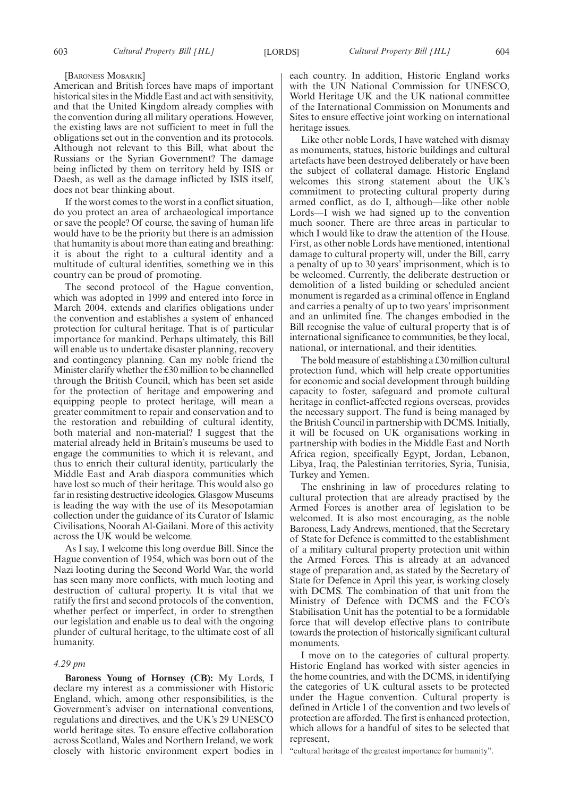[BARONESS MOBARIK]

American and British forces have maps of important historical sites in the Middle East and act with sensitivity, and that the United Kingdom already complies with the convention during all military operations. However, the existing laws are not sufficient to meet in full the obligations set out in the convention and its protocols. Although not relevant to this Bill, what about the Russians or the Syrian Government? The damage being inflicted by them on territory held by ISIS or Daesh, as well as the damage inflicted by ISIS itself, does not bear thinking about.

If the worst comes to the worst in a conflict situation, do you protect an area of archaeological importance or save the people? Of course, the saving of human life would have to be the priority but there is an admission that humanity is about more than eating and breathing: it is about the right to a cultural identity and a multitude of cultural identities, something we in this country can be proud of promoting.

The second protocol of the Hague convention, which was adopted in 1999 and entered into force in March 2004, extends and clarifies obligations under the convention and establishes a system of enhanced protection for cultural heritage. That is of particular importance for mankind. Perhaps ultimately, this Bill will enable us to undertake disaster planning, recovery and contingency planning. Can my noble friend the Minister clarify whether the £30 million to be channelled through the British Council, which has been set aside for the protection of heritage and empowering and equipping people to protect heritage, will mean a greater commitment to repair and conservation and to the restoration and rebuilding of cultural identity, both material and non-material? I suggest that the material already held in Britain's museums be used to engage the communities to which it is relevant, and thus to enrich their cultural identity, particularly the Middle East and Arab diaspora communities which have lost so much of their heritage. This would also go far in resisting destructive ideologies. Glasgow Museums is leading the way with the use of its Mesopotamian collection under the guidance of its Curator of Islamic Civilisations, Noorah Al-Gailani. More of this activity across the UK would be welcome.

As I say, I welcome this long overdue Bill. Since the Hague convention of 1954, which was born out of the Nazi looting during the Second World War, the world has seen many more conflicts, with much looting and destruction of cultural property. It is vital that we ratify the first and second protocols of the convention, whether perfect or imperfect, in order to strengthen our legislation and enable us to deal with the ongoing plunder of cultural heritage, to the ultimate cost of all humanity.

#### *4.29 pm*

**Baroness Young of Hornsey (CB):** My Lords, I declare my interest as a commissioner with Historic England, which, among other responsibilities, is the Government's adviser on international conventions, regulations and directives, and the UK's 29 UNESCO world heritage sites. To ensure effective collaboration across Scotland, Wales and Northern Ireland, we work closely with historic environment expert bodies in each country. In addition, Historic England works with the UN National Commission for UNESCO, World Heritage UK and the UK national committee of the International Commission on Monuments and Sites to ensure effective joint working on international heritage issues.

Like other noble Lords, I have watched with dismay as monuments, statues, historic buildings and cultural artefacts have been destroyed deliberately or have been the subject of collateral damage. Historic England welcomes this strong statement about the UK's commitment to protecting cultural property during armed conflict, as do I, although—like other noble Lords—I wish we had signed up to the convention much sooner. There are three areas in particular to which I would like to draw the attention of the House. First, as other noble Lords have mentioned, intentional damage to cultural property will, under the Bill, carry a penalty of up to 30 years' imprisonment, which is to be welcomed. Currently, the deliberate destruction or demolition of a listed building or scheduled ancient monument is regarded as a criminal offence in England and carries a penalty of up to two years' imprisonment and an unlimited fine. The changes embodied in the Bill recognise the value of cultural property that is of international significance to communities, be they local, national, or international, and their identities.

The bold measure of establishing a £30 million cultural protection fund, which will help create opportunities for economic and social development through building capacity to foster, safeguard and promote cultural heritage in conflict-affected regions overseas, provides the necessary support. The fund is being managed by the British Council in partnership with DCMS. Initially, it will be focused on UK organisations working in partnership with bodies in the Middle East and North Africa region, specifically Egypt, Jordan, Lebanon, Libya, Iraq, the Palestinian territories, Syria, Tunisia, Turkey and Yemen.

The enshrining in law of procedures relating to cultural protection that are already practised by the Armed Forces is another area of legislation to be welcomed. It is also most encouraging, as the noble Baroness, Lady Andrews, mentioned, that the Secretary of State for Defence is committed to the establishment of a military cultural property protection unit within the Armed Forces. This is already at an advanced stage of preparation and, as stated by the Secretary of State for Defence in April this year, is working closely with DCMS. The combination of that unit from the Ministry of Defence with DCMS and the FCO's Stabilisation Unit has the potential to be a formidable force that will develop effective plans to contribute towards the protection of historically significant cultural monuments.

I move on to the categories of cultural property. Historic England has worked with sister agencies in the home countries, and with the DCMS, in identifying the categories of UK cultural assets to be protected under the Hague convention. Cultural property is defined in Article 1 of the convention and two levels of protection are afforded. The first is enhanced protection, which allows for a handful of sites to be selected that represent,

"cultural heritage of the greatest importance for humanity".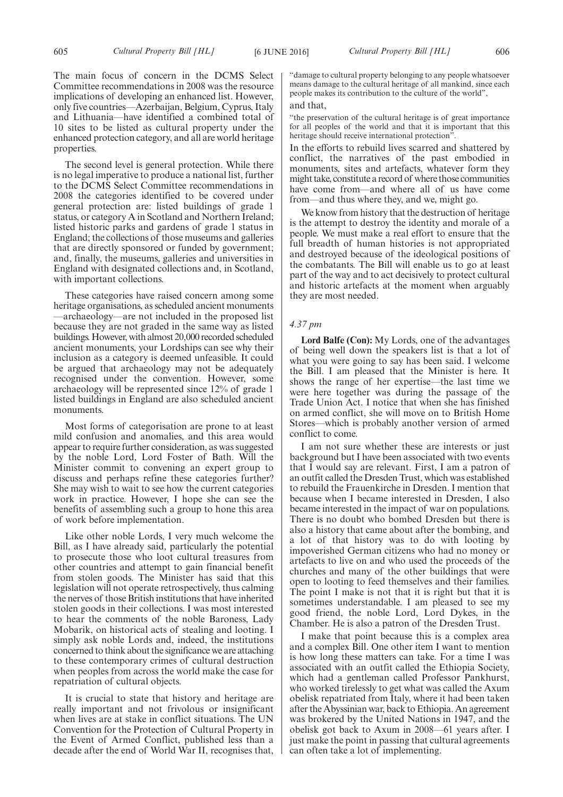The main focus of concern in the DCMS Select Committee recommendations in 2008 was the resource implications of developing an enhanced list. However, only five countries—Azerbaijan, Belgium, Cyprus, Italy and Lithuania—have identified a combined total of 10 sites to be listed as cultural property under the enhanced protection category, and all are world heritage properties.

The second level is general protection. While there is no legal imperative to produce a national list, further to the DCMS Select Committee recommendations in 2008 the categories identified to be covered under general protection are: listed buildings of grade 1 status, or category A in Scotland and Northern Ireland; listed historic parks and gardens of grade 1 status in England; the collections of those museums and galleries that are directly sponsored or funded by government; and, finally, the museums, galleries and universities in England with designated collections and, in Scotland, with important collections.

These categories have raised concern among some heritage organisations, as scheduled ancient monuments —archaeology—are not included in the proposed list because they are not graded in the same way as listed buildings. However, with almost 20,000 recorded scheduled ancient monuments, your Lordships can see why their inclusion as a category is deemed unfeasible. It could be argued that archaeology may not be adequately recognised under the convention. However, some archaeology will be represented since 12% of grade 1 listed buildings in England are also scheduled ancient monuments.

Most forms of categorisation are prone to at least mild confusion and anomalies, and this area would appear to require further consideration, as was suggested by the noble Lord, Lord Foster of Bath. Will the Minister commit to convening an expert group to discuss and perhaps refine these categories further? She may wish to wait to see how the current categories work in practice. However, I hope she can see the benefits of assembling such a group to hone this area of work before implementation.

Like other noble Lords, I very much welcome the Bill, as I have already said, particularly the potential to prosecute those who loot cultural treasures from other countries and attempt to gain financial benefit from stolen goods. The Minister has said that this legislation will not operate retrospectively, thus calming the nerves of those British institutions that have inherited stolen goods in their collections. I was most interested to hear the comments of the noble Baroness, Lady Mobarik, on historical acts of stealing and looting. I simply ask noble Lords and, indeed, the institutions concerned to think about the significance we are attaching to these contemporary crimes of cultural destruction when peoples from across the world make the case for repatriation of cultural objects.

It is crucial to state that history and heritage are really important and not frivolous or insignificant when lives are at stake in conflict situations. The UN Convention for the Protection of Cultural Property in the Event of Armed Conflict, published less than a decade after the end of World War II, recognises that, "damage to cultural property belonging to any people whatsoever means damage to the cultural heritage of all mankind, since each people makes its contribution to the culture of the world", and that,

"the preservation of the cultural heritage is of great importance for all peoples of the world and that it is important that this heritage should receive international protection".

In the efforts to rebuild lives scarred and shattered by conflict, the narratives of the past embodied in monuments, sites and artefacts, whatever form they might take, constitute a record of where those communities have come from—and where all of us have come from—and thus where they, and we, might go.

We know from history that the destruction of heritage is the attempt to destroy the identity and morale of a people. We must make a real effort to ensure that the full breadth of human histories is not appropriated and destroyed because of the ideological positions of the combatants. The Bill will enable us to go at least part of the way and to act decisively to protect cultural and historic artefacts at the moment when arguably they are most needed.

#### *4.37 pm*

**Lord Balfe (Con):** My Lords, one of the advantages of being well down the speakers list is that a lot of what you were going to say has been said. I welcome the Bill. I am pleased that the Minister is here. It shows the range of her expertise—the last time we were here together was during the passage of the Trade Union Act. I notice that when she has finished on armed conflict, she will move on to British Home Stores—which is probably another version of armed conflict to come.

I am not sure whether these are interests or just background but I have been associated with two events that I would say are relevant. First, I am a patron of an outfit called the Dresden Trust, which was established to rebuild the Frauenkirche in Dresden. I mention that because when I became interested in Dresden, I also became interested in the impact of war on populations. There is no doubt who bombed Dresden but there is also a history that came about after the bombing, and a lot of that history was to do with looting by impoverished German citizens who had no money or artefacts to live on and who used the proceeds of the churches and many of the other buildings that were open to looting to feed themselves and their families. The point I make is not that it is right but that it is sometimes understandable. I am pleased to see my good friend, the noble Lord, Lord Dykes, in the Chamber. He is also a patron of the Dresden Trust.

I make that point because this is a complex area and a complex Bill. One other item I want to mention is how long these matters can take. For a time I was associated with an outfit called the Ethiopia Society, which had a gentleman called Professor Pankhurst, who worked tirelessly to get what was called the Axum obelisk repatriated from Italy, where it had been taken after the Abyssinian war, back to Ethiopia. An agreement was brokered by the United Nations in 1947, and the obelisk got back to Axum in 2008—61 years after. I just make the point in passing that cultural agreements can often take a lot of implementing.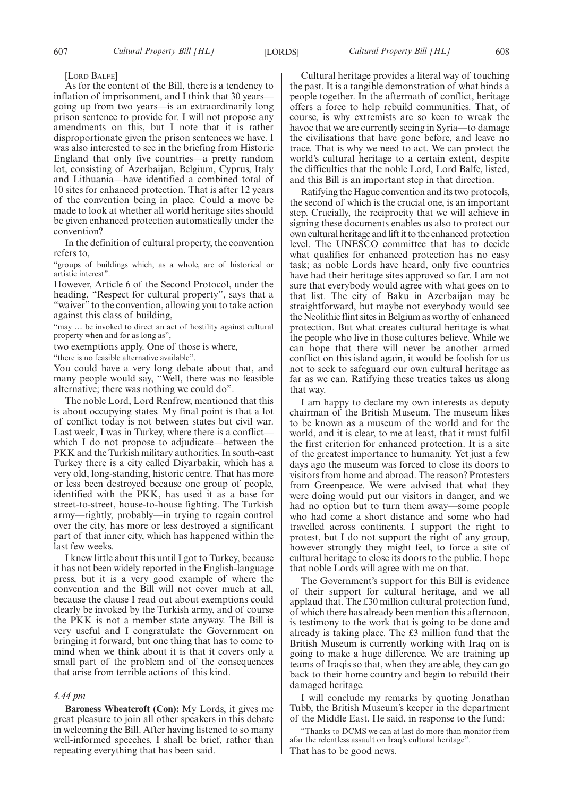[LORD BALFE]

As for the content of the Bill, there is a tendency to inflation of imprisonment, and I think that 30 years going up from two years—is an extraordinarily long prison sentence to provide for. I will not propose any amendments on this, but I note that it is rather disproportionate given the prison sentences we have. I was also interested to see in the briefing from Historic England that only five countries—a pretty random lot, consisting of Azerbaijan, Belgium, Cyprus, Italy and Lithuania—have identified a combined total of 10 sites for enhanced protection. That is after 12 years of the convention being in place. Could a move be made to look at whether all world heritage sites should be given enhanced protection automatically under the convention?

In the definition of cultural property, the convention refers to,

"groups of buildings which, as a whole, are of historical or artistic interest".

However, Article 6 of the Second Protocol, under the heading, "Respect for cultural property", says that a "waiver" to the convention, allowing you to take action against this class of building,

"may ... be invoked to direct an act of hostility against cultural property when and for as long as",

two exemptions apply. One of those is where,

"there is no feasible alternative available".

You could have a very long debate about that, and many people would say, "Well, there was no feasible alternative; there was nothing we could do".

The noble Lord, Lord Renfrew, mentioned that this is about occupying states. My final point is that a lot of conflict today is not between states but civil war. Last week, I was in Turkey, where there is a conflict which I do not propose to adjudicate—between the PKK and the Turkish military authorities. In south-east Turkey there is a city called Diyarbakir, which has a very old, long-standing, historic centre. That has more or less been destroyed because one group of people, identified with the PKK, has used it as a base for street-to-street, house-to-house fighting. The Turkish army—rightly, probably—in trying to regain control over the city, has more or less destroyed a significant part of that inner city, which has happened within the last few weeks.

I knew little about this until I got to Turkey, because it has not been widely reported in the English-language press, but it is a very good example of where the convention and the Bill will not cover much at all, because the clause I read out about exemptions could clearly be invoked by the Turkish army, and of course the PKK is not a member state anyway. The Bill is very useful and I congratulate the Government on bringing it forward, but one thing that has to come to mind when we think about it is that it covers only a small part of the problem and of the consequences that arise from terrible actions of this kind.

#### *4.44 pm*

**Baroness Wheatcroft (Con):** My Lords, it gives me great pleasure to join all other speakers in this debate in welcoming the Bill. After having listened to so many well-informed speeches, I shall be brief, rather than repeating everything that has been said.

Cultural heritage provides a literal way of touching the past. It is a tangible demonstration of what binds a people together. In the aftermath of conflict, heritage offers a force to help rebuild communities. That, of course, is why extremists are so keen to wreak the havoc that we are currently seeing in Syria—to damage the civilisations that have gone before, and leave no trace. That is why we need to act. We can protect the world's cultural heritage to a certain extent, despite the difficulties that the noble Lord, Lord Balfe, listed, and this Bill is an important step in that direction.

Ratifying the Hague convention and its two protocols, the second of which is the crucial one, is an important step. Crucially, the reciprocity that we will achieve in signing these documents enables us also to protect our own cultural heritage and lift it to the enhanced protection level. The UNESCO committee that has to decide what qualifies for enhanced protection has no easy task; as noble Lords have heard, only five countries have had their heritage sites approved so far. I am not sure that everybody would agree with what goes on to that list. The city of Baku in Azerbaijan may be straightforward, but maybe not everybody would see the Neolithic flint sites in Belgium as worthy of enhanced protection. But what creates cultural heritage is what the people who live in those cultures believe. While we can hope that there will never be another armed conflict on this island again, it would be foolish for us not to seek to safeguard our own cultural heritage as far as we can. Ratifying these treaties takes us along that way.

I am happy to declare my own interests as deputy chairman of the British Museum. The museum likes to be known as a museum of the world and for the world, and it is clear, to me at least, that it must fulfil the first criterion for enhanced protection. It is a site of the greatest importance to humanity. Yet just a few days ago the museum was forced to close its doors to visitors from home and abroad. The reason? Protesters from Greenpeace. We were advised that what they were doing would put our visitors in danger, and we had no option but to turn them away—some people who had come a short distance and some who had travelled across continents. I support the right to protest, but I do not support the right of any group, however strongly they might feel, to force a site of cultural heritage to close its doors to the public. I hope that noble Lords will agree with me on that.

The Government's support for this Bill is evidence of their support for cultural heritage, and we all applaud that. The £30 million cultural protection fund, of which there has already been mention this afternoon, is testimony to the work that is going to be done and already is taking place. The £3 million fund that the British Museum is currently working with Iraq on is going to make a huge difference. We are training up teams of Iraqis so that, when they are able, they can go back to their home country and begin to rebuild their damaged heritage.

I will conclude my remarks by quoting Jonathan Tubb, the British Museum's keeper in the department of the Middle East. He said, in response to the fund:

"Thanks to DCMS we can at last do more than monitor from afar the relentless assault on Iraq's cultural heritage". That has to be good news.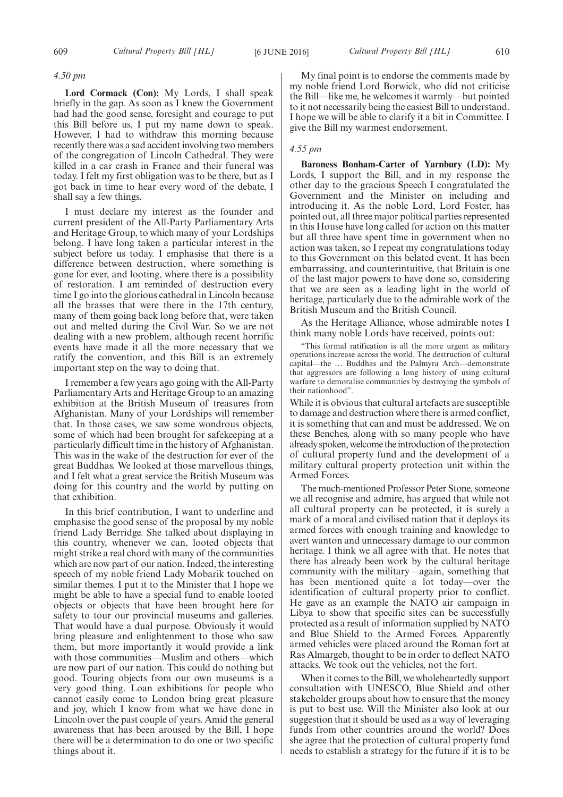#### *4.50 pm*

**Lord Cormack (Con):** My Lords, I shall speak briefly in the gap. As soon as I knew the Government had had the good sense, foresight and courage to put this Bill before us, I put my name down to speak. However, I had to withdraw this morning because recently there was a sad accident involving two members of the congregation of Lincoln Cathedral. They were killed in a car crash in France and their funeral was today. I felt my first obligation was to be there, but as I got back in time to hear every word of the debate, I shall say a few things.

I must declare my interest as the founder and current president of the All-Party Parliamentary Arts and Heritage Group, to which many of your Lordships belong. I have long taken a particular interest in the subject before us today. I emphasise that there is a difference between destruction, where something is gone for ever, and looting, where there is a possibility of restoration. I am reminded of destruction every time I go into the glorious cathedral in Lincoln because all the brasses that were there in the 17th century, many of them going back long before that, were taken out and melted during the Civil War. So we are not dealing with a new problem, although recent horrific events have made it all the more necessary that we ratify the convention, and this Bill is an extremely important step on the way to doing that.

I remember a few years ago going with the All-Party Parliamentary Arts and Heritage Group to an amazing exhibition at the British Museum of treasures from Afghanistan. Many of your Lordships will remember that. In those cases, we saw some wondrous objects, some of which had been brought for safekeeping at a particularly difficult time in the history of Afghanistan. This was in the wake of the destruction for ever of the great Buddhas. We looked at those marvellous things, and I felt what a great service the British Museum was doing for this country and the world by putting on that exhibition.

In this brief contribution, I want to underline and emphasise the good sense of the proposal by my noble friend Lady Berridge. She talked about displaying in this country, whenever we can, looted objects that might strike a real chord with many of the communities which are now part of our nation. Indeed, the interesting speech of my noble friend Lady Mobarik touched on similar themes. I put it to the Minister that I hope we might be able to have a special fund to enable looted objects or objects that have been brought here for safety to tour our provincial museums and galleries. That would have a dual purpose. Obviously it would bring pleasure and enlightenment to those who saw them, but more importantly it would provide a link with those communities—Muslim and others—which are now part of our nation. This could do nothing but good. Touring objects from our own museums is a very good thing. Loan exhibitions for people who cannot easily come to London bring great pleasure and joy, which I know from what we have done in Lincoln over the past couple of years. Amid the general awareness that has been aroused by the Bill, I hope there will be a determination to do one or two specific things about it.

My final point is to endorse the comments made by my noble friend Lord Borwick, who did not criticise the Bill—like me, he welcomes it warmly—but pointed to it not necessarily being the easiest Bill to understand. I hope we will be able to clarify it a bit in Committee. I give the Bill my warmest endorsement.

#### *4.55 pm*

**Baroness Bonham-Carter of Yarnbury (LD):** My Lords, I support the Bill, and in my response the other day to the gracious Speech I congratulated the Government and the Minister on including and introducing it. As the noble Lord, Lord Foster, has pointed out, all three major political parties represented in this House have long called for action on this matter but all three have spent time in government when no action was taken, so I repeat my congratulations today to this Government on this belated event. It has been embarrassing, and counterintuitive, that Britain is one of the last major powers to have done so, considering that we are seen as a leading light in the world of heritage, particularly due to the admirable work of the British Museum and the British Council.

As the Heritage Alliance, whose admirable notes I think many noble Lords have received, points out:

"This formal ratification is all the more urgent as military operations increase across the world. The destruction of cultural capital—the … Buddhas and the Palmyra Arch—demonstrate that aggressors are following a long history of using cultural warfare to demoralise communities by destroying the symbols of their nationhood".

While it is obvious that cultural artefacts are susceptible to damage and destruction where there is armed conflict, it is something that can and must be addressed. We on these Benches, along with so many people who have already spoken, welcome the introduction of the protection of cultural property fund and the development of a military cultural property protection unit within the Armed Forces.

The much-mentioned Professor Peter Stone, someone we all recognise and admire, has argued that while not all cultural property can be protected, it is surely a mark of a moral and civilised nation that it deploys its armed forces with enough training and knowledge to avert wanton and unnecessary damage to our common heritage. I think we all agree with that. He notes that there has already been work by the cultural heritage community with the military—again, something that has been mentioned quite a lot today—over the identification of cultural property prior to conflict. He gave as an example the NATO air campaign in Libya to show that specific sites can be successfully protected as a result of information supplied by NATO and Blue Shield to the Armed Forces. Apparently armed vehicles were placed around the Roman fort at Ras Almargeb, thought to be in order to deflect NATO attacks. We took out the vehicles, not the fort.

When it comes to the Bill, we wholeheartedly support consultation with UNESCO, Blue Shield and other stakeholder groups about how to ensure that the money is put to best use. Will the Minister also look at our suggestion that it should be used as a way of leveraging funds from other countries around the world? Does she agree that the protection of cultural property fund needs to establish a strategy for the future if it is to be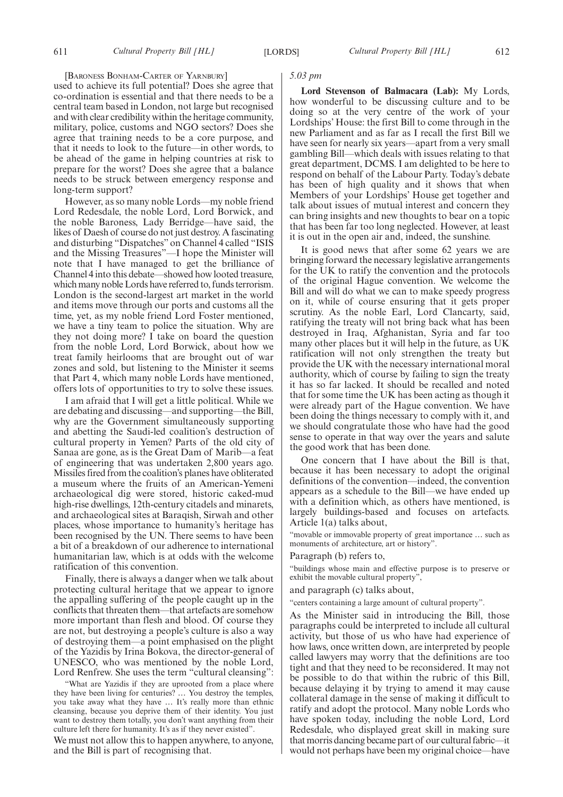#### [BARONESS BONHAM-CARTER OF YARNBURY]

used to achieve its full potential? Does she agree that co-ordination is essential and that there needs to be a central team based in London, not large but recognised and with clear credibility within the heritage community, military, police, customs and NGO sectors? Does she agree that training needs to be a core purpose, and that it needs to look to the future—in other words, to be ahead of the game in helping countries at risk to prepare for the worst? Does she agree that a balance needs to be struck between emergency response and long-term support?

However, as so many noble Lords—my noble friend Lord Redesdale, the noble Lord, Lord Borwick, and the noble Baroness, Lady Berridge—have said, the likes of Daesh of course do not just destroy. A fascinating and disturbing "Dispatches" on Channel 4 called "ISIS and the Missing Treasures"—I hope the Minister will note that I have managed to get the brilliance of Channel 4 into this debate—showed how looted treasure, which many noble Lords have referred to, funds terrorism. London is the second-largest art market in the world and items move through our ports and customs all the time, yet, as my noble friend Lord Foster mentioned, we have a tiny team to police the situation. Why are they not doing more? I take on board the question from the noble Lord, Lord Borwick, about how we treat family heirlooms that are brought out of war zones and sold, but listening to the Minister it seems that Part 4, which many noble Lords have mentioned, offers lots of opportunities to try to solve these issues.

I am afraid that I will get a little political. While we are debating and discussing—and supporting—the Bill, why are the Government simultaneously supporting and abetting the Saudi-led coalition's destruction of cultural property in Yemen? Parts of the old city of Sanaa are gone, as is the Great Dam of Marib—a feat of engineering that was undertaken 2,800 years ago. Missiles fired from the coalition's planes have obliterated a museum where the fruits of an American-Yemeni archaeological dig were stored, historic caked-mud high-rise dwellings, 12th-century citadels and minarets, and archaeological sites at Baraqish, Sirwah and other places, whose importance to humanity's heritage has been recognised by the UN. There seems to have been a bit of a breakdown of our adherence to international humanitarian law, which is at odds with the welcome ratification of this convention.

Finally, there is always a danger when we talk about protecting cultural heritage that we appear to ignore the appalling suffering of the people caught up in the conflicts that threaten them—that artefacts are somehow more important than flesh and blood. Of course they are not, but destroying a people's culture is also a way of destroying them—a point emphasised on the plight of the Yazidis by Irina Bokova, the director-general of UNESCO, who was mentioned by the noble Lord, Lord Renfrew. She uses the term "cultural cleansing":

"What are Yazidis if they are uprooted from a place where they have been living for centuries? … You destroy the temples, you take away what they have … It's really more than ethnic cleansing, because you deprive them of their identity. You just want to destroy them totally, you don't want anything from their culture left there for humanity. It's as if they never existed".

We must not allow this to happen anywhere, to anyone, and the Bill is part of recognising that.

#### *5.03 pm*

**Lord Stevenson of Balmacara (Lab):** My Lords, how wonderful to be discussing culture and to be doing so at the very centre of the work of your Lordships' House: the first Bill to come through in the new Parliament and as far as I recall the first Bill we have seen for nearly six years—apart from a very small gambling Bill—which deals with issues relating to that great department, DCMS. I am delighted to be here to respond on behalf of the Labour Party. Today's debate has been of high quality and it shows that when Members of your Lordships' House get together and talk about issues of mutual interest and concern they can bring insights and new thoughts to bear on a topic that has been far too long neglected. However, at least it is out in the open air and, indeed, the sunshine.

It is good news that after some 62 years we are bringing forward the necessary legislative arrangements for the UK to ratify the convention and the protocols of the original Hague convention. We welcome the Bill and will do what we can to make speedy progress on it, while of course ensuring that it gets proper scrutiny. As the noble Earl, Lord Clancarty, said, ratifying the treaty will not bring back what has been destroyed in Iraq, Afghanistan, Syria and far too many other places but it will help in the future, as UK ratification will not only strengthen the treaty but provide the UK with the necessary international moral authority, which of course by failing to sign the treaty it has so far lacked. It should be recalled and noted that for some time the UK has been acting as though it were already part of the Hague convention. We have been doing the things necessary to comply with it, and we should congratulate those who have had the good sense to operate in that way over the years and salute the good work that has been done.

One concern that I have about the Bill is that, because it has been necessary to adopt the original definitions of the convention—indeed, the convention appears as a schedule to the Bill—we have ended up with a definition which, as others have mentioned, is largely buildings-based and focuses on artefacts. Article 1(a) talks about,

"movable or immovable property of great importance … such as monuments of architecture, art or history".

Paragraph (b) refers to,

"buildings whose main and effective purpose is to preserve or exhibit the movable cultural property",

and paragraph (c) talks about,

"centers containing a large amount of cultural property".

As the Minister said in introducing the Bill, those paragraphs could be interpreted to include all cultural activity, but those of us who have had experience of how laws, once written down, are interpreted by people called lawyers may worry that the definitions are too tight and that they need to be reconsidered. It may not be possible to do that within the rubric of this Bill, because delaying it by trying to amend it may cause collateral damage in the sense of making it difficult to ratify and adopt the protocol. Many noble Lords who have spoken today, including the noble Lord, Lord Redesdale, who displayed great skill in making sure that morris dancing became part of our cultural fabric—it would not perhaps have been my original choice—have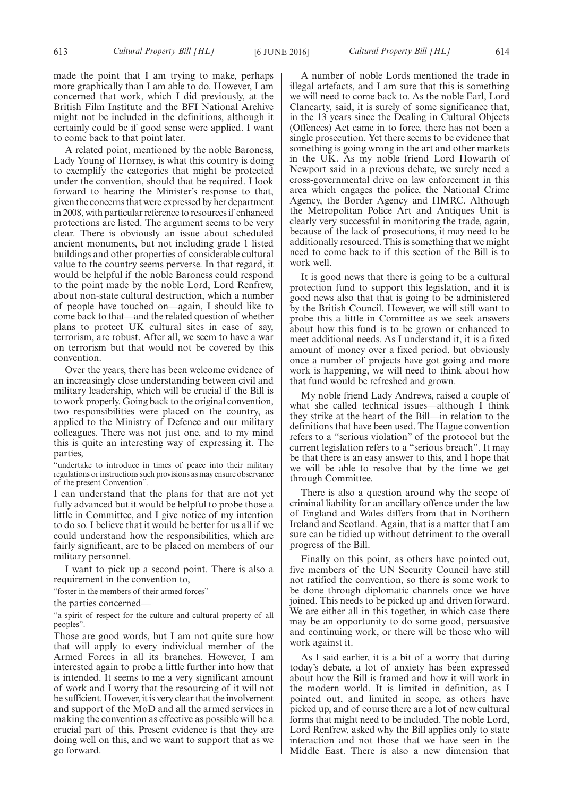made the point that I am trying to make, perhaps more graphically than I am able to do. However, I am concerned that work, which I did previously, at the British Film Institute and the BFI National Archive might not be included in the definitions, although it certainly could be if good sense were applied. I want to come back to that point later.

A related point, mentioned by the noble Baroness, Lady Young of Hornsey, is what this country is doing to exemplify the categories that might be protected under the convention, should that be required. I look forward to hearing the Minister's response to that, given the concerns that were expressed by her department in 2008, with particular reference to resources if enhanced protections are listed. The argument seems to be very clear. There is obviously an issue about scheduled ancient monuments, but not including grade 1 listed buildings and other properties of considerable cultural value to the country seems perverse. In that regard, it would be helpful if the noble Baroness could respond to the point made by the noble Lord, Lord Renfrew, about non-state cultural destruction, which a number of people have touched on—again, I should like to come back to that—and the related question of whether plans to protect UK cultural sites in case of say, terrorism, are robust. After all, we seem to have a war on terrorism but that would not be covered by this convention.

Over the years, there has been welcome evidence of an increasingly close understanding between civil and military leadership, which will be crucial if the Bill is to work properly. Going back to the original convention, two responsibilities were placed on the country, as applied to the Ministry of Defence and our military colleagues. There was not just one, and to my mind this is quite an interesting way of expressing it. The parties,

"undertake to introduce in times of peace into their military regulations or instructions such provisions as may ensure observance of the present Convention".

I can understand that the plans for that are not yet fully advanced but it would be helpful to probe those a little in Committee, and I give notice of my intention to do so. I believe that it would be better for us all if we could understand how the responsibilities, which are fairly significant, are to be placed on members of our military personnel.

I want to pick up a second point. There is also a requirement in the convention to,

"foster in the members of their armed forces"—

the parties concerned—

"a spirit of respect for the culture and cultural property of all peoples".

Those are good words, but I am not quite sure how that will apply to every individual member of the Armed Forces in all its branches. However, I am interested again to probe a little further into how that is intended. It seems to me a very significant amount of work and I worry that the resourcing of it will not be sufficient. However, it is very clear that the involvement and support of the MoD and all the armed services in making the convention as effective as possible will be a crucial part of this. Present evidence is that they are doing well on this, and we want to support that as we go forward.

A number of noble Lords mentioned the trade in illegal artefacts, and I am sure that this is something we will need to come back to. As the noble Earl, Lord Clancarty, said, it is surely of some significance that, in the 13 years since the Dealing in Cultural Objects (Offences) Act came in to force, there has not been a single prosecution. Yet there seems to be evidence that something is going wrong in the art and other markets in the UK. As my noble friend Lord Howarth of Newport said in a previous debate, we surely need a cross-governmental drive on law enforcement in this area which engages the police, the National Crime Agency, the Border Agency and HMRC. Although the Metropolitan Police Art and Antiques Unit is clearly very successful in monitoring the trade, again, because of the lack of prosecutions, it may need to be additionally resourced. This is something that we might need to come back to if this section of the Bill is to work well.

It is good news that there is going to be a cultural protection fund to support this legislation, and it is good news also that that is going to be administered by the British Council. However, we will still want to probe this a little in Committee as we seek answers about how this fund is to be grown or enhanced to meet additional needs. As I understand it, it is a fixed amount of money over a fixed period, but obviously once a number of projects have got going and more work is happening, we will need to think about how that fund would be refreshed and grown.

My noble friend Lady Andrews, raised a couple of what she called technical issues—although I think they strike at the heart of the Bill—in relation to the definitions that have been used. The Hague convention refers to a "serious violation" of the protocol but the current legislation refers to a "serious breach". It may be that there is an easy answer to this, and I hope that we will be able to resolve that by the time we get through Committee.

There is also a question around why the scope of criminal liability for an ancillary offence under the law of England and Wales differs from that in Northern Ireland and Scotland. Again, that is a matter that I am sure can be tidied up without detriment to the overall progress of the Bill.

Finally on this point, as others have pointed out, five members of the UN Security Council have still not ratified the convention, so there is some work to be done through diplomatic channels once we have joined. This needs to be picked up and driven forward. We are either all in this together, in which case there may be an opportunity to do some good, persuasive and continuing work, or there will be those who will work against it.

As I said earlier, it is a bit of a worry that during today's debate, a lot of anxiety has been expressed about how the Bill is framed and how it will work in the modern world. It is limited in definition, as I pointed out, and limited in scope, as others have picked up, and of course there are a lot of new cultural forms that might need to be included. The noble Lord, Lord Renfrew, asked why the Bill applies only to state interaction and not those that we have seen in the Middle East. There is also a new dimension that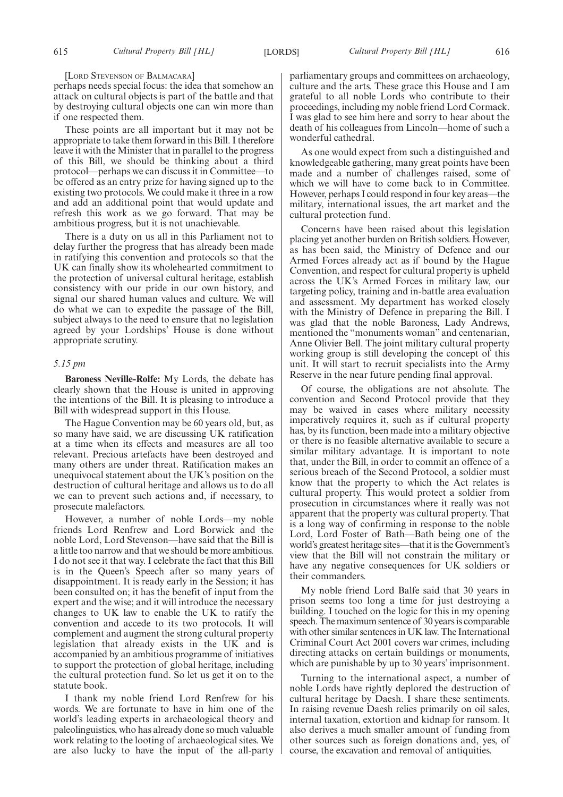[LORD STEVENSON OF BALMACARA]

perhaps needs special focus: the idea that somehow an attack on cultural objects is part of the battle and that by destroying cultural objects one can win more than if one respected them.

These points are all important but it may not be appropriate to take them forward in this Bill. I therefore leave it with the Minister that in parallel to the progress of this Bill, we should be thinking about a third protocol—perhaps we can discuss it in Committee—to be offered as an entry prize for having signed up to the existing two protocols. We could make it three in a row and add an additional point that would update and refresh this work as we go forward. That may be ambitious progress, but it is not unachievable.

There is a duty on us all in this Parliament not to delay further the progress that has already been made in ratifying this convention and protocols so that the UK can finally show its wholehearted commitment to the protection of universal cultural heritage, establish consistency with our pride in our own history, and signal our shared human values and culture. We will do what we can to expedite the passage of the Bill, subject always to the need to ensure that no legislation agreed by your Lordships' House is done without appropriate scrutiny.

#### *5.15 pm*

**Baroness Neville-Rolfe:** My Lords, the debate has clearly shown that the House is united in approving the intentions of the Bill. It is pleasing to introduce a Bill with widespread support in this House.

The Hague Convention may be 60 years old, but, as so many have said, we are discussing UK ratification at a time when its effects and measures are all too relevant. Precious artefacts have been destroyed and many others are under threat. Ratification makes an unequivocal statement about the UK's position on the destruction of cultural heritage and allows us to do all we can to prevent such actions and, if necessary, to prosecute malefactors.

However, a number of noble Lords—my noble friends Lord Renfrew and Lord Borwick and the noble Lord, Lord Stevenson—have said that the Bill is a little too narrow and that we should be more ambitious. I do not see it that way. I celebrate the fact that this Bill is in the Queen's Speech after so many years of disappointment. It is ready early in the Session; it has been consulted on; it has the benefit of input from the expert and the wise; and it will introduce the necessary changes to UK law to enable the UK to ratify the convention and accede to its two protocols. It will complement and augment the strong cultural property legislation that already exists in the UK and is accompanied by an ambitious programme of initiatives to support the protection of global heritage, including the cultural protection fund. So let us get it on to the statute book.

I thank my noble friend Lord Renfrew for his words. We are fortunate to have in him one of the world's leading experts in archaeological theory and paleolinguistics, who has already done so much valuable work relating to the looting of archaeological sites. We are also lucky to have the input of the all-party parliamentary groups and committees on archaeology, culture and the arts. These grace this House and I am grateful to all noble Lords who contribute to their proceedings, including my noble friend Lord Cormack. I was glad to see him here and sorry to hear about the death of his colleagues from Lincoln—home of such a wonderful cathedral.

As one would expect from such a distinguished and knowledgeable gathering, many great points have been made and a number of challenges raised, some of which we will have to come back to in Committee. However, perhaps I could respond in four key areas—the military, international issues, the art market and the cultural protection fund.

Concerns have been raised about this legislation placing yet another burden on British soldiers. However, as has been said, the Ministry of Defence and our Armed Forces already act as if bound by the Hague Convention, and respect for cultural property is upheld across the UK's Armed Forces in military law, our targeting policy, training and in-battle area evaluation and assessment. My department has worked closely with the Ministry of Defence in preparing the Bill. I was glad that the noble Baroness, Lady Andrews, mentioned the "monuments woman" and centenarian, Anne Olivier Bell. The joint military cultural property working group is still developing the concept of this unit. It will start to recruit specialists into the Army Reserve in the near future pending final approval.

Of course, the obligations are not absolute. The convention and Second Protocol provide that they may be waived in cases where military necessity imperatively requires it, such as if cultural property has, by its function, been made into a military objective or there is no feasible alternative available to secure a similar military advantage. It is important to note that, under the Bill, in order to commit an offence of a serious breach of the Second Protocol, a soldier must know that the property to which the Act relates is cultural property. This would protect a soldier from prosecution in circumstances where it really was not apparent that the property was cultural property. That is a long way of confirming in response to the noble Lord, Lord Foster of Bath—Bath being one of the world's greatest heritage sites—that it is the Government's view that the Bill will not constrain the military or have any negative consequences for UK soldiers or their commanders.

My noble friend Lord Balfe said that 30 years in prison seems too long a time for just destroying a building. I touched on the logic for this in my opening speech. The maximum sentence of 30 years is comparable with other similar sentences in UK law. The International Criminal Court Act 2001 covers war crimes, including directing attacks on certain buildings or monuments, which are punishable by up to 30 years' imprisonment.

Turning to the international aspect, a number of noble Lords have rightly deplored the destruction of cultural heritage by Daesh. I share these sentiments. In raising revenue Daesh relies primarily on oil sales, internal taxation, extortion and kidnap for ransom. It also derives a much smaller amount of funding from other sources such as foreign donations and, yes, of course, the excavation and removal of antiquities.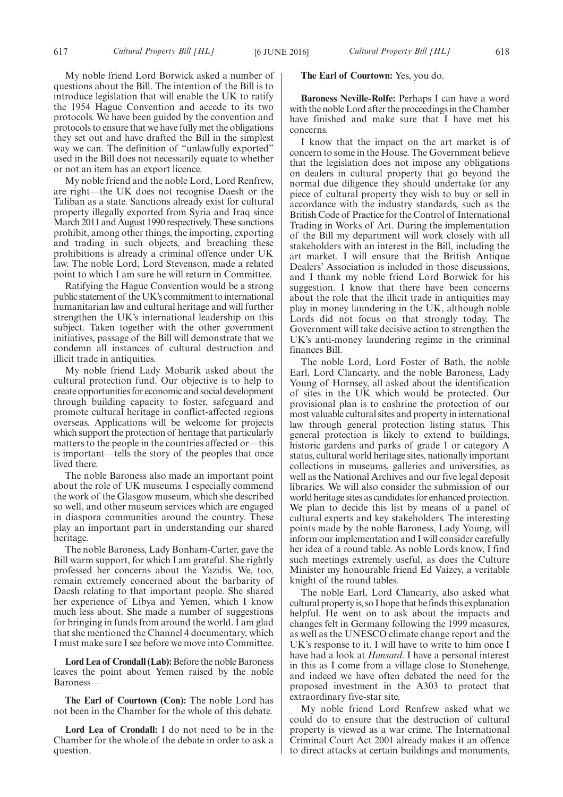My noble friend Lord Borwick asked a number of questions about the Bill. The intention of the Bill is to introduce legislation that will enable the UK to ratify the 1954 Hague Convention and accede to its two protocols. We have been guided by the convention and protocols to ensure that we have fully met the obligations they set out and have drafted the Bill in the simplest way we can. The definition of "unlawfully exported" used in the Bill does not necessarily equate to whether or not an item has an export licence.

My noble friend and the noble Lord, Lord Renfrew, are right—the UK does not recognise Daesh or the Taliban as a state. Sanctions already exist for cultural property illegally exported from Syria and Iraq since March 2011 and August 1990 respectively. These sanctions prohibit, among other things, the importing, exporting and trading in such objects, and breaching these prohibitions is already a criminal offence under UK law. The noble Lord, Lord Stevenson, made a related point to which I am sure he will return in Committee.

Ratifying the Hague Convention would be a strong public statement of the UK's commitment to international humanitarian law and cultural heritage and will further strengthen the UK's international leadership on this subject. Taken together with the other government initiatives, passage of the Bill will demonstrate that we condemn all instances of cultural destruction and illicit trade in antiquities.

My noble friend Lady Mobarik asked about the cultural protection fund. Our objective is to help to create opportunities for economic and social development through building capacity to foster, safeguard and promote cultural heritage in conflict-affected regions overseas. Applications will be welcome for projects which support the protection of heritage that particularly matters to the people in the countries affected or—this is important—tells the story of the peoples that once lived there.

The noble Baroness also made an important point about the role of UK museums. I especially commend the work of the Glasgow museum, which she described so well, and other museum services which are engaged in diaspora communities around the country. These play an important part in understanding our shared heritage.

The noble Baroness, Lady Bonham-Carter, gave the Bill warm support, for which I am grateful. She rightly professed her concerns about the Yazidis. We, too, remain extremely concerned about the barbarity of Daesh relating to that important people. She shared her experience of Libya and Yemen, which I know much less about. She made a number of suggestions for bringing in funds from around the world. I am glad that she mentioned the Channel 4 documentary, which I must make sure I see before we move into Committee.

Lord Lea of Crondall (Lab): Before the noble Baroness leaves the point about Yemen raised by the noble Baroness—

**The Earl of Courtown (Con):** The noble Lord has not been in the Chamber for the whole of this debate.

**Lord Lea of Crondall:** I do not need to be in the Chamber for the whole of the debate in order to ask a question.

#### **The Earl of Courtown:** Yes, you do.

**Baroness Neville-Rolfe:** Perhaps I can have a word with the noble Lord after the proceedings in the Chamber have finished and make sure that I have met his concerns.

I know that the impact on the art market is of concern to some in the House. The Government believe that the legislation does not impose any obligations on dealers in cultural property that go beyond the normal due diligence they should undertake for any piece of cultural property they wish to buy or sell in accordance with the industry standards, such as the British Code of Practice for the Control of International Trading in Works of Art. During the implementation of the Bill my department will work closely with all stakeholders with an interest in the Bill, including the art market. I will ensure that the British Antique Dealers' Association is included in those discussions, and I thank my noble friend Lord Borwick for his suggestion. I know that there have been concerns about the role that the illicit trade in antiquities may play in money laundering in the UK, although noble Lords did not focus on that strongly today. The Government will take decisive action to strengthen the UK's anti-money laundering regime in the criminal finances Bill.

The noble Lord, Lord Foster of Bath, the noble Earl, Lord Clancarty, and the noble Baroness, Lady Young of Hornsey, all asked about the identification of sites in the UK which would be protected. Our provisional plan is to enshrine the protection of our most valuable cultural sites and property in international law through general protection listing status. This general protection is likely to extend to buildings, historic gardens and parks of grade 1 or category A status, cultural world heritage sites, nationally important collections in museums, galleries and universities, as well as the National Archives and our five legal deposit libraries. We will also consider the submission of our world heritage sites as candidates for enhanced protection. We plan to decide this list by means of a panel of cultural experts and key stakeholders. The interesting points made by the noble Baroness, Lady Young, will inform our implementation and I will consider carefully her idea of a round table. As noble Lords know, I find such meetings extremely useful, as does the Culture Minister my honourable friend Ed Vaizey, a veritable knight of the round tables.

The noble Earl, Lord Clancarty, also asked what cultural property is, so I hope that he finds this explanation helpful. He went on to ask about the impacts and changes felt in Germany following the 1999 measures, as well as the UNESCO climate change report and the UK's response to it. I will have to write to him once I have had a look at *Hansard*. I have a personal interest in this as I come from a village close to Stonehenge, and indeed we have often debated the need for the proposed investment in the A303 to protect that extraordinary five-star site.

My noble friend Lord Renfrew asked what we could do to ensure that the destruction of cultural property is viewed as a war crime. The International Criminal Court Act 2001 already makes it an offence to direct attacks at certain buildings and monuments,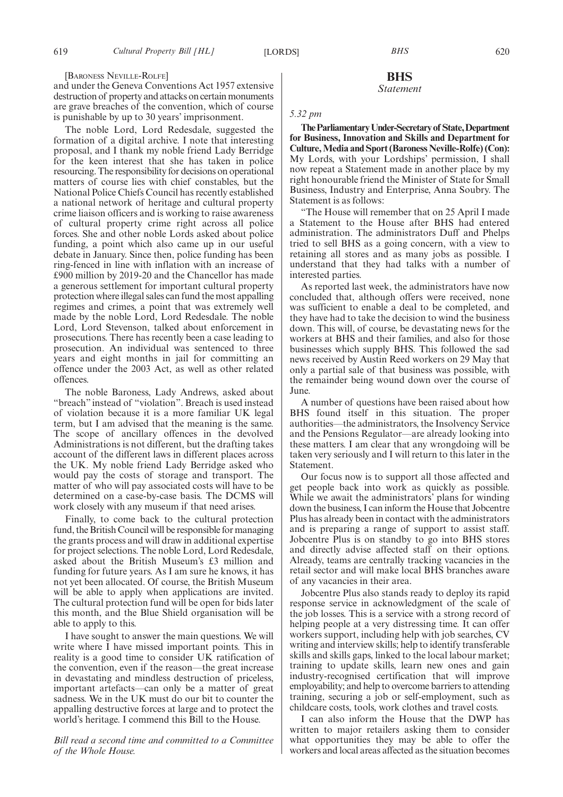#### [BARONESS NEVILLE-ROLFE]

and under the Geneva Conventions Act 1957 extensive destruction of property and attacks on certain monuments are grave breaches of the convention, which of course is punishable by up to 30 years' imprisonment.

The noble Lord, Lord Redesdale, suggested the formation of a digital archive. I note that interesting proposal, and I thank my noble friend Lady Berridge for the keen interest that she has taken in police resourcing. The responsibility for decisions on operational matters of course lies with chief constables, but the National Police Chiefs Council has recently established a national network of heritage and cultural property crime liaison officers and is working to raise awareness of cultural property crime right across all police forces. She and other noble Lords asked about police funding, a point which also came up in our useful debate in January. Since then, police funding has been ring-fenced in line with inflation with an increase of £900 million by 2019-20 and the Chancellor has made a generous settlement for important cultural property protection where illegal sales can fund the most appalling regimes and crimes, a point that was extremely well made by the noble Lord, Lord Redesdale. The noble Lord, Lord Stevenson, talked about enforcement in prosecutions. There has recently been a case leading to prosecution. An individual was sentenced to three years and eight months in jail for committing an offence under the 2003 Act, as well as other related offences.

The noble Baroness, Lady Andrews, asked about "breach" instead of "violation". Breach is used instead of violation because it is a more familiar UK legal term, but I am advised that the meaning is the same. The scope of ancillary offences in the devolved Administrations is not different, but the drafting takes account of the different laws in different places across the UK. My noble friend Lady Berridge asked who would pay the costs of storage and transport. The matter of who will pay associated costs will have to be determined on a case-by-case basis. The DCMS will work closely with any museum if that need arises.

Finally, to come back to the cultural protection fund, the British Council will be responsible for managing the grants process and will draw in additional expertise for project selections. The noble Lord, Lord Redesdale, asked about the British Museum's £3 million and funding for future years. As I am sure he knows, it has not yet been allocated. Of course, the British Museum will be able to apply when applications are invited. The cultural protection fund will be open for bids later this month, and the Blue Shield organisation will be able to apply to this.

I have sought to answer the main questions. We will write where I have missed important points. This in reality is a good time to consider UK ratification of the convention, even if the reason—the great increase in devastating and mindless destruction of priceless, important artefacts—can only be a matter of great sadness. We in the UK must do our bit to counter the appalling destructive forces at large and to protect the world's heritage. I commend this Bill to the House.

*Bill read a second time and committed to a Committee of the Whole House.*

#### **BHS**

#### *Statement*

#### *5.32 pm*

**TheParliamentaryUnder-Secretaryof State,Department for Business, Innovation and Skills and Department for Culture, Media and Sport (Baroness Neville-Rolfe) (Con):** My Lords, with your Lordships' permission, I shall now repeat a Statement made in another place by my right honourable friend the Minister of State for Small Business, Industry and Enterprise, Anna Soubry. The Statement is as follows:

"The House will remember that on 25 April I made a Statement to the House after BHS had entered administration. The administrators Duff and Phelps tried to sell BHS as a going concern, with a view to retaining all stores and as many jobs as possible. I understand that they had talks with a number of interested parties.

As reported last week, the administrators have now concluded that, although offers were received, none was sufficient to enable a deal to be completed, and they have had to take the decision to wind the business down. This will, of course, be devastating news for the workers at BHS and their families, and also for those businesses which supply BHS. This followed the sad news received by Austin Reed workers on 29 May that only a partial sale of that business was possible, with the remainder being wound down over the course of June.

A number of questions have been raised about how BHS found itself in this situation. The proper authorities—the administrators, the Insolvency Service and the Pensions Regulator—are already looking into these matters. I am clear that any wrongdoing will be taken very seriously and I will return to this later in the Statement.

Our focus now is to support all those affected and get people back into work as quickly as possible. While we await the administrators' plans for winding down the business, I can inform the House that Jobcentre Plus has already been in contact with the administrators and is preparing a range of support to assist staff. Jobcentre Plus is on standby to go into BHS stores and directly advise affected staff on their options. Already, teams are centrally tracking vacancies in the retail sector and will make local BHS branches aware of any vacancies in their area.

Jobcentre Plus also stands ready to deploy its rapid response service in acknowledgment of the scale of the job losses. This is a service with a strong record of helping people at a very distressing time. It can offer workers support, including help with job searches, CV writing and interview skills; help to identify transferable skills and skills gaps, linked to the local labour market; training to update skills, learn new ones and gain industry-recognised certification that will improve employability; and help to overcome barriers to attending training, securing a job or self-employment, such as childcare costs, tools, work clothes and travel costs.

I can also inform the House that the DWP has written to major retailers asking them to consider what opportunities they may be able to offer the workers and local areas affected as the situation becomes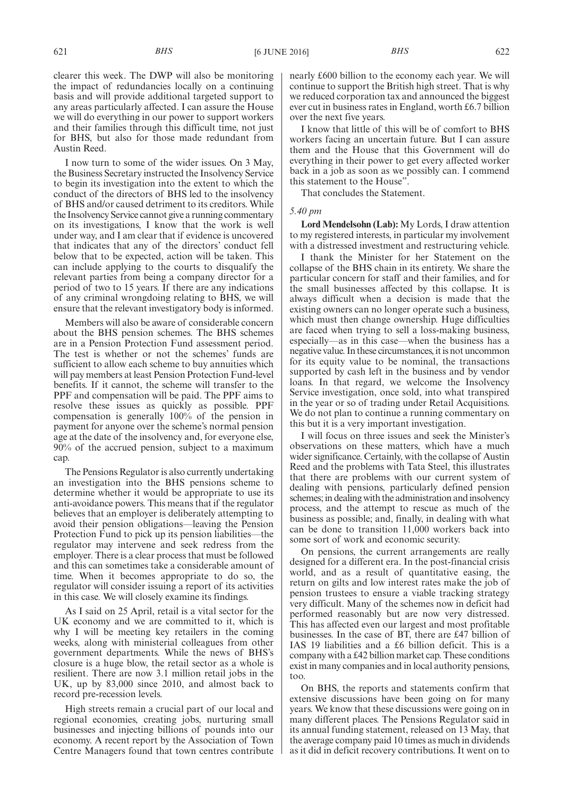clearer this week. The DWP will also be monitoring the impact of redundancies locally on a continuing basis and will provide additional targeted support to any areas particularly affected. I can assure the House we will do everything in our power to support workers and their families through this difficult time, not just for BHS, but also for those made redundant from Austin Reed.

I now turn to some of the wider issues. On 3 May, the Business Secretary instructed the Insolvency Service to begin its investigation into the extent to which the conduct of the directors of BHS led to the insolvency of BHS and/or caused detriment to its creditors. While the Insolvency Service cannot give a running commentary on its investigations, I know that the work is well under way, and I am clear that if evidence is uncovered that indicates that any of the directors' conduct fell below that to be expected, action will be taken. This can include applying to the courts to disqualify the relevant parties from being a company director for a period of two to 15 years. If there are any indications of any criminal wrongdoing relating to BHS, we will ensure that the relevant investigatory body is informed.

Members will also be aware of considerable concern about the BHS pension schemes. The BHS schemes are in a Pension Protection Fund assessment period. The test is whether or not the schemes' funds are sufficient to allow each scheme to buy annuities which will pay members at least Pension Protection Fund-level benefits. If it cannot, the scheme will transfer to the PPF and compensation will be paid. The PPF aims to resolve these issues as quickly as possible. PPF compensation is generally 100% of the pension in payment for anyone over the scheme's normal pension age at the date of the insolvency and, for everyone else, 90% of the accrued pension, subject to a maximum cap.

The Pensions Regulator is also currently undertaking an investigation into the BHS pensions scheme to determine whether it would be appropriate to use its anti-avoidance powers. This means that if the regulator believes that an employer is deliberately attempting to avoid their pension obligations—leaving the Pension Protection Fund to pick up its pension liabilities—the regulator may intervene and seek redress from the employer. There is a clear process that must be followed and this can sometimes take a considerable amount of time. When it becomes appropriate to do so, the regulator will consider issuing a report of its activities in this case. We will closely examine its findings.

As I said on 25 April, retail is a vital sector for the UK economy and we are committed to it, which is why I will be meeting key retailers in the coming weeks, along with ministerial colleagues from other government departments. While the news of BHS's closure is a huge blow, the retail sector as a whole is resilient. There are now 3.1 million retail jobs in the UK, up by 83,000 since 2010, and almost back to record pre-recession levels.

High streets remain a crucial part of our local and regional economies, creating jobs, nurturing small businesses and injecting billions of pounds into our economy. A recent report by the Association of Town Centre Managers found that town centres contribute nearly £600 billion to the economy each year. We will continue to support the British high street. That is why we reduced corporation tax and announced the biggest ever cut in business rates in England, worth £6.7 billion over the next five years.

I know that little of this will be of comfort to BHS workers facing an uncertain future. But I can assure them and the House that this Government will do everything in their power to get every affected worker back in a job as soon as we possibly can. I commend this statement to the House".

That concludes the Statement.

#### *5.40 pm*

**Lord Mendelsohn (Lab):** My Lords, I draw attention to my registered interests, in particular my involvement with a distressed investment and restructuring vehicle.

I thank the Minister for her Statement on the collapse of the BHS chain in its entirety. We share the particular concern for staff and their families, and for the small businesses affected by this collapse. It is always difficult when a decision is made that the existing owners can no longer operate such a business, which must then change ownership. Huge difficulties are faced when trying to sell a loss-making business, especially—as in this case—when the business has a negative value. In these circumstances, it is not uncommon for its equity value to be nominal, the transactions supported by cash left in the business and by vendor loans. In that regard, we welcome the Insolvency Service investigation, once sold, into what transpired in the year or so of trading under Retail Acquisitions. We do not plan to continue a running commentary on this but it is a very important investigation.

I will focus on three issues and seek the Minister's observations on these matters, which have a much wider significance. Certainly, with the collapse of Austin Reed and the problems with Tata Steel, this illustrates that there are problems with our current system of dealing with pensions, particularly defined pension schemes; in dealing with the administration and insolvency process, and the attempt to rescue as much of the business as possible; and, finally, in dealing with what can be done to transition 11,000 workers back into some sort of work and economic security.

On pensions, the current arrangements are really designed for a different era. In the post-financial crisis world, and as a result of quantitative easing, the return on gilts and low interest rates make the job of pension trustees to ensure a viable tracking strategy very difficult. Many of the schemes now in deficit had performed reasonably but are now very distressed. This has affected even our largest and most profitable businesses. In the case of BT, there are £47 billion of IAS 19 liabilities and a £6 billion deficit. This is a company with a £42 billion market cap. These conditions exist in many companies and in local authority pensions, too.

On BHS, the reports and statements confirm that extensive discussions have been going on for many years. We know that these discussions were going on in many different places. The Pensions Regulator said in its annual funding statement, released on 13 May, that the average company paid 10 times as much in dividends as it did in deficit recovery contributions. It went on to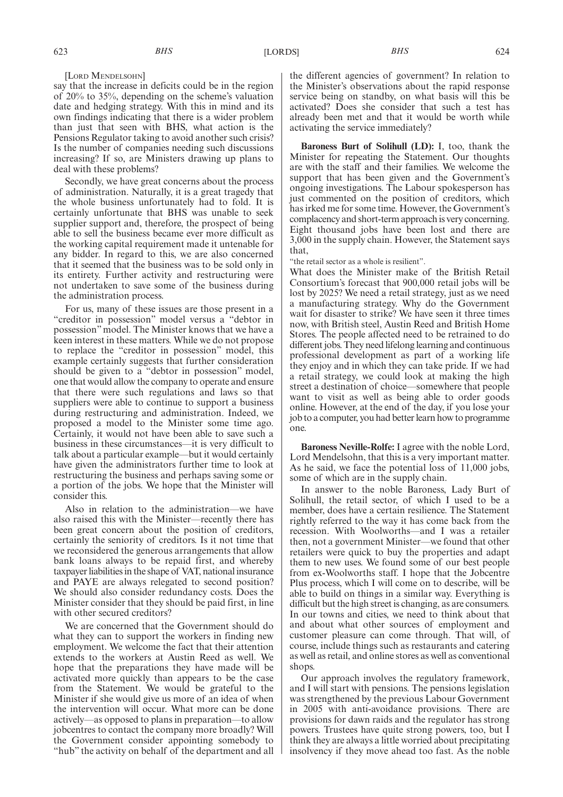[LORD MENDELSOHN]

say that the increase in deficits could be in the region of 20% to 35%, depending on the scheme's valuation date and hedging strategy. With this in mind and its own findings indicating that there is a wider problem than just that seen with BHS, what action is the Pensions Regulator taking to avoid another such crisis? Is the number of companies needing such discussions increasing? If so, are Ministers drawing up plans to deal with these problems?

Secondly, we have great concerns about the process of administration. Naturally, it is a great tragedy that the whole business unfortunately had to fold. It is certainly unfortunate that BHS was unable to seek supplier support and, therefore, the prospect of being able to sell the business became ever more difficult as the working capital requirement made it untenable for any bidder. In regard to this, we are also concerned that it seemed that the business was to be sold only in its entirety. Further activity and restructuring were not undertaken to save some of the business during the administration process.

For us, many of these issues are those present in a "creditor in possession" model versus a "debtor in possession" model. The Minister knows that we have a keen interest in these matters. While we do not propose to replace the "creditor in possession" model, this example certainly suggests that further consideration should be given to a "debtor in possession" model, one that would allow the company to operate and ensure that there were such regulations and laws so that suppliers were able to continue to support a business during restructuring and administration. Indeed, we proposed a model to the Minister some time ago. Certainly, it would not have been able to save such a business in these circumstances—it is very difficult to talk about a particular example—but it would certainly have given the administrators further time to look at restructuring the business and perhaps saving some or a portion of the jobs. We hope that the Minister will consider this.

Also in relation to the administration—we have also raised this with the Minister—recently there has been great concern about the position of creditors, certainly the seniority of creditors. Is it not time that we reconsidered the generous arrangements that allow bank loans always to be repaid first, and whereby taxpayer liabilities in the shape of VAT, national insurance and PAYE are always relegated to second position? We should also consider redundancy costs. Does the Minister consider that they should be paid first, in line with other secured creditors?

We are concerned that the Government should do what they can to support the workers in finding new employment. We welcome the fact that their attention extends to the workers at Austin Reed as well. We hope that the preparations they have made will be activated more quickly than appears to be the case from the Statement. We would be grateful to the Minister if she would give us more of an idea of when the intervention will occur. What more can be done actively—as opposed to plans in preparation—to allow jobcentres to contact the company more broadly? Will the Government consider appointing somebody to "hub" the activity on behalf of the department and all the different agencies of government? In relation to the Minister's observations about the rapid response service being on standby, on what basis will this be activated? Does she consider that such a test has already been met and that it would be worth while activating the service immediately?

**Baroness Burt of Solihull (LD):** I, too, thank the Minister for repeating the Statement. Our thoughts are with the staff and their families. We welcome the support that has been given and the Government's ongoing investigations. The Labour spokesperson has just commented on the position of creditors, which has irked me for some time. However, the Government's complacency and short-term approach is very concerning. Eight thousand jobs have been lost and there are 3,000 in the supply chain. However, the Statement says that,

"the retail sector as a whole is resilient".

What does the Minister make of the British Retail Consortium's forecast that 900,000 retail jobs will be lost by 2025? We need a retail strategy, just as we need a manufacturing strategy. Why do the Government wait for disaster to strike? We have seen it three times now, with British steel, Austin Reed and British Home Stores. The people affected need to be retrained to do different jobs. They need lifelong learning and continuous professional development as part of a working life they enjoy and in which they can take pride. If we had a retail strategy, we could look at making the high street a destination of choice—somewhere that people want to visit as well as being able to order goods online. However, at the end of the day, if you lose your job to a computer, you had better learn how to programme one.

**Baroness Neville-Rolfe:** I agree with the noble Lord, Lord Mendelsohn, that this is a very important matter. As he said, we face the potential loss of 11,000 jobs, some of which are in the supply chain.

In answer to the noble Baroness, Lady Burt of Solihull, the retail sector, of which I used to be a member, does have a certain resilience. The Statement rightly referred to the way it has come back from the recession. With Woolworths—and I was a retailer then, not a government Minister—we found that other retailers were quick to buy the properties and adapt them to new uses. We found some of our best people from ex-Woolworths staff. I hope that the Jobcentre Plus process, which I will come on to describe, will be able to build on things in a similar way. Everything is difficult but the high street is changing, as are consumers. In our towns and cities, we need to think about that and about what other sources of employment and customer pleasure can come through. That will, of course, include things such as restaurants and catering as well as retail, and online stores as well as conventional shops.

Our approach involves the regulatory framework, and I will start with pensions. The pensions legislation was strengthened by the previous Labour Government in 2005 with anti-avoidance provisions. There are provisions for dawn raids and the regulator has strong powers. Trustees have quite strong powers, too, but I think they are always a little worried about precipitating insolvency if they move ahead too fast. As the noble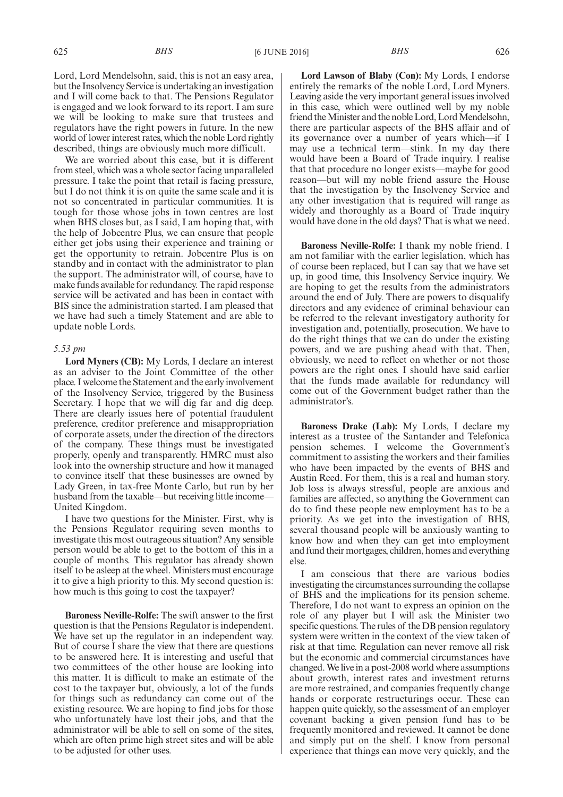Lord, Lord Mendelsohn, said, this is not an easy area, but the Insolvency Service is undertaking an investigation and I will come back to that. The Pensions Regulator is engaged and we look forward to its report. I am sure we will be looking to make sure that trustees and regulators have the right powers in future. In the new world of lower interest rates, which the noble Lord rightly described, things are obviously much more difficult.

We are worried about this case, but it is different from steel, which was a whole sector facing unparalleled pressure. I take the point that retail is facing pressure, but I do not think it is on quite the same scale and it is not so concentrated in particular communities. It is tough for those whose jobs in town centres are lost when BHS closes but, as I said, I am hoping that, with the help of Jobcentre Plus, we can ensure that people either get jobs using their experience and training or get the opportunity to retrain. Jobcentre Plus is on standby and in contact with the administrator to plan the support. The administrator will, of course, have to make funds available for redundancy. The rapid response service will be activated and has been in contact with BIS since the administration started. I am pleased that we have had such a timely Statement and are able to update noble Lords.

#### *5.53 pm*

**Lord Myners (CB):** My Lords, I declare an interest as an adviser to the Joint Committee of the other place. I welcome the Statement and the early involvement of the Insolvency Service, triggered by the Business Secretary. I hope that we will dig far and dig deep. There are clearly issues here of potential fraudulent preference, creditor preference and misappropriation of corporate assets, under the direction of the directors of the company. These things must be investigated properly, openly and transparently. HMRC must also look into the ownership structure and how it managed to convince itself that these businesses are owned by Lady Green, in tax-free Monte Carlo, but run by her husband from the taxable—but receiving little income-United Kingdom.

I have two questions for the Minister. First, why is the Pensions Regulator requiring seven months to investigate this most outrageous situation? Any sensible person would be able to get to the bottom of this in a couple of months. This regulator has already shown itself to be asleep at the wheel. Ministers must encourage it to give a high priority to this. My second question is: how much is this going to cost the taxpayer?

**Baroness Neville-Rolfe:** The swift answer to the first question is that the Pensions Regulator is independent. We have set up the regulator in an independent way. But of course I share the view that there are questions to be answered here. It is interesting and useful that two committees of the other house are looking into this matter. It is difficult to make an estimate of the cost to the taxpayer but, obviously, a lot of the funds for things such as redundancy can come out of the existing resource. We are hoping to find jobs for those who unfortunately have lost their jobs, and that the administrator will be able to sell on some of the sites, which are often prime high street sites and will be able to be adjusted for other uses.

**Lord Lawson of Blaby (Con):** My Lords, I endorse entirely the remarks of the noble Lord, Lord Myners. Leaving aside the very important general issues involved in this case, which were outlined well by my noble friend the Minister and the noble Lord, Lord Mendelsohn, there are particular aspects of the BHS affair and of its governance over a number of years which—if I may use a technical term—stink. In my day there would have been a Board of Trade inquiry. I realise that that procedure no longer exists—maybe for good reason—but will my noble friend assure the House that the investigation by the Insolvency Service and any other investigation that is required will range as widely and thoroughly as a Board of Trade inquiry would have done in the old days? That is what we need.

**Baroness Neville-Rolfe:** I thank my noble friend. I am not familiar with the earlier legislation, which has of course been replaced, but I can say that we have set up, in good time, this Insolvency Service inquiry. We are hoping to get the results from the administrators around the end of July. There are powers to disqualify directors and any evidence of criminal behaviour can be referred to the relevant investigatory authority for investigation and, potentially, prosecution. We have to do the right things that we can do under the existing powers, and we are pushing ahead with that. Then, obviously, we need to reflect on whether or not those powers are the right ones. I should have said earlier that the funds made available for redundancy will come out of the Government budget rather than the administrator's.

**Baroness Drake (Lab):** My Lords, I declare my interest as a trustee of the Santander and Telefonica pension schemes. I welcome the Government's commitment to assisting the workers and their families who have been impacted by the events of BHS and Austin Reed. For them, this is a real and human story. Job loss is always stressful, people are anxious and families are affected, so anything the Government can do to find these people new employment has to be a priority. As we get into the investigation of BHS, several thousand people will be anxiously wanting to know how and when they can get into employment and fund their mortgages, children, homes and everything else.

I am conscious that there are various bodies investigating the circumstances surrounding the collapse of BHS and the implications for its pension scheme. Therefore, I do not want to express an opinion on the role of any player but I will ask the Minister two specific questions. The rules of the DB pension regulatory system were written in the context of the view taken of risk at that time. Regulation can never remove all risk but the economic and commercial circumstances have changed. We live in a post-2008 world where assumptions about growth, interest rates and investment returns are more restrained, and companies frequently change hands or corporate restructurings occur. These can happen quite quickly, so the assessment of an employer covenant backing a given pension fund has to be frequently monitored and reviewed. It cannot be done and simply put on the shelf. I know from personal experience that things can move very quickly, and the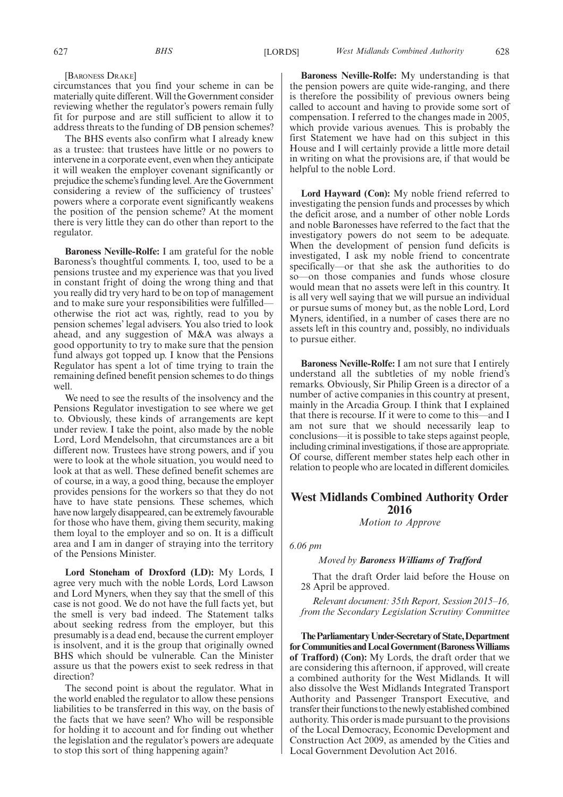#### [BARONESS DRAKE]

circumstances that you find your scheme in can be materially quite different. Will the Government consider reviewing whether the regulator's powers remain fully fit for purpose and are still sufficient to allow it to address threats to the funding of DB pension schemes?

The BHS events also confirm what I already knew as a trustee: that trustees have little or no powers to intervene in a corporate event, even when they anticipate it will weaken the employer covenant significantly or prejudice the scheme's funding level. Are the Government considering a review of the sufficiency of trustees' powers where a corporate event significantly weakens the position of the pension scheme? At the moment there is very little they can do other than report to the regulator.

**Baroness Neville-Rolfe:** I am grateful for the noble Baroness's thoughtful comments. I, too, used to be a pensions trustee and my experience was that you lived in constant fright of doing the wrong thing and that you really did try very hard to be on top of management and to make sure your responsibilities were fulfilled otherwise the riot act was, rightly, read to you by pension schemes' legal advisers. You also tried to look ahead, and any suggestion of M&A was always a good opportunity to try to make sure that the pension fund always got topped up. I know that the Pensions Regulator has spent a lot of time trying to train the remaining defined benefit pension schemes to do things well.

We need to see the results of the insolvency and the Pensions Regulator investigation to see where we get to. Obviously, these kinds of arrangements are kept under review. I take the point, also made by the noble Lord, Lord Mendelsohn, that circumstances are a bit different now. Trustees have strong powers, and if you were to look at the whole situation, you would need to look at that as well. These defined benefit schemes are of course, in a way, a good thing, because the employer provides pensions for the workers so that they do not have to have state pensions. These schemes, which have now largely disappeared, can be extremely favourable for those who have them, giving them security, making them loyal to the employer and so on. It is a difficult area and I am in danger of straying into the territory of the Pensions Minister.

**Lord Stoneham of Droxford (LD):** My Lords, I agree very much with the noble Lords, Lord Lawson and Lord Myners, when they say that the smell of this case is not good. We do not have the full facts yet, but the smell is very bad indeed. The Statement talks about seeking redress from the employer, but this presumably is a dead end, because the current employer is insolvent, and it is the group that originally owned BHS which should be vulnerable. Can the Minister assure us that the powers exist to seek redress in that direction?

The second point is about the regulator. What in the world enabled the regulator to allow these pensions liabilities to be transferred in this way, on the basis of the facts that we have seen? Who will be responsible for holding it to account and for finding out whether the legislation and the regulator's powers are adequate to stop this sort of thing happening again?

**Baroness Neville-Rolfe:** My understanding is that the pension powers are quite wide-ranging, and there is therefore the possibility of previous owners being called to account and having to provide some sort of compensation. I referred to the changes made in 2005, which provide various avenues. This is probably the first Statement we have had on this subject in this House and I will certainly provide a little more detail in writing on what the provisions are, if that would be helpful to the noble Lord.

**Lord Hayward (Con):** My noble friend referred to investigating the pension funds and processes by which the deficit arose, and a number of other noble Lords and noble Baronesses have referred to the fact that the investigatory powers do not seem to be adequate. When the development of pension fund deficits is investigated, I ask my noble friend to concentrate specifically—or that she ask the authorities to do so—on those companies and funds whose closure would mean that no assets were left in this country. It is all very well saying that we will pursue an individual or pursue sums of money but, as the noble Lord, Lord Myners, identified, in a number of cases there are no assets left in this country and, possibly, no individuals to pursue either.

**Baroness Neville-Rolfe:** I am not sure that I entirely understand all the subtleties of my noble friend's remarks. Obviously, Sir Philip Green is a director of a number of active companies in this country at present, mainly in the Arcadia Group. I think that I explained that there is recourse. If it were to come to this—and I am not sure that we should necessarily leap to conclusions—it is possible to take steps against people, including criminal investigations, if those are appropriate. Of course, different member states help each other in relation to people who are located in different domiciles.

### **West Midlands Combined Authority Order 2016**

*Motion to Approve*

*6.06 pm*

#### *Moved by Baroness Williams of Trafford*

That the draft Order laid before the House on 28 April be approved.

*Relevant document: 35th Report, Session 2015–16, from the Secondary Legislation Scrutiny Committee*

**TheParliamentaryUnder-Secretaryof State,Department forCommunitiesandLocalGovernment(BaronessWilliams of Trafford) (Con):** My Lords, the draft order that we are considering this afternoon, if approved, will create a combined authority for the West Midlands. It will also dissolve the West Midlands Integrated Transport Authority and Passenger Transport Executive, and transfer their functions to the newly established combined authority. This order is made pursuant to the provisions of the Local Democracy, Economic Development and Construction Act 2009, as amended by the Cities and Local Government Devolution Act 2016.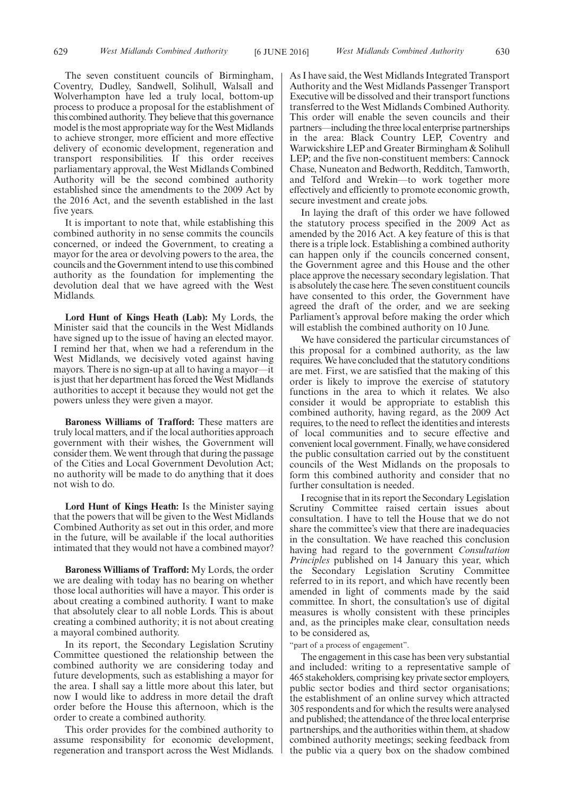The seven constituent councils of Birmingham, Coventry, Dudley, Sandwell, Solihull, Walsall and Wolverhampton have led a truly local, bottom-up process to produce a proposal for the establishment of this combined authority. They believe that this governance model is the most appropriate way for the West Midlands to achieve stronger, more efficient and more effective delivery of economic development, regeneration and transport responsibilities. If this order receives parliamentary approval, the West Midlands Combined Authority will be the second combined authority established since the amendments to the 2009 Act by the 2016 Act, and the seventh established in the last five years.

It is important to note that, while establishing this combined authority in no sense commits the councils concerned, or indeed the Government, to creating a mayor for the area or devolving powers to the area, the councils and the Government intend to use this combined authority as the foundation for implementing the devolution deal that we have agreed with the West Midlands.

**Lord Hunt of Kings Heath (Lab):** My Lords, the Minister said that the councils in the West Midlands have signed up to the issue of having an elected mayor. I remind her that, when we had a referendum in the West Midlands, we decisively voted against having mayors. There is no sign-up at all to having a mayor—it is just that her department has forced the West Midlands authorities to accept it because they would not get the powers unless they were given a mayor.

**Baroness Williams of Trafford:** These matters are truly local matters, and if the local authorities approach government with their wishes, the Government will consider them. We went through that during the passage of the Cities and Local Government Devolution Act; no authority will be made to do anything that it does not wish to do.

**Lord Hunt of Kings Heath:** Is the Minister saying that the powers that will be given to the West Midlands Combined Authority as set out in this order, and more in the future, will be available if the local authorities intimated that they would not have a combined mayor?

**Baroness Williams of Trafford:** My Lords, the order we are dealing with today has no bearing on whether those local authorities will have a mayor. This order is about creating a combined authority. I want to make that absolutely clear to all noble Lords. This is about creating a combined authority; it is not about creating a mayoral combined authority.

In its report, the Secondary Legislation Scrutiny Committee questioned the relationship between the combined authority we are considering today and future developments, such as establishing a mayor for the area. I shall say a little more about this later, but now I would like to address in more detail the draft order before the House this afternoon, which is the order to create a combined authority.

This order provides for the combined authority to assume responsibility for economic development, regeneration and transport across the West Midlands. As I have said, the West Midlands Integrated Transport Authority and the West Midlands Passenger Transport Executive will be dissolved and their transport functions transferred to the West Midlands Combined Authority. This order will enable the seven councils and their partners—including the three local enterprise partnerships in the area: Black Country LEP, Coventry and Warwickshire LEP and Greater Birmingham & Solihull LEP; and the five non-constituent members: Cannock Chase, Nuneaton and Bedworth, Redditch, Tamworth, and Telford and Wrekin—to work together more effectively and efficiently to promote economic growth, secure investment and create jobs.

In laying the draft of this order we have followed the statutory process specified in the 2009 Act as amended by the 2016 Act. A key feature of this is that there is a triple lock. Establishing a combined authority can happen only if the councils concerned consent, the Government agree and this House and the other place approve the necessary secondary legislation. That is absolutely the case here. The seven constituent councils have consented to this order, the Government have agreed the draft of the order, and we are seeking Parliament's approval before making the order which will establish the combined authority on 10 June.

We have considered the particular circumstances of this proposal for a combined authority, as the law requires. We have concluded that the statutory conditions are met. First, we are satisfied that the making of this order is likely to improve the exercise of statutory functions in the area to which it relates. We also consider it would be appropriate to establish this combined authority, having regard, as the 2009 Act requires, to the need to reflect the identities and interests of local communities and to secure effective and convenient local government. Finally, we have considered the public consultation carried out by the constituent councils of the West Midlands on the proposals to form this combined authority and consider that no further consultation is needed.

I recognise that in its report the Secondary Legislation Scrutiny Committee raised certain issues about consultation. I have to tell the House that we do not share the committee's view that there are inadequacies in the consultation. We have reached this conclusion having had regard to the government *Consultation Principles* published on 14 January this year, which the Secondary Legislation Scrutiny Committee referred to in its report, and which have recently been amended in light of comments made by the said committee. In short, the consultation's use of digital measures is wholly consistent with these principles and, as the principles make clear, consultation needs to be considered as,

"part of a process of engagement".

The engagement in this case has been very substantial and included: writing to a representative sample of 465 stakeholders, comprising key private sector employers, public sector bodies and third sector organisations; the establishment of an online survey which attracted 305 respondents and for which the results were analysed and published; the attendance of the three local enterprise partnerships, and the authorities within them, at shadow combined authority meetings; seeking feedback from the public via a query box on the shadow combined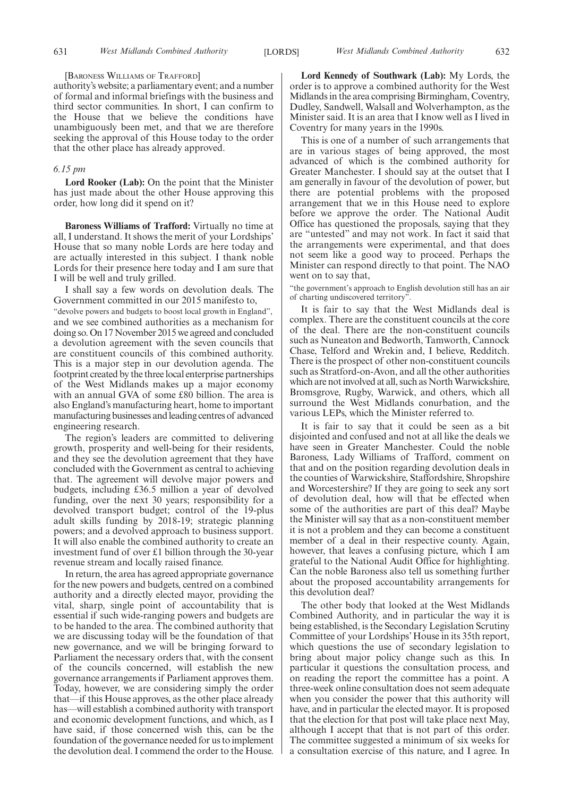#### [BARONESS WILLIAMS OF TRAFFORD]

authority's website; a parliamentary event; and a number of formal and informal briefings with the business and third sector communities. In short, I can confirm to the House that we believe the conditions have unambiguously been met, and that we are therefore seeking the approval of this House today to the order that the other place has already approved.

#### *6.15 pm*

**Lord Rooker (Lab):** On the point that the Minister has just made about the other House approving this order, how long did it spend on it?

**Baroness Williams of Trafford:** Virtually no time at all, I understand. It shows the merit of your Lordships' House that so many noble Lords are here today and are actually interested in this subject. I thank noble Lords for their presence here today and I am sure that I will be well and truly grilled.

I shall say a few words on devolution deals. The Government committed in our 2015 manifesto to,

"devolve powers and budgets to boost local growth in England", and we see combined authorities as a mechanism for doing so. On 17 November 2015 we agreed and concluded a devolution agreement with the seven councils that are constituent councils of this combined authority. This is a major step in our devolution agenda. The footprint created by the three local enterprise partnerships of the West Midlands makes up a major economy with an annual GVA of some £80 billion. The area is also England's manufacturing heart, home to important manufacturing businesses and leading centres of advanced engineering research.

The region's leaders are committed to delivering growth, prosperity and well-being for their residents, and they see the devolution agreement that they have concluded with the Government as central to achieving that. The agreement will devolve major powers and budgets, including £36.5 million a year of devolved funding, over the next 30 years; responsibility for a devolved transport budget; control of the 19-plus adult skills funding by 2018-19; strategic planning powers; and a devolved approach to business support. It will also enable the combined authority to create an investment fund of over £1 billion through the 30-year revenue stream and locally raised finance.

In return, the area has agreed appropriate governance for the new powers and budgets, centred on a combined authority and a directly elected mayor, providing the vital, sharp, single point of accountability that is essential if such wide-ranging powers and budgets are to be handed to the area. The combined authority that we are discussing today will be the foundation of that new governance, and we will be bringing forward to Parliament the necessary orders that, with the consent of the councils concerned, will establish the new governance arrangements if Parliament approves them. Today, however, we are considering simply the order that—if this House approves, as the other place already has—will establish a combined authority with transport and economic development functions, and which, as I have said, if those concerned wish this, can be the foundation of the governance needed for us to implement the devolution deal. I commend the order to the House.

**Lord Kennedy of Southwark (Lab):** My Lords, the order is to approve a combined authority for the West Midlands in the area comprising Birmingham, Coventry, Dudley, Sandwell, Walsall and Wolverhampton, as the Minister said. It is an area that I know well as I lived in Coventry for many years in the 1990s.

This is one of a number of such arrangements that are in various stages of being approved, the most advanced of which is the combined authority for Greater Manchester. I should say at the outset that I am generally in favour of the devolution of power, but there are potential problems with the proposed arrangement that we in this House need to explore before we approve the order. The National Audit Office has questioned the proposals, saying that they are "untested" and may not work. In fact it said that the arrangements were experimental, and that does not seem like a good way to proceed. Perhaps the Minister can respond directly to that point. The NAO went on to say that,

"the government's approach to English devolution still has an air of charting undiscovered territory".

It is fair to say that the West Midlands deal is complex. There are the constituent councils at the core of the deal. There are the non-constituent councils such as Nuneaton and Bedworth, Tamworth, Cannock Chase, Telford and Wrekin and, I believe, Redditch. There is the prospect of other non-constituent councils such as Stratford-on-Avon, and all the other authorities which are not involved at all, such as North Warwickshire, Bromsgrove, Rugby, Warwick, and others, which all surround the West Midlands conurbation, and the various LEPs, which the Minister referred to.

It is fair to say that it could be seen as a bit disjointed and confused and not at all like the deals we have seen in Greater Manchester. Could the noble Baroness, Lady Williams of Trafford, comment on that and on the position regarding devolution deals in the counties of Warwickshire, Staffordshire, Shropshire and Worcestershire? If they are going to seek any sort of devolution deal, how will that be effected when some of the authorities are part of this deal? Maybe the Minister will say that as a non-constituent member it is not a problem and they can become a constituent member of a deal in their respective county. Again, however, that leaves a confusing picture, which I am grateful to the National Audit Office for highlighting. Can the noble Baroness also tell us something further about the proposed accountability arrangements for this devolution deal?

The other body that looked at the West Midlands Combined Authority, and in particular the way it is being established, is the Secondary Legislation Scrutiny Committee of your Lordships' House in its 35th report, which questions the use of secondary legislation to bring about major policy change such as this. In particular it questions the consultation process, and on reading the report the committee has a point. A three-week online consultation does not seem adequate when you consider the power that this authority will have, and in particular the elected mayor. It is proposed that the election for that post will take place next May, although I accept that that is not part of this order. The committee suggested a minimum of six weeks for a consultation exercise of this nature, and I agree. In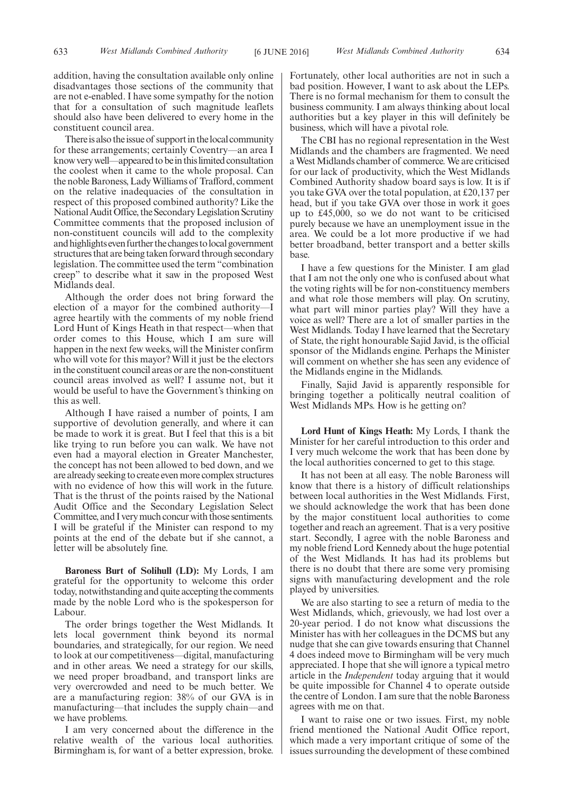addition, having the consultation available only online disadvantages those sections of the community that are not e-enabled. I have some sympathy for the notion that for a consultation of such magnitude leaflets should also have been delivered to every home in the constituent council area.

There is also the issue of support in the local community for these arrangements; certainly Coventry—an area I know very well—appeared to be in this limited consultation the coolest when it came to the whole proposal. Can the noble Baroness, Lady Williams of Trafford, comment on the relative inadequacies of the consultation in respect of this proposed combined authority? Like the National Audit Office, the Secondary Legislation Scrutiny Committee comments that the proposed inclusion of non-constituent councils will add to the complexity and highlights even further the changes to local government structures that are being taken forward through secondary legislation. The committee used the term "combination creep" to describe what it saw in the proposed West Midlands deal.

Although the order does not bring forward the election of a mayor for the combined authority—I agree heartily with the comments of my noble friend Lord Hunt of Kings Heath in that respect—when that order comes to this House, which I am sure will happen in the next few weeks, will the Minister confirm who will vote for this mayor? Will it just be the electors in the constituent council areas or are the non-constituent council areas involved as well? I assume not, but it would be useful to have the Government's thinking on this as well.

Although I have raised a number of points, I am supportive of devolution generally, and where it can be made to work it is great. But I feel that this is a bit like trying to run before you can walk. We have not even had a mayoral election in Greater Manchester, the concept has not been allowed to bed down, and we are already seeking to create even more complex structures with no evidence of how this will work in the future. That is the thrust of the points raised by the National Audit Office and the Secondary Legislation Select Committee, and I very much concur with those sentiments. I will be grateful if the Minister can respond to my points at the end of the debate but if she cannot, a letter will be absolutely fine.

**Baroness Burt of Solihull (LD):** My Lords, I am grateful for the opportunity to welcome this order today, notwithstanding and quite accepting the comments made by the noble Lord who is the spokesperson for Labour.

The order brings together the West Midlands. It lets local government think beyond its normal boundaries, and strategically, for our region. We need to look at our competitiveness—digital, manufacturing and in other areas. We need a strategy for our skills, we need proper broadband, and transport links are very overcrowded and need to be much better. We are a manufacturing region: 38% of our GVA is in manufacturing—that includes the supply chain—and we have problems.

I am very concerned about the difference in the relative wealth of the various local authorities. Birmingham is, for want of a better expression, broke. Fortunately, other local authorities are not in such a bad position. However, I want to ask about the LEPs. There is no formal mechanism for them to consult the business community. I am always thinking about local authorities but a key player in this will definitely be business, which will have a pivotal role.

The CBI has no regional representation in the West Midlands and the chambers are fragmented. We need a West Midlands chamber of commerce. We are criticised for our lack of productivity, which the West Midlands Combined Authority shadow board says is low. It is if you take GVA over the total population, at £20,137 per head, but if you take GVA over those in work it goes up to £45,000, so we do not want to be criticised purely because we have an unemployment issue in the area. We could be a lot more productive if we had better broadband, better transport and a better skills base.

I have a few questions for the Minister. I am glad that I am not the only one who is confused about what the voting rights will be for non-constituency members and what role those members will play. On scrutiny, what part will minor parties play? Will they have a voice as well? There are a lot of smaller parties in the West Midlands. Today I have learned that the Secretary of State, the right honourable Sajid Javid, is the official sponsor of the Midlands engine. Perhaps the Minister will comment on whether she has seen any evidence of the Midlands engine in the Midlands.

Finally, Sajid Javid is apparently responsible for bringing together a politically neutral coalition of West Midlands MPs. How is he getting on?

**Lord Hunt of Kings Heath:** My Lords, I thank the Minister for her careful introduction to this order and I very much welcome the work that has been done by the local authorities concerned to get to this stage.

It has not been at all easy. The noble Baroness will know that there is a history of difficult relationships between local authorities in the West Midlands. First, we should acknowledge the work that has been done by the major constituent local authorities to come together and reach an agreement. That is a very positive start. Secondly, I agree with the noble Baroness and my noble friend Lord Kennedy about the huge potential of the West Midlands. It has had its problems but there is no doubt that there are some very promising signs with manufacturing development and the role played by universities.

We are also starting to see a return of media to the West Midlands, which, grievously, we had lost over a 20-year period. I do not know what discussions the Minister has with her colleagues in the DCMS but any nudge that she can give towards ensuring that Channel 4 does indeed move to Birmingham will be very much appreciated. I hope that she will ignore a typical metro article in the *Independent* today arguing that it would be quite impossible for Channel 4 to operate outside the centre of London. I am sure that the noble Baroness agrees with me on that.

I want to raise one or two issues. First, my noble friend mentioned the National Audit Office report, which made a very important critique of some of the issues surrounding the development of these combined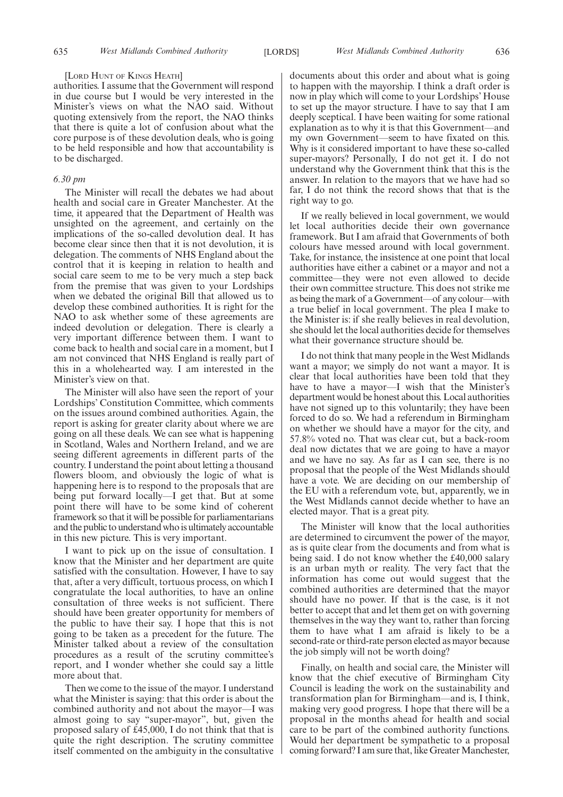#### [LORD HUNT OF KINGS HEATH]

authorities. I assume that the Government will respond in due course but I would be very interested in the Minister's views on what the NAO said. Without quoting extensively from the report, the NAO thinks that there is quite a lot of confusion about what the core purpose is of these devolution deals, who is going to be held responsible and how that accountability is to be discharged.

#### *6.30 pm*

The Minister will recall the debates we had about health and social care in Greater Manchester. At the time, it appeared that the Department of Health was unsighted on the agreement, and certainly on the implications of the so-called devolution deal. It has become clear since then that it is not devolution, it is delegation. The comments of NHS England about the control that it is keeping in relation to health and social care seem to me to be very much a step back from the premise that was given to your Lordships when we debated the original Bill that allowed us to develop these combined authorities. It is right for the NAO to ask whether some of these agreements are indeed devolution or delegation. There is clearly a very important difference between them. I want to come back to health and social care in a moment, but I am not convinced that NHS England is really part of this in a wholehearted way. I am interested in the Minister's view on that.

The Minister will also have seen the report of your Lordships' Constitution Committee, which comments on the issues around combined authorities. Again, the report is asking for greater clarity about where we are going on all these deals. We can see what is happening in Scotland, Wales and Northern Ireland, and we are seeing different agreements in different parts of the country. I understand the point about letting a thousand flowers bloom, and obviously the logic of what is happening here is to respond to the proposals that are being put forward locally—I get that. But at some point there will have to be some kind of coherent framework so that it will be possible for parliamentarians and the public to understand who is ultimately accountable in this new picture. This is very important.

I want to pick up on the issue of consultation. I know that the Minister and her department are quite satisfied with the consultation. However, I have to say that, after a very difficult, tortuous process, on which I congratulate the local authorities, to have an online consultation of three weeks is not sufficient. There should have been greater opportunity for members of the public to have their say. I hope that this is not going to be taken as a precedent for the future. The Minister talked about a review of the consultation procedures as a result of the scrutiny committee's report, and I wonder whether she could say a little more about that.

Then we come to the issue of the mayor. I understand what the Minister is saying: that this order is about the combined authority and not about the mayor—I was almost going to say "super-mayor", but, given the proposed salary of £45,000, I do not think that that is quite the right description. The scrutiny committee itself commented on the ambiguity in the consultative documents about this order and about what is going to happen with the mayorship. I think a draft order is now in play which will come to your Lordships' House to set up the mayor structure. I have to say that I am deeply sceptical. I have been waiting for some rational explanation as to why it is that this Government—and my own Government—seem to have fixated on this. Why is it considered important to have these so-called super-mayors? Personally, I do not get it. I do not understand why the Government think that this is the answer. In relation to the mayors that we have had so far, I do not think the record shows that that is the right way to go.

If we really believed in local government, we would let local authorities decide their own governance framework. But I am afraid that Governments of both colours have messed around with local government. Take, for instance, the insistence at one point that local authorities have either a cabinet or a mayor and not a committee—they were not even allowed to decide their own committee structure. This does not strike me as being the mark of a Government—of any colour—with a true belief in local government. The plea I make to the Minister is: if she really believes in real devolution, she should let the local authorities decide for themselves what their governance structure should be.

I do not think that many people in the West Midlands want a mayor; we simply do not want a mayor. It is clear that local authorities have been told that they have to have a mayor—I wish that the Minister's department would be honest about this. Local authorities have not signed up to this voluntarily; they have been forced to do so. We had a referendum in Birmingham on whether we should have a mayor for the city, and 57.8% voted no. That was clear cut, but a back-room deal now dictates that we are going to have a mayor and we have no say. As far as I can see, there is no proposal that the people of the West Midlands should have a vote. We are deciding on our membership of the EU with a referendum vote, but, apparently, we in the West Midlands cannot decide whether to have an elected mayor. That is a great pity.

The Minister will know that the local authorities are determined to circumvent the power of the mayor, as is quite clear from the documents and from what is being said. I do not know whether the £40,000 salary is an urban myth or reality. The very fact that the information has come out would suggest that the combined authorities are determined that the mayor should have no power. If that is the case, is it not better to accept that and let them get on with governing themselves in the way they want to, rather than forcing them to have what I am afraid is likely to be a second-rate or third-rate person elected as mayor because the job simply will not be worth doing?

Finally, on health and social care, the Minister will know that the chief executive of Birmingham City Council is leading the work on the sustainability and transformation plan for Birmingham—and is, I think, making very good progress. I hope that there will be a proposal in the months ahead for health and social care to be part of the combined authority functions. Would her department be sympathetic to a proposal coming forward? I am sure that, like Greater Manchester,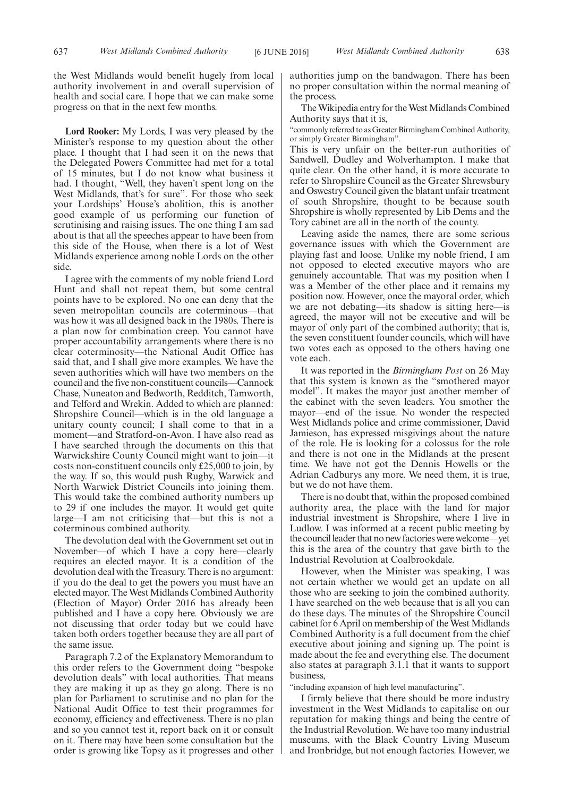the West Midlands would benefit hugely from local authority involvement in and overall supervision of health and social care. I hope that we can make some progress on that in the next few months.

**Lord Rooker:** My Lords, I was very pleased by the Minister's response to my question about the other place. I thought that I had seen it on the news that the Delegated Powers Committee had met for a total of 15 minutes, but I do not know what business it had. I thought, "Well, they haven't spent long on the West Midlands, that's for sure". For those who seek your Lordships' House's abolition, this is another good example of us performing our function of scrutinising and raising issues. The one thing I am sad about is that all the speeches appear to have been from this side of the House, when there is a lot of West Midlands experience among noble Lords on the other side.

I agree with the comments of my noble friend Lord Hunt and shall not repeat them, but some central points have to be explored. No one can deny that the seven metropolitan councils are coterminous—that was how it was all designed back in the 1980s. There is a plan now for combination creep. You cannot have proper accountability arrangements where there is no clear coterminosity—the National Audit Office has said that, and I shall give more examples. We have the seven authorities which will have two members on the council and the five non-constituent councils—Cannock Chase, Nuneaton and Bedworth, Redditch, Tamworth, and Telford and Wrekin. Added to which are planned: Shropshire Council—which is in the old language a unitary county council; I shall come to that in a moment—and Stratford-on-Avon. I have also read as I have searched through the documents on this that Warwickshire County Council might want to join—it costs non-constituent councils only £25,000 to join, by the way. If so, this would push Rugby, Warwick and North Warwick District Councils into joining them. This would take the combined authority numbers up to 29 if one includes the mayor. It would get quite large—I am not criticising that—but this is not a coterminous combined authority.

The devolution deal with the Government set out in November—of which I have a copy here—clearly requires an elected mayor. It is a condition of the devolution deal with the Treasury. There is no argument: if you do the deal to get the powers you must have an elected mayor. The West Midlands Combined Authority (Election of Mayor) Order 2016 has already been published and I have a copy here. Obviously we are not discussing that order today but we could have taken both orders together because they are all part of the same issue.

Paragraph 7.2 of the Explanatory Memorandum to this order refers to the Government doing "bespoke devolution deals" with local authorities. That means they are making it up as they go along. There is no plan for Parliament to scrutinise and no plan for the National Audit Office to test their programmes for economy, efficiency and effectiveness. There is no plan and so you cannot test it, report back on it or consult on it. There may have been some consultation but the order is growing like Topsy as it progresses and other authorities jump on the bandwagon. There has been no proper consultation within the normal meaning of the process.

The Wikipedia entry for the West Midlands Combined Authority says that it is,

"commonly referred to as Greater Birmingham Combined Authority, or simply Greater Birmingham".

This is very unfair on the better-run authorities of Sandwell, Dudley and Wolverhampton. I make that quite clear. On the other hand, it is more accurate to refer to Shropshire Council as the Greater Shrewsbury and Oswestry Council given the blatant unfair treatment of south Shropshire, thought to be because south Shropshire is wholly represented by Lib Dems and the Tory cabinet are all in the north of the county.

Leaving aside the names, there are some serious governance issues with which the Government are playing fast and loose. Unlike my noble friend, I am not opposed to elected executive mayors who are genuinely accountable. That was my position when I was a Member of the other place and it remains my position now. However, once the mayoral order, which we are not debating—its shadow is sitting here—is agreed, the mayor will not be executive and will be mayor of only part of the combined authority; that is, the seven constituent founder councils, which will have two votes each as opposed to the others having one vote each.

It was reported in the *Birmingham Post* on 26 May that this system is known as the "smothered mayor model". It makes the mayor just another member of the cabinet with the seven leaders. You smother the mayor—end of the issue. No wonder the respected West Midlands police and crime commissioner, David Jamieson, has expressed misgivings about the nature of the role. He is looking for a colossus for the role and there is not one in the Midlands at the present time. We have not got the Dennis Howells or the Adrian Cadburys any more. We need them, it is true, but we do not have them.

There is no doubt that, within the proposed combined authority area, the place with the land for major industrial investment is Shropshire, where I live in Ludlow. I was informed at a recent public meeting by the council leader that no new factories were welcome—yet this is the area of the country that gave birth to the Industrial Revolution at Coalbrookdale.

However, when the Minister was speaking, I was not certain whether we would get an update on all those who are seeking to join the combined authority. I have searched on the web because that is all you can do these days. The minutes of the Shropshire Council cabinet for 6 April on membership of the West Midlands Combined Authority is a full document from the chief executive about joining and signing up. The point is made about the fee and everything else. The document also states at paragraph 3.1.1 that it wants to support business,

"including expansion of high level manufacturing".

I firmly believe that there should be more industry investment in the West Midlands to capitalise on our reputation for making things and being the centre of the Industrial Revolution. We have too many industrial museums, with the Black Country Living Museum and Ironbridge, but not enough factories. However, we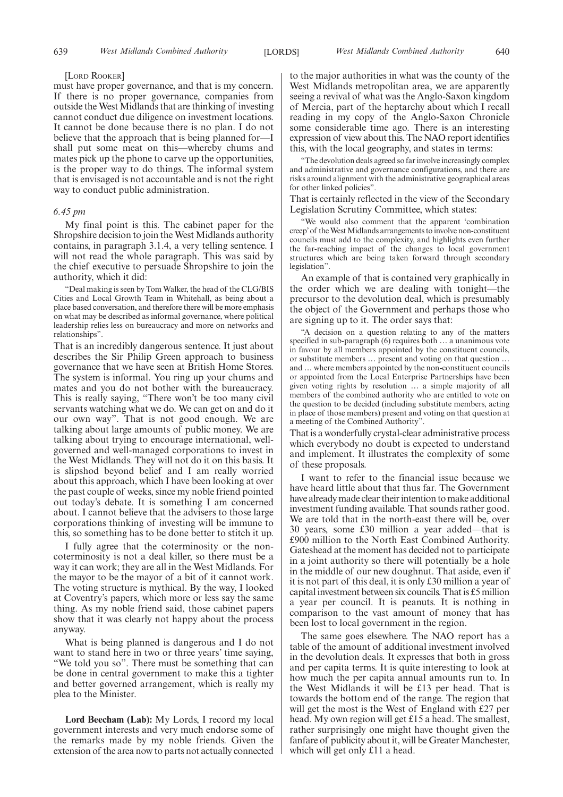#### [LORD ROOKER]

must have proper governance, and that is my concern. If there is no proper governance, companies from outside the West Midlands that are thinking of investing cannot conduct due diligence on investment locations. It cannot be done because there is no plan. I do not believe that the approach that is being planned for—I shall put some meat on this—whereby chums and mates pick up the phone to carve up the opportunities, is the proper way to do things. The informal system that is envisaged is not accountable and is not the right way to conduct public administration.

#### *6.45 pm*

My final point is this. The cabinet paper for the Shropshire decision to join the West Midlands authority contains, in paragraph 3.1.4, a very telling sentence. I will not read the whole paragraph. This was said by the chief executive to persuade Shropshire to join the authority, which it did:

"Deal making is seen by Tom Walker, the head of the CLG/BIS Cities and Local Growth Team in Whitehall, as being about a place based conversation, and therefore there will be more emphasis on what may be described as informal governance, where political leadership relies less on bureaucracy and more on networks and relationships".

That is an incredibly dangerous sentence. It just about describes the Sir Philip Green approach to business governance that we have seen at British Home Stores. The system is informal. You ring up your chums and mates and you do not bother with the bureaucracy. This is really saying, "There won't be too many civil servants watching what we do. We can get on and do it our own way". That is not good enough. We are talking about large amounts of public money. We are talking about trying to encourage international, wellgoverned and well-managed corporations to invest in the West Midlands. They will not do it on this basis. It is slipshod beyond belief and I am really worried about this approach, which I have been looking at over the past couple of weeks, since my noble friend pointed out today's debate. It is something I am concerned about. I cannot believe that the advisers to those large corporations thinking of investing will be immune to this, so something has to be done better to stitch it up.

I fully agree that the coterminosity or the noncoterminosity is not a deal killer, so there must be a way it can work; they are all in the West Midlands. For the mayor to be the mayor of a bit of it cannot work. The voting structure is mythical. By the way, I looked at Coventry's papers, which more or less say the same thing. As my noble friend said, those cabinet papers show that it was clearly not happy about the process anyway.

What is being planned is dangerous and I do not want to stand here in two or three years' time saying, "We told you so". There must be something that can be done in central government to make this a tighter and better governed arrangement, which is really my plea to the Minister.

**Lord Beecham (Lab):** My Lords, I record my local government interests and very much endorse some of the remarks made by my noble friends. Given the extension of the area now to parts not actually connected to the major authorities in what was the county of the West Midlands metropolitan area, we are apparently seeing a revival of what was the Anglo-Saxon kingdom of Mercia, part of the heptarchy about which I recall reading in my copy of the Anglo-Saxon Chronicle some considerable time ago. There is an interesting expression of view about this. The NAO report identifies this, with the local geography, and states in terms:

"The devolution deals agreed so far involve increasingly complex and administrative and governance configurations, and there are risks around alignment with the administrative geographical areas for other linked policies".

That is certainly reflected in the view of the Secondary Legislation Scrutiny Committee, which states:

"We would also comment that the apparent 'combination creep'of the West Midlands arrangements to involve non-constituent councils must add to the complexity, and highlights even further the far-reaching impact of the changes to local government structures which are being taken forward through secondary legislation".

An example of that is contained very graphically in the order which we are dealing with tonight—the precursor to the devolution deal, which is presumably the object of the Government and perhaps those who are signing up to it. The order says that:

"A decision on a question relating to any of the matters specified in sub-paragraph (6) requires both … a unanimous vote in favour by all members appointed by the constituent councils, or substitute members … present and voting on that question … and … where members appointed by the non-constituent councils or appointed from the Local Enterprise Partnerships have been given voting rights by resolution … a simple majority of all members of the combined authority who are entitled to vote on the question to be decided (including substitute members, acting in place of those members) present and voting on that question at a meeting of the Combined Authority".

That is a wonderfully crystal-clear administrative process which everybody no doubt is expected to understand and implement. It illustrates the complexity of some of these proposals.

I want to refer to the financial issue because we have heard little about that thus far. The Government have already made clear their intention to make additional investment funding available. That sounds rather good. We are told that in the north-east there will be, over 30 years, some £30 million a year added—that is £900 million to the North East Combined Authority. Gateshead at the moment has decided not to participate in a joint authority so there will potentially be a hole in the middle of our new doughnut. That aside, even if it is not part of this deal, it is only £30 million a year of capital investment between six councils. That is £5 million a year per council. It is peanuts. It is nothing in comparison to the vast amount of money that has been lost to local government in the region.

The same goes elsewhere. The NAO report has a table of the amount of additional investment involved in the devolution deals. It expresses that both in gross and per capita terms. It is quite interesting to look at how much the per capita annual amounts run to. In the West Midlands it will be £13 per head. That is towards the bottom end of the range. The region that will get the most is the West of England with £27 per head. My own region will get £15 a head. The smallest, rather surprisingly one might have thought given the fanfare of publicity about it, will be Greater Manchester, which will get only £11 a head.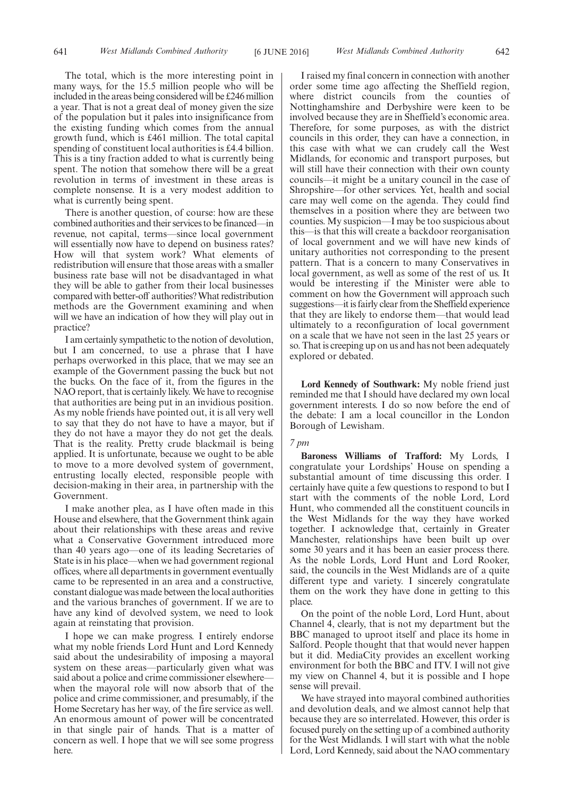The total, which is the more interesting point in many ways, for the 15.5 million people who will be included in the areas being considered will be £246 million a year. That is not a great deal of money given the size of the population but it pales into insignificance from the existing funding which comes from the annual growth fund, which is £461 million. The total capital spending of constituent local authorities is £4.4 billion. This is a tiny fraction added to what is currently being spent. The notion that somehow there will be a great revolution in terms of investment in these areas is complete nonsense. It is a very modest addition to what is currently being spent.

There is another question, of course: how are these combined authorities and their services to be financed—in revenue, not capital, terms—since local government will essentially now have to depend on business rates? How will that system work? What elements of redistribution will ensure that those areas with a smaller business rate base will not be disadvantaged in what they will be able to gather from their local businesses compared with better-off authorities? What redistribution methods are the Government examining and when will we have an indication of how they will play out in practice?

I am certainly sympathetic to the notion of devolution, but I am concerned, to use a phrase that I have perhaps overworked in this place, that we may see an example of the Government passing the buck but not the bucks. On the face of it, from the figures in the NAO report, that is certainly likely. We have to recognise that authorities are being put in an invidious position. As my noble friends have pointed out, it is all very well to say that they do not have to have a mayor, but if they do not have a mayor they do not get the deals. That is the reality. Pretty crude blackmail is being applied. It is unfortunate, because we ought to be able to move to a more devolved system of government, entrusting locally elected, responsible people with decision-making in their area, in partnership with the Government.

I make another plea, as I have often made in this House and elsewhere, that the Government think again about their relationships with these areas and revive what a Conservative Government introduced more than 40 years ago—one of its leading Secretaries of State is in his place—when we had government regional offices, where all departments in government eventually came to be represented in an area and a constructive, constant dialogue was made between the local authorities and the various branches of government. If we are to have any kind of devolved system, we need to look again at reinstating that provision.

I hope we can make progress. I entirely endorse what my noble friends Lord Hunt and Lord Kennedy said about the undesirability of imposing a mayoral system on these areas—particularly given what was said about a police and crime commissioner elsewhere when the mayoral role will now absorb that of the police and crime commissioner, and presumably, if the Home Secretary has her way, of the fire service as well. An enormous amount of power will be concentrated in that single pair of hands. That is a matter of concern as well. I hope that we will see some progress here.

I raised my final concern in connection with another order some time ago affecting the Sheffield region, where district councils from the counties of Nottinghamshire and Derbyshire were keen to be involved because they are in Sheffield's economic area. Therefore, for some purposes, as with the district councils in this order, they can have a connection, in this case with what we can crudely call the West Midlands, for economic and transport purposes, but will still have their connection with their own county councils—it might be a unitary council in the case of Shropshire—for other services. Yet, health and social care may well come on the agenda. They could find themselves in a position where they are between two counties. My suspicion—I may be too suspicious about this—is that this will create a backdoor reorganisation of local government and we will have new kinds of unitary authorities not corresponding to the present pattern. That is a concern to many Conservatives in local government, as well as some of the rest of us. It would be interesting if the Minister were able to comment on how the Government will approach such suggestions—it is fairly clear from the Sheffield experience that they are likely to endorse them—that would lead ultimately to a reconfiguration of local government on a scale that we have not seen in the last 25 years or so. That is creeping up on us and has not been adequately explored or debated.

**Lord Kennedy of Southwark:** My noble friend just reminded me that I should have declared my own local government interests. I do so now before the end of the debate: I am a local councillor in the London Borough of Lewisham.

#### *7 pm*

**Baroness Williams of Trafford:** My Lords, I congratulate your Lordships' House on spending a substantial amount of time discussing this order. I certainly have quite a few questions to respond to but I start with the comments of the noble Lord, Lord Hunt, who commended all the constituent councils in the West Midlands for the way they have worked together. I acknowledge that, certainly in Greater Manchester, relationships have been built up over some 30 years and it has been an easier process there. As the noble Lords, Lord Hunt and Lord Rooker, said, the councils in the West Midlands are of a quite different type and variety. I sincerely congratulate them on the work they have done in getting to this place.

On the point of the noble Lord, Lord Hunt, about Channel 4, clearly, that is not my department but the BBC managed to uproot itself and place its home in Salford. People thought that that would never happen but it did. MediaCity provides an excellent working environment for both the BBC and ITV. I will not give my view on Channel 4, but it is possible and I hope sense will prevail.

We have strayed into mayoral combined authorities and devolution deals, and we almost cannot help that because they are so interrelated. However, this order is focused purely on the setting up of a combined authority for the West Midlands. I will start with what the noble Lord, Lord Kennedy, said about the NAO commentary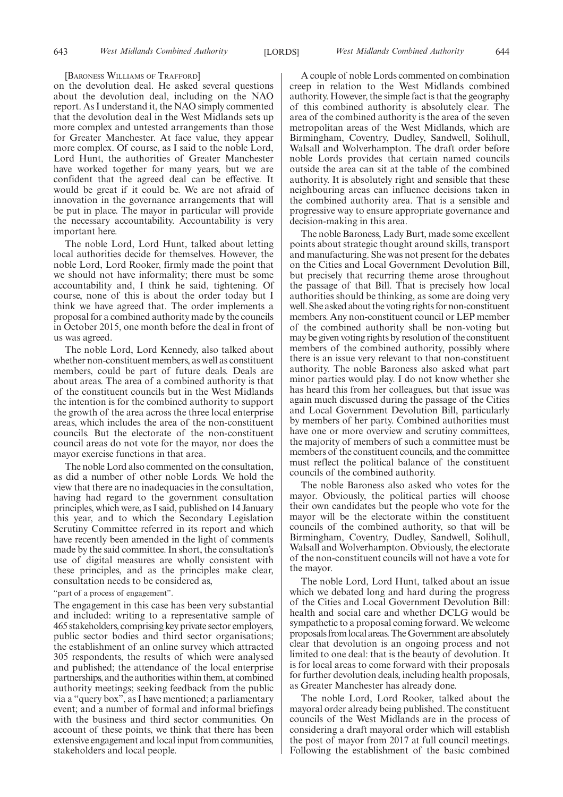#### [BARONESS WILLIAMS OF TRAFFORD]

on the devolution deal. He asked several questions about the devolution deal, including on the NAO report. As I understand it, the NAO simply commented that the devolution deal in the West Midlands sets up more complex and untested arrangements than those for Greater Manchester. At face value, they appear more complex. Of course, as I said to the noble Lord, Lord Hunt, the authorities of Greater Manchester have worked together for many years, but we are confident that the agreed deal can be effective. It would be great if it could be. We are not afraid of innovation in the governance arrangements that will be put in place. The mayor in particular will provide the necessary accountability. Accountability is very important here.

The noble Lord, Lord Hunt, talked about letting local authorities decide for themselves. However, the noble Lord, Lord Rooker, firmly made the point that we should not have informality; there must be some accountability and, I think he said, tightening. Of course, none of this is about the order today but I think we have agreed that. The order implements a proposal for a combined authority made by the councils in October 2015, one month before the deal in front of us was agreed.

The noble Lord, Lord Kennedy, also talked about whether non-constituent members, as well as constituent members, could be part of future deals. Deals are about areas. The area of a combined authority is that of the constituent councils but in the West Midlands the intention is for the combined authority to support the growth of the area across the three local enterprise areas, which includes the area of the non-constituent councils. But the electorate of the non-constituent council areas do not vote for the mayor, nor does the mayor exercise functions in that area.

The noble Lord also commented on the consultation, as did a number of other noble Lords. We hold the view that there are no inadequacies in the consultation, having had regard to the government consultation principles, which were, as I said, published on 14 January this year, and to which the Secondary Legislation Scrutiny Committee referred in its report and which have recently been amended in the light of comments made by the said committee. In short, the consultation's use of digital measures are wholly consistent with these principles, and as the principles make clear, consultation needs to be considered as,

"part of a process of engagement".

The engagement in this case has been very substantial and included: writing to a representative sample of 465 stakeholders, comprising key private sector employers, public sector bodies and third sector organisations; the establishment of an online survey which attracted 305 respondents, the results of which were analysed and published; the attendance of the local enterprise partnerships, and the authorities within them, at combined authority meetings; seeking feedback from the public via a "query box", as I have mentioned; a parliamentary event; and a number of formal and informal briefings with the business and third sector communities. On account of these points, we think that there has been extensive engagement and local input from communities, stakeholders and local people.

A couple of noble Lords commented on combination creep in relation to the West Midlands combined authority. However, the simple fact is that the geography of this combined authority is absolutely clear. The area of the combined authority is the area of the seven metropolitan areas of the West Midlands, which are Birmingham, Coventry, Dudley, Sandwell, Solihull, Walsall and Wolverhampton. The draft order before noble Lords provides that certain named councils outside the area can sit at the table of the combined authority. It is absolutely right and sensible that these neighbouring areas can influence decisions taken in the combined authority area. That is a sensible and progressive way to ensure appropriate governance and decision-making in this area.

The noble Baroness, Lady Burt, made some excellent points about strategic thought around skills, transport and manufacturing. She was not present for the debates on the Cities and Local Government Devolution Bill, but precisely that recurring theme arose throughout the passage of that Bill. That is precisely how local authorities should be thinking, as some are doing very well. She asked about the voting rights for non-constituent members. Any non-constituent council or LEP member of the combined authority shall be non-voting but may be given voting rights by resolution of the constituent members of the combined authority, possibly where there is an issue very relevant to that non-constituent authority. The noble Baroness also asked what part minor parties would play. I do not know whether she has heard this from her colleagues, but that issue was again much discussed during the passage of the Cities and Local Government Devolution Bill, particularly by members of her party. Combined authorities must have one or more overview and scrutiny committees, the majority of members of such a committee must be members of the constituent councils, and the committee must reflect the political balance of the constituent councils of the combined authority.

The noble Baroness also asked who votes for the mayor. Obviously, the political parties will choose their own candidates but the people who vote for the mayor will be the electorate within the constituent councils of the combined authority, so that will be Birmingham, Coventry, Dudley, Sandwell, Solihull, Walsall and Wolverhampton. Obviously, the electorate of the non-constituent councils will not have a vote for the mayor.

The noble Lord, Lord Hunt, talked about an issue which we debated long and hard during the progress of the Cities and Local Government Devolution Bill: health and social care and whether DCLG would be sympathetic to a proposal coming forward. We welcome proposals from local areas. The Government are absolutely clear that devolution is an ongoing process and not limited to one deal: that is the beauty of devolution. It is for local areas to come forward with their proposals for further devolution deals, including health proposals, as Greater Manchester has already done.

The noble Lord, Lord Rooker, talked about the mayoral order already being published. The constituent councils of the West Midlands are in the process of considering a draft mayoral order which will establish the post of mayor from 2017 at full council meetings. Following the establishment of the basic combined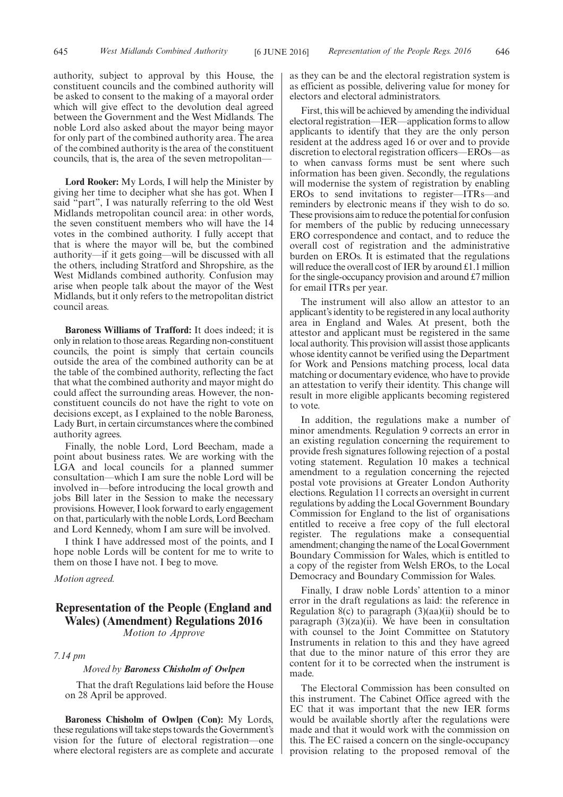authority, subject to approval by this House, the constituent councils and the combined authority will be asked to consent to the making of a mayoral order which will give effect to the devolution deal agreed between the Government and the West Midlands. The noble Lord also asked about the mayor being mayor for only part of the combined authority area. The area of the combined authority is the area of the constituent councils, that is, the area of the seven metropolitan—

**Lord Rooker:** My Lords, I will help the Minister by giving her time to decipher what she has got. When I said "part", I was naturally referring to the old West Midlands metropolitan council area: in other words, the seven constituent members who will have the 14 votes in the combined authority. I fully accept that that is where the mayor will be, but the combined authority—if it gets going—will be discussed with all the others, including Stratford and Shropshire, as the West Midlands combined authority. Confusion may arise when people talk about the mayor of the West Midlands, but it only refers to the metropolitan district council areas.

**Baroness Williams of Trafford:** It does indeed; it is only in relation to those areas. Regarding non-constituent councils, the point is simply that certain councils outside the area of the combined authority can be at the table of the combined authority, reflecting the fact that what the combined authority and mayor might do could affect the surrounding areas. However, the nonconstituent councils do not have the right to vote on decisions except, as I explained to the noble Baroness, Lady Burt, in certain circumstances where the combined authority agrees.

Finally, the noble Lord, Lord Beecham, made a point about business rates. We are working with the LGA and local councils for a planned summer consultation—which I am sure the noble Lord will be involved in—before introducing the local growth and jobs Bill later in the Session to make the necessary provisions. However, I look forward to early engagement on that, particularly with the noble Lords, Lord Beecham and Lord Kennedy, whom I am sure will be involved.

I think I have addressed most of the points, and I hope noble Lords will be content for me to write to them on those I have not. I beg to move.

*Motion agreed.*

# **Representation of the People (England and Wales) (Amendment) Regulations 2016**

*Motion to Approve*

*7.14 pm*

#### *Moved by Baroness Chisholm of Owlpen*

That the draft Regulations laid before the House on 28 April be approved.

**Baroness Chisholm of Owlpen (Con):** My Lords, these regulations will take steps towards the Government's vision for the future of electoral registration—one where electoral registers are as complete and accurate as they can be and the electoral registration system is as efficient as possible, delivering value for money for electors and electoral administrators.

First, this will be achieved by amending the individual electoral registration—IER—application forms to allow applicants to identify that they are the only person resident at the address aged 16 or over and to provide discretion to electoral registration officers—EROs—as to when canvass forms must be sent where such information has been given. Secondly, the regulations will modernise the system of registration by enabling EROs to send invitations to register—ITRs—and reminders by electronic means if they wish to do so. These provisions aim to reduce the potential for confusion for members of the public by reducing unnecessary ERO correspondence and contact, and to reduce the overall cost of registration and the administrative burden on EROs. It is estimated that the regulations will reduce the overall cost of IER by around £1.1 million for the single-occupancy provision and around  $£7$  million for email ITRs per year.

The instrument will also allow an attestor to an applicant's identity to be registered in any local authority area in England and Wales. At present, both the attestor and applicant must be registered in the same local authority. This provision will assist those applicants whose identity cannot be verified using the Department for Work and Pensions matching process, local data matching or documentary evidence, who have to provide an attestation to verify their identity. This change will result in more eligible applicants becoming registered to vote.

In addition, the regulations make a number of minor amendments. Regulation 9 corrects an error in an existing regulation concerning the requirement to provide fresh signatures following rejection of a postal voting statement. Regulation 10 makes a technical amendment to a regulation concerning the rejected postal vote provisions at Greater London Authority elections. Regulation 11 corrects an oversight in current regulations by adding the Local Government Boundary Commission for England to the list of organisations entitled to receive a free copy of the full electoral register. The regulations make a consequential amendment; changing the name of the Local Government Boundary Commission for Wales, which is entitled to a copy of the register from Welsh EROs, to the Local Democracy and Boundary Commission for Wales.

Finally, I draw noble Lords' attention to a minor error in the draft regulations as laid: the reference in Regulation  $8(c)$  to paragraph  $(3)(aa)(ii)$  should be to paragraph  $(3)(za)(ii)$ . We have been in consultation with counsel to the Joint Committee on Statutory Instruments in relation to this and they have agreed that due to the minor nature of this error they are content for it to be corrected when the instrument is made.

The Electoral Commission has been consulted on this instrument. The Cabinet Office agreed with the EC that it was important that the new IER forms would be available shortly after the regulations were made and that it would work with the commission on this. The EC raised a concern on the single-occupancy provision relating to the proposed removal of the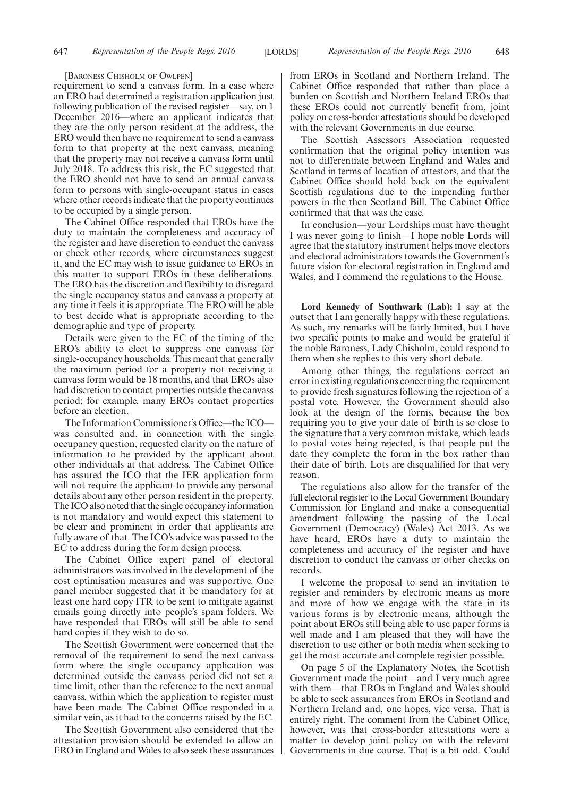#### [BARONESS CHISHOLM OF OWLPEN]

requirement to send a canvass form. In a case where an ERO had determined a registration application just following publication of the revised register—say, on 1 December 2016—where an applicant indicates that they are the only person resident at the address, the ERO would then have no requirement to send a canvass form to that property at the next canvass, meaning that the property may not receive a canvass form until July 2018. To address this risk, the EC suggested that the ERO should not have to send an annual canvass form to persons with single-occupant status in cases where other records indicate that the property continues to be occupied by a single person.

The Cabinet Office responded that EROs have the duty to maintain the completeness and accuracy of the register and have discretion to conduct the canvass or check other records, where circumstances suggest it, and the EC may wish to issue guidance to EROs in this matter to support EROs in these deliberations. The ERO has the discretion and flexibility to disregard the single occupancy status and canvass a property at any time it feels it is appropriate. The ERO will be able to best decide what is appropriate according to the demographic and type of property.

Details were given to the EC of the timing of the ERO's ability to elect to suppress one canvass for single-occupancy households. This meant that generally the maximum period for a property not receiving a canvass form would be 18 months, and that EROs also had discretion to contact properties outside the canvass period; for example, many EROs contact properties before an election.

The Information Commissioner's Office—the ICO was consulted and, in connection with the single occupancy question, requested clarity on the nature of information to be provided by the applicant about other individuals at that address. The Cabinet Office has assured the ICO that the IER application form will not require the applicant to provide any personal details about any other person resident in the property. The ICO also noted that the single occupancy information is not mandatory and would expect this statement to be clear and prominent in order that applicants are fully aware of that. The ICO's advice was passed to the EC to address during the form design process.

The Cabinet Office expert panel of electoral administrators was involved in the development of the cost optimisation measures and was supportive. One panel member suggested that it be mandatory for at least one hard copy ITR to be sent to mitigate against emails going directly into people's spam folders. We have responded that EROs will still be able to send hard copies if they wish to do so.

The Scottish Government were concerned that the removal of the requirement to send the next canvass form where the single occupancy application was determined outside the canvass period did not set a time limit, other than the reference to the next annual canvass, within which the application to register must have been made. The Cabinet Office responded in a similar vein, as it had to the concerns raised by the EC.

The Scottish Government also considered that the attestation provision should be extended to allow an ERO in England and Wales to also seek these assurances from EROs in Scotland and Northern Ireland. The Cabinet Office responded that rather than place a burden on Scottish and Northern Ireland EROs that these EROs could not currently benefit from, joint policy on cross-border attestations should be developed with the relevant Governments in due course.

The Scottish Assessors Association requested confirmation that the original policy intention was not to differentiate between England and Wales and Scotland in terms of location of attestors, and that the Cabinet Office should hold back on the equivalent Scottish regulations due to the impending further powers in the then Scotland Bill. The Cabinet Office confirmed that that was the case.

In conclusion—your Lordships must have thought I was never going to finish—I hope noble Lords will agree that the statutory instrument helps move electors and electoral administrators towards the Government's future vision for electoral registration in England and Wales, and I commend the regulations to the House.

**Lord Kennedy of Southwark (Lab):** I say at the outset that I am generally happy with these regulations. As such, my remarks will be fairly limited, but I have two specific points to make and would be grateful if the noble Baroness, Lady Chisholm, could respond to them when she replies to this very short debate.

Among other things, the regulations correct an error in existing regulations concerning the requirement to provide fresh signatures following the rejection of a postal vote. However, the Government should also look at the design of the forms, because the box requiring you to give your date of birth is so close to the signature that a very common mistake, which leads to postal votes being rejected, is that people put the date they complete the form in the box rather than their date of birth. Lots are disqualified for that very reason.

The regulations also allow for the transfer of the full electoral register to the Local Government Boundary Commission for England and make a consequential amendment following the passing of the Local Government (Democracy) (Wales) Act 2013. As we have heard, EROs have a duty to maintain the completeness and accuracy of the register and have discretion to conduct the canvass or other checks on records.

I welcome the proposal to send an invitation to register and reminders by electronic means as more and more of how we engage with the state in its various forms is by electronic means, although the point about EROs still being able to use paper forms is well made and I am pleased that they will have the discretion to use either or both media when seeking to get the most accurate and complete register possible.

On page 5 of the Explanatory Notes, the Scottish Government made the point—and I very much agree with them—that EROs in England and Wales should be able to seek assurances from EROs in Scotland and Northern Ireland and, one hopes, vice versa. That is entirely right. The comment from the Cabinet Office, however, was that cross-border attestations were a matter to develop joint policy on with the relevant Governments in due course. That is a bit odd. Could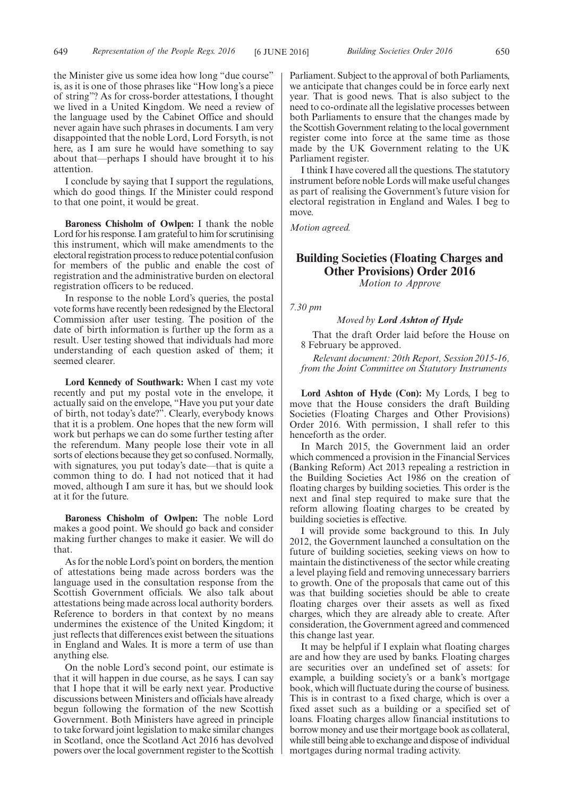the Minister give us some idea how long "due course" is, as it is one of those phrases like "How long's a piece of string"? As for cross-border attestations, I thought we lived in a United Kingdom. We need a review of the language used by the Cabinet Office and should never again have such phrases in documents. I am very disappointed that the noble Lord, Lord Forsyth, is not here, as I am sure he would have something to say about that—perhaps I should have brought it to his attention.

I conclude by saying that I support the regulations, which do good things. If the Minister could respond to that one point, it would be great.

**Baroness Chisholm of Owlpen:** I thank the noble Lord for his response. I am grateful to him for scrutinising this instrument, which will make amendments to the electoral registration process to reduce potential confusion for members of the public and enable the cost of registration and the administrative burden on electoral registration officers to be reduced.

In response to the noble Lord's queries, the postal vote forms have recently been redesigned by the Electoral Commission after user testing. The position of the date of birth information is further up the form as a result. User testing showed that individuals had more understanding of each question asked of them; it seemed clearer.

**Lord Kennedy of Southwark:** When I cast my vote recently and put my postal vote in the envelope, it actually said on the envelope, "Have you put your date of birth, not today's date?". Clearly, everybody knows that it is a problem. One hopes that the new form will work but perhaps we can do some further testing after the referendum. Many people lose their vote in all sorts of elections because they get so confused. Normally, with signatures, you put today's date—that is quite a common thing to do. I had not noticed that it had moved, although I am sure it has, but we should look at it for the future.

**Baroness Chisholm of Owlpen:** The noble Lord makes a good point. We should go back and consider making further changes to make it easier. We will do that.

As for the noble Lord's point on borders, the mention of attestations being made across borders was the language used in the consultation response from the Scottish Government officials. We also talk about attestations being made across local authority borders. Reference to borders in that context by no means undermines the existence of the United Kingdom; it just reflects that differences exist between the situations in England and Wales. It is more a term of use than anything else.

On the noble Lord's second point, our estimate is that it will happen in due course, as he says. I can say that I hope that it will be early next year. Productive discussions between Ministers and officials have already begun following the formation of the new Scottish Government. Both Ministers have agreed in principle to take forward joint legislation to make similar changes in Scotland, once the Scotland Act 2016 has devolved powers over the local government register to the Scottish Parliament. Subject to the approval of both Parliaments, we anticipate that changes could be in force early next year. That is good news. That is also subject to the need to co-ordinate all the legislative processes between both Parliaments to ensure that the changes made by the Scottish Government relating to the local government register come into force at the same time as those made by the UK Government relating to the UK Parliament register.

I think I have covered all the questions. The statutory instrument before noble Lords will make useful changes as part of realising the Government's future vision for electoral registration in England and Wales. I beg to move.

*Motion agreed.*

# **Building Societies (Floating Charges and Other Provisions) Order 2016**

*Motion to Approve*

*7.30 pm*

#### *Moved by Lord Ashton of Hyde*

That the draft Order laid before the House on 8 February be approved.

*Relevant document: 20th Report, Session 2015-16, from the Joint Committee on Statutory Instruments*

**Lord Ashton of Hyde (Con):** My Lords, I beg to move that the House considers the draft Building Societies (Floating Charges and Other Provisions) Order 2016. With permission, I shall refer to this henceforth as the order.

In March 2015, the Government laid an order which commenced a provision in the Financial Services (Banking Reform) Act 2013 repealing a restriction in the Building Societies Act 1986 on the creation of floating charges by building societies. This order is the next and final step required to make sure that the reform allowing floating charges to be created by building societies is effective.

I will provide some background to this. In July 2012, the Government launched a consultation on the future of building societies, seeking views on how to maintain the distinctiveness of the sector while creating a level playing field and removing unnecessary barriers to growth. One of the proposals that came out of this was that building societies should be able to create floating charges over their assets as well as fixed charges, which they are already able to create. After consideration, the Government agreed and commenced this change last year.

It may be helpful if I explain what floating charges are and how they are used by banks. Floating charges are securities over an undefined set of assets: for example, a building society's or a bank's mortgage book, which will fluctuate during the course of business. This is in contrast to a fixed charge, which is over a fixed asset such as a building or a specified set of loans. Floating charges allow financial institutions to borrow money and use their mortgage book as collateral, while still being able to exchange and dispose of individual mortgages during normal trading activity.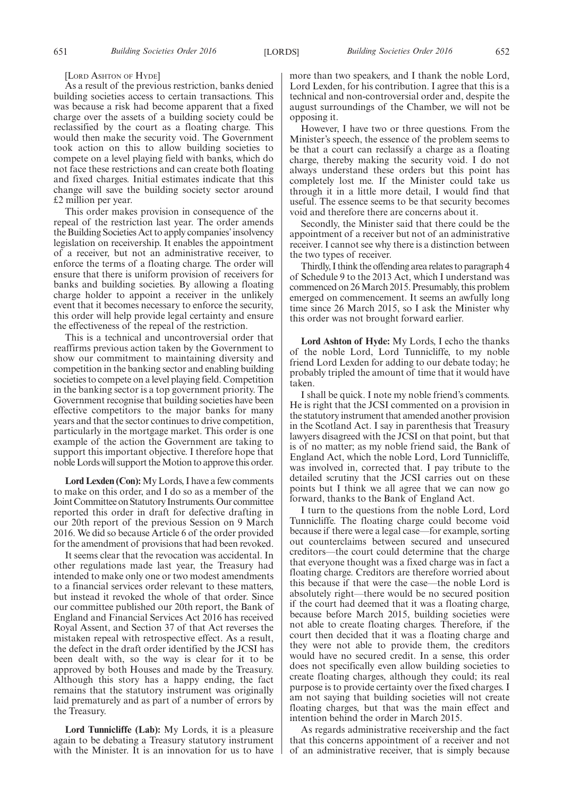[LORD ASHTON OF HYDE]

As a result of the previous restriction, banks denied building societies access to certain transactions. This was because a risk had become apparent that a fixed charge over the assets of a building society could be reclassified by the court as a floating charge. This would then make the security void. The Government took action on this to allow building societies to compete on a level playing field with banks, which do not face these restrictions and can create both floating and fixed charges. Initial estimates indicate that this change will save the building society sector around £2 million per year.

This order makes provision in consequence of the repeal of the restriction last year. The order amends the Building Societies Act to apply companies'insolvency legislation on receivership. It enables the appointment of a receiver, but not an administrative receiver, to enforce the terms of a floating charge. The order will ensure that there is uniform provision of receivers for banks and building societies. By allowing a floating charge holder to appoint a receiver in the unlikely event that it becomes necessary to enforce the security, this order will help provide legal certainty and ensure the effectiveness of the repeal of the restriction.

This is a technical and uncontroversial order that reaffirms previous action taken by the Government to show our commitment to maintaining diversity and competition in the banking sector and enabling building societies to compete on a level playing field. Competition in the banking sector is a top government priority. The Government recognise that building societies have been effective competitors to the major banks for many years and that the sector continues to drive competition, particularly in the mortgage market. This order is one example of the action the Government are taking to support this important objective. I therefore hope that noble Lords will support the Motion to approve this order.

**Lord Lexden (Con):** My Lords, I have a few comments to make on this order, and I do so as a member of the Joint Committee on Statutory Instruments. Our committee reported this order in draft for defective drafting in our 20th report of the previous Session on 9 March 2016. We did so because Article 6 of the order provided for the amendment of provisions that had been revoked.

It seems clear that the revocation was accidental. In other regulations made last year, the Treasury had intended to make only one or two modest amendments to a financial services order relevant to these matters, but instead it revoked the whole of that order. Since our committee published our 20th report, the Bank of England and Financial Services Act 2016 has received Royal Assent, and Section 37 of that Act reverses the mistaken repeal with retrospective effect. As a result, the defect in the draft order identified by the JCSI has been dealt with, so the way is clear for it to be approved by both Houses and made by the Treasury. Although this story has a happy ending, the fact remains that the statutory instrument was originally laid prematurely and as part of a number of errors by the Treasury.

**Lord Tunnicliffe (Lab):** My Lords, it is a pleasure again to be debating a Treasury statutory instrument with the Minister. It is an innovation for us to have more than two speakers, and I thank the noble Lord, Lord Lexden, for his contribution. I agree that this is a technical and non-controversial order and, despite the august surroundings of the Chamber, we will not be opposing it.

However, I have two or three questions. From the Minister's speech, the essence of the problem seems to be that a court can reclassify a charge as a floating charge, thereby making the security void. I do not always understand these orders but this point has completely lost me. If the Minister could take us through it in a little more detail, I would find that useful. The essence seems to be that security becomes void and therefore there are concerns about it.

Secondly, the Minister said that there could be the appointment of a receiver but not of an administrative receiver. I cannot see why there is a distinction between the two types of receiver.

Thirdly, I think the offending area relates to paragraph 4 of Schedule 9 to the 2013 Act, which I understand was commenced on 26 March 2015. Presumably, this problem emerged on commencement. It seems an awfully long time since 26 March 2015, so I ask the Minister why this order was not brought forward earlier.

**Lord Ashton of Hyde:** My Lords, I echo the thanks of the noble Lord, Lord Tunnicliffe, to my noble friend Lord Lexden for adding to our debate today; he probably tripled the amount of time that it would have taken.

I shall be quick. I note my noble friend's comments. He is right that the JCSI commented on a provision in the statutory instrument that amended another provision in the Scotland Act. I say in parenthesis that Treasury lawyers disagreed with the JCSI on that point, but that is of no matter; as my noble friend said, the Bank of England Act, which the noble Lord, Lord Tunnicliffe, was involved in, corrected that. I pay tribute to the detailed scrutiny that the JCSI carries out on these points but I think we all agree that we can now go forward, thanks to the Bank of England Act.

I turn to the questions from the noble Lord, Lord Tunnicliffe. The floating charge could become void because if there were a legal case—for example, sorting out counterclaims between secured and unsecured creditors—the court could determine that the charge that everyone thought was a fixed charge was in fact a floating charge. Creditors are therefore worried about this because if that were the case—the noble Lord is absolutely right—there would be no secured position if the court had deemed that it was a floating charge, because before March 2015, building societies were not able to create floating charges. Therefore, if the court then decided that it was a floating charge and they were not able to provide them, the creditors would have no secured credit. In a sense, this order does not specifically even allow building societies to create floating charges, although they could; its real purpose is to provide certainty over the fixed charges. I am not saying that building societies will not create floating charges, but that was the main effect and intention behind the order in March 2015.

As regards administrative receivership and the fact that this concerns appointment of a receiver and not of an administrative receiver, that is simply because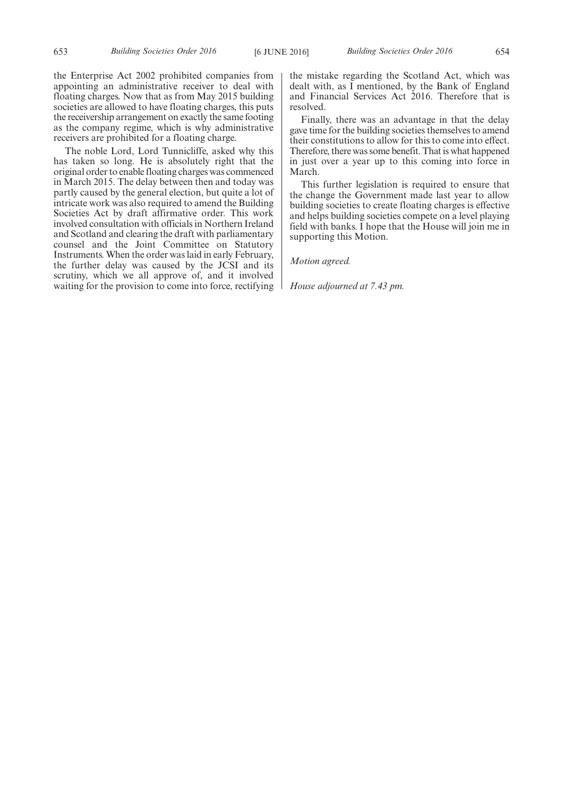the Enterprise Act 2002 prohibited companies from appointing an administrative receiver to deal with floating charges. Now that as from May 2015 building societies are allowed to have floating charges, this puts the receivership arrangement on exactly the same footing as the company regime, which is why administrative receivers are prohibited for a floating charge.

The noble Lord, Lord Tunnicliffe, asked why this has taken so long. He is absolutely right that the original order to enable floating charges was commenced in March 2015. The delay between then and today was partly caused by the general election, but quite a lot of intricate work was also required to amend the Building Societies Act by draft affirmative order. This work involved consultation with officials in Northern Ireland and Scotland and clearing the draft with parliamentary counsel and the Joint Committee on Statutory Instruments. When the order was laid in early February, the further delay was caused by the JCSI and its scrutiny, which we all approve of, and it involved waiting for the provision to come into force, rectifying the mistake regarding the Scotland Act, which was dealt with, as I mentioned, by the Bank of England and Financial Services Act 2016. Therefore that is resolved.

Finally, there was an advantage in that the delay gave time for the building societies themselves to amend their constitutions to allow for this to come into effect. Therefore, there was some benefit. That is what happened in just over a year up to this coming into force in March.

This further legislation is required to ensure that the change the Government made last year to allow building societies to create floating charges is effective and helps building societies compete on a level playing field with banks. I hope that the House will join me in supporting this Motion.

#### *Motion agreed.*

*House adjourned at 7.43 pm.*